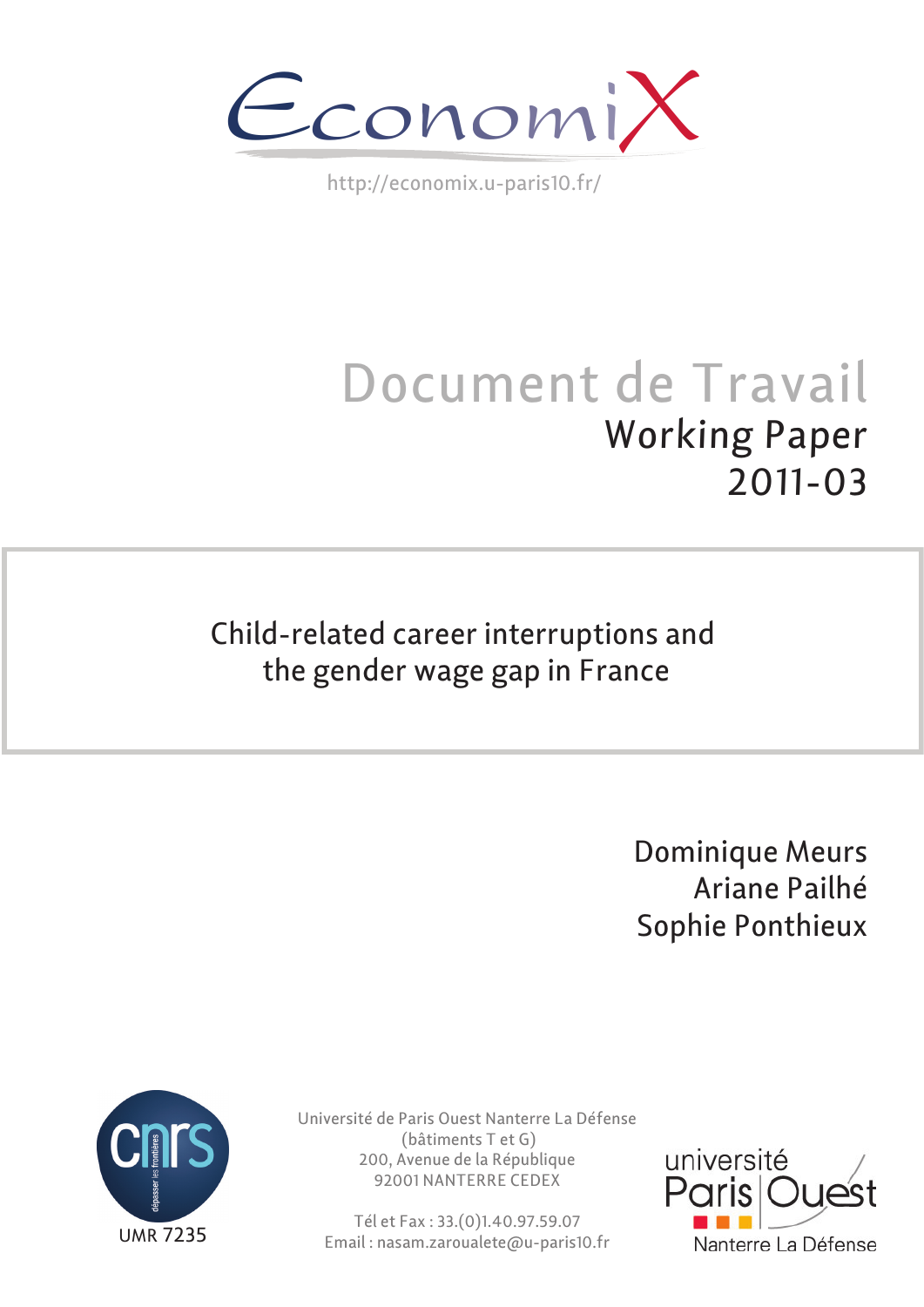

http://economix.u-paris10.fr/

# Document de Travail Working Paper 2011-03

# Child-related career interruptions and the gender wage gap in France

Dominique Meurs Ariane Pailhé Sophie Ponthieux



Université de Paris Ouest Nanterre La Défense (bâtiments T et G) 200, Avenue de la République 92001 NANTERRE CEDEX

Tél et Fax : 33.(0)1.40.97.59.07 Email : nasam.zaroualete@u-paris10.fr

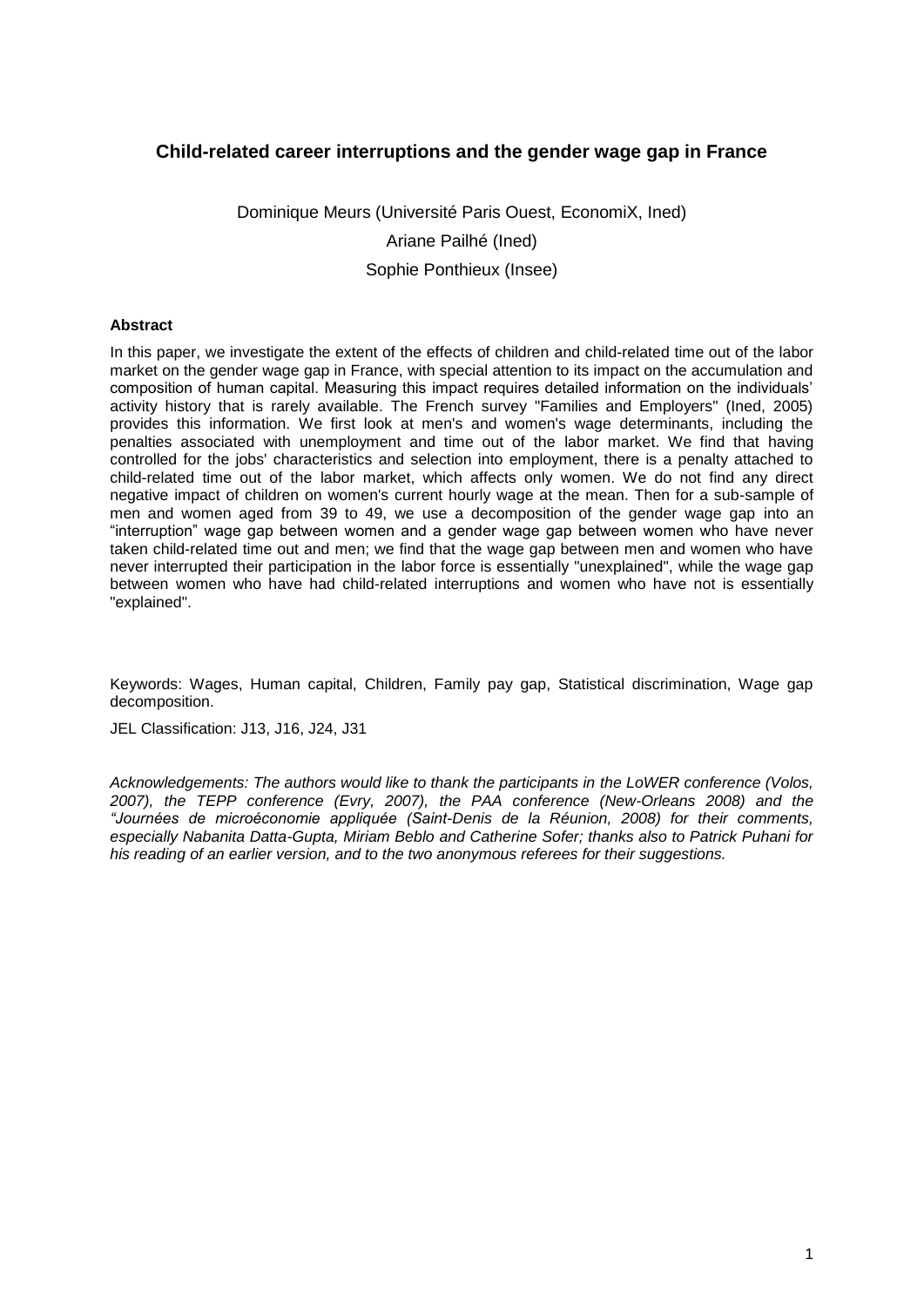## **Child-related career interruptions and the gender wage gap in France**

Dominique Meurs (Université Paris Ouest, EconomiX, Ined) Ariane Pailhé (Ined) Sophie Ponthieux (Insee)

#### **Abstract**

In this paper, we investigate the extent of the effects of children and child-related time out of the labor market on the gender wage gap in France, with special attention to its impact on the accumulation and composition of human capital. Measuring this impact requires detailed information on the individuals" activity history that is rarely available. The French survey "Families and Employers" (Ined, 2005) provides this information. We first look at men's and women's wage determinants, including the penalties associated with unemployment and time out of the labor market. We find that having controlled for the jobs' characteristics and selection into employment, there is a penalty attached to child-related time out of the labor market, which affects only women. We do not find any direct negative impact of children on women's current hourly wage at the mean. Then for a sub-sample of men and women aged from 39 to 49, we use a decomposition of the gender wage gap into an "interruption" wage gap between women and a gender wage gap between women who have never taken child-related time out and men; we find that the wage gap between men and women who have never interrupted their participation in the labor force is essentially "unexplained", while the wage gap between women who have had child-related interruptions and women who have not is essentially "explained".

Keywords: Wages, Human capital, Children, Family pay gap, Statistical discrimination, Wage gap decomposition.

JEL Classification: J13, J16, J24, J31

*Acknowledgements: The authors would like to thank the participants in the LoWER conference (Volos, 2007), the TEPP conference (Evry, 2007), the PAA conference (New-Orleans 2008) and the "Journées de microéconomie appliquée (Saint-Denis de la Réunion, 2008) for their comments, especially Nabanita Datta-Gupta, Miriam Beblo and Catherine Sofer; thanks also to Patrick Puhani for his reading of an earlier version, and to the two anonymous referees for their suggestions.*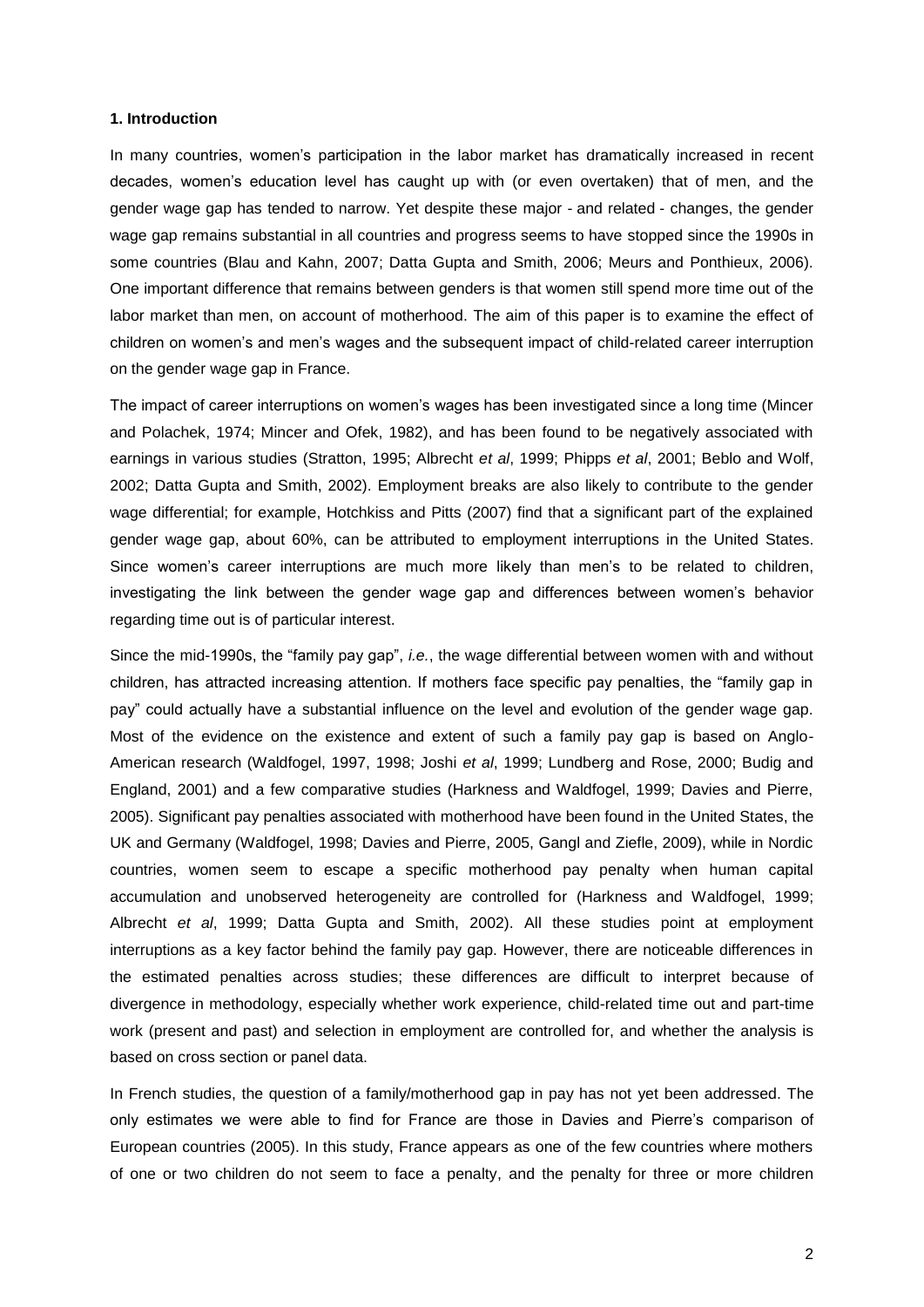#### **1. Introduction**

In many countries, women"s participation in the labor market has dramatically increased in recent decades, women"s education level has caught up with (or even overtaken) that of men, and the gender wage gap has tended to narrow. Yet despite these major - and related - changes, the gender wage gap remains substantial in all countries and progress seems to have stopped since the 1990s in some countries (Blau and Kahn, 2007; Datta Gupta and Smith, 2006; Meurs and Ponthieux, 2006). One important difference that remains between genders is that women still spend more time out of the labor market than men, on account of motherhood. The aim of this paper is to examine the effect of children on women"s and men"s wages and the subsequent impact of child-related career interruption on the gender wage gap in France.

The impact of career interruptions on women"s wages has been investigated since a long time (Mincer and Polachek, 1974; Mincer and Ofek, 1982), and has been found to be negatively associated with earnings in various studies (Stratton, 1995; Albrecht *et al*, 1999; Phipps *et al*, 2001; Beblo and Wolf, 2002; Datta Gupta and Smith, 2002). Employment breaks are also likely to contribute to the gender wage differential; for example, Hotchkiss and Pitts (2007) find that a significant part of the explained gender wage gap, about 60%, can be attributed to employment interruptions in the United States. Since women's career interruptions are much more likely than men's to be related to children, investigating the link between the gender wage gap and differences between women"s behavior regarding time out is of particular interest.

Since the mid-1990s, the "family pay gap", *i.e.*, the wage differential between women with and without children, has attracted increasing attention. If mothers face specific pay penalties, the "family gap in pay" could actually have a substantial influence on the level and evolution of the gender wage gap. Most of the evidence on the existence and extent of such a family pay gap is based on Anglo-American research (Waldfogel, 1997, 1998; Joshi *et al*, 1999; Lundberg and Rose, 2000; Budig and England, 2001) and a few comparative studies (Harkness and Waldfogel, 1999; Davies and Pierre, 2005). Significant pay penalties associated with motherhood have been found in the United States, the UK and Germany (Waldfogel, 1998; Davies and Pierre, 2005, Gangl and Ziefle, 2009), while in Nordic countries, women seem to escape a specific motherhood pay penalty when human capital accumulation and unobserved heterogeneity are controlled for (Harkness and Waldfogel, 1999; Albrecht *et al*, 1999; Datta Gupta and Smith, 2002). All these studies point at employment interruptions as a key factor behind the family pay gap. However, there are noticeable differences in the estimated penalties across studies; these differences are difficult to interpret because of divergence in methodology, especially whether work experience, child-related time out and part-time work (present and past) and selection in employment are controlled for, and whether the analysis is based on cross section or panel data.

In French studies, the question of a family/motherhood gap in pay has not yet been addressed. The only estimates we were able to find for France are those in Davies and Pierre"s comparison of European countries (2005). In this study, France appears as one of the few countries where mothers of one or two children do not seem to face a penalty, and the penalty for three or more children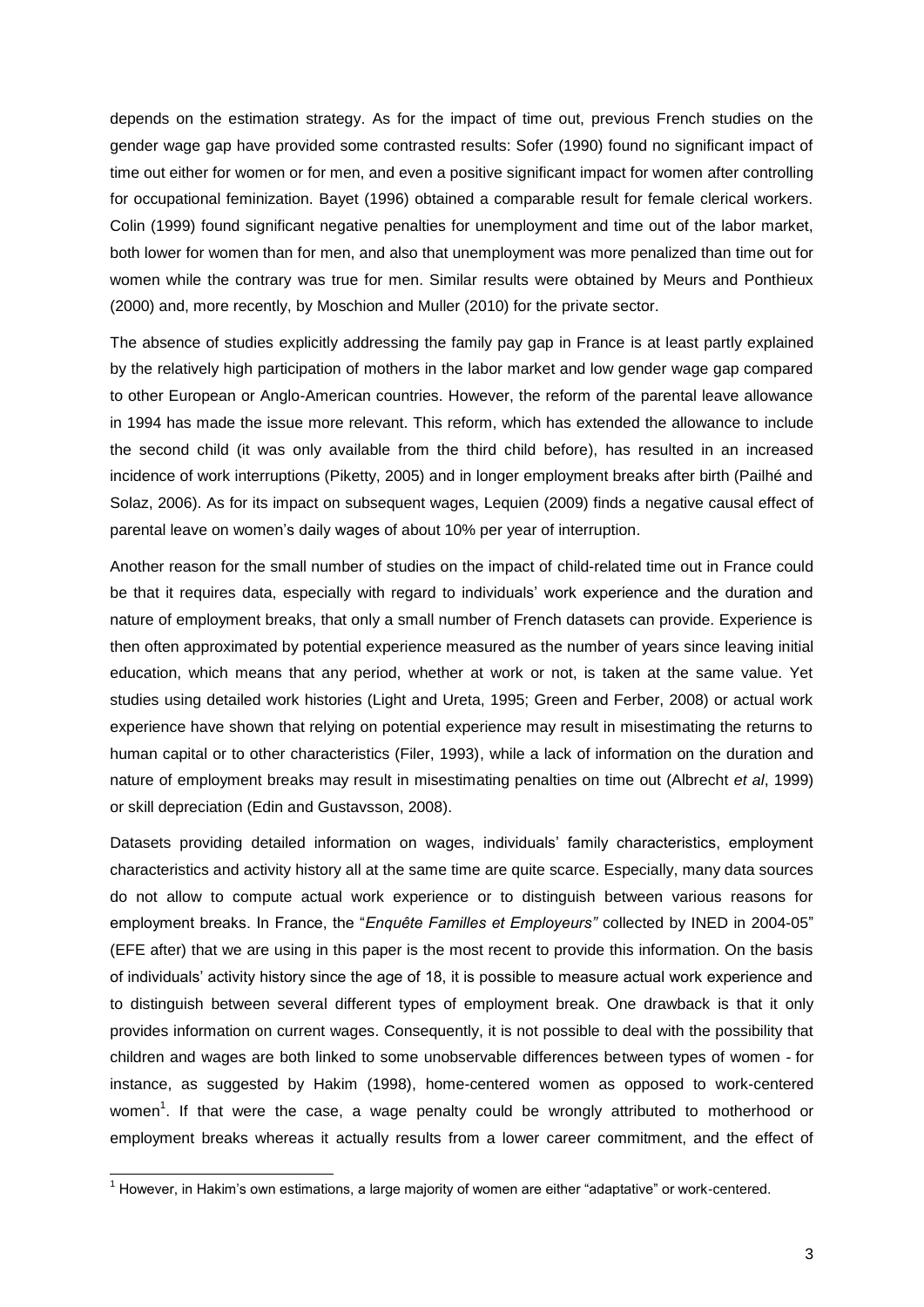depends on the estimation strategy. As for the impact of time out, previous French studies on the gender wage gap have provided some contrasted results: Sofer (1990) found no significant impact of time out either for women or for men, and even a positive significant impact for women after controlling for occupational feminization. Bayet (1996) obtained a comparable result for female clerical workers. Colin (1999) found significant negative penalties for unemployment and time out of the labor market, both lower for women than for men, and also that unemployment was more penalized than time out for women while the contrary was true for men. Similar results were obtained by Meurs and Ponthieux (2000) and, more recently, by Moschion and Muller (2010) for the private sector.

The absence of studies explicitly addressing the family pay gap in France is at least partly explained by the relatively high participation of mothers in the labor market and low gender wage gap compared to other European or Anglo-American countries. However, the reform of the parental leave allowance in 1994 has made the issue more relevant. This reform, which has extended the allowance to include the second child (it was only available from the third child before), has resulted in an increased incidence of work interruptions (Piketty, 2005) and in longer employment breaks after birth (Pailhé and Solaz, 2006). As for its impact on subsequent wages, Lequien (2009) finds a negative causal effect of parental leave on women's daily wages of about 10% per year of interruption.

Another reason for the small number of studies on the impact of child-related time out in France could be that it requires data, especially with regard to individuals' work experience and the duration and nature of employment breaks, that only a small number of French datasets can provide. Experience is then often approximated by potential experience measured as the number of years since leaving initial education, which means that any period, whether at work or not, is taken at the same value. Yet studies using detailed work histories (Light and Ureta, 1995; Green and Ferber, 2008) or actual work experience have shown that relying on potential experience may result in misestimating the returns to human capital or to other characteristics (Filer, 1993), while a lack of information on the duration and nature of employment breaks may result in misestimating penalties on time out (Albrecht *et al*, 1999) or skill depreciation (Edin and Gustavsson, 2008).

Datasets providing detailed information on wages, individuals" family characteristics, employment characteristics and activity history all at the same time are quite scarce. Especially, many data sources do not allow to compute actual work experience or to distinguish between various reasons for employment breaks. In France, the "*Enquête Familles et Employeurs"* collected by INED in 2004-05" (EFE after) that we are using in this paper is the most recent to provide this information. On the basis of individuals" activity history since the age of 18, it is possible to measure actual work experience and to distinguish between several different types of employment break. One drawback is that it only provides information on current wages. Consequently, it is not possible to deal with the possibility that children and wages are both linked to some unobservable differences between types of women - for instance, as suggested by Hakim (1998), home-centered women as opposed to work-centered women<sup>1</sup>. If that were the case, a wage penalty could be wrongly attributed to motherhood or employment breaks whereas it actually results from a lower career commitment, and the effect of

l

 $1$  However, in Hakim's own estimations, a large majority of women are either "adaptative" or work-centered.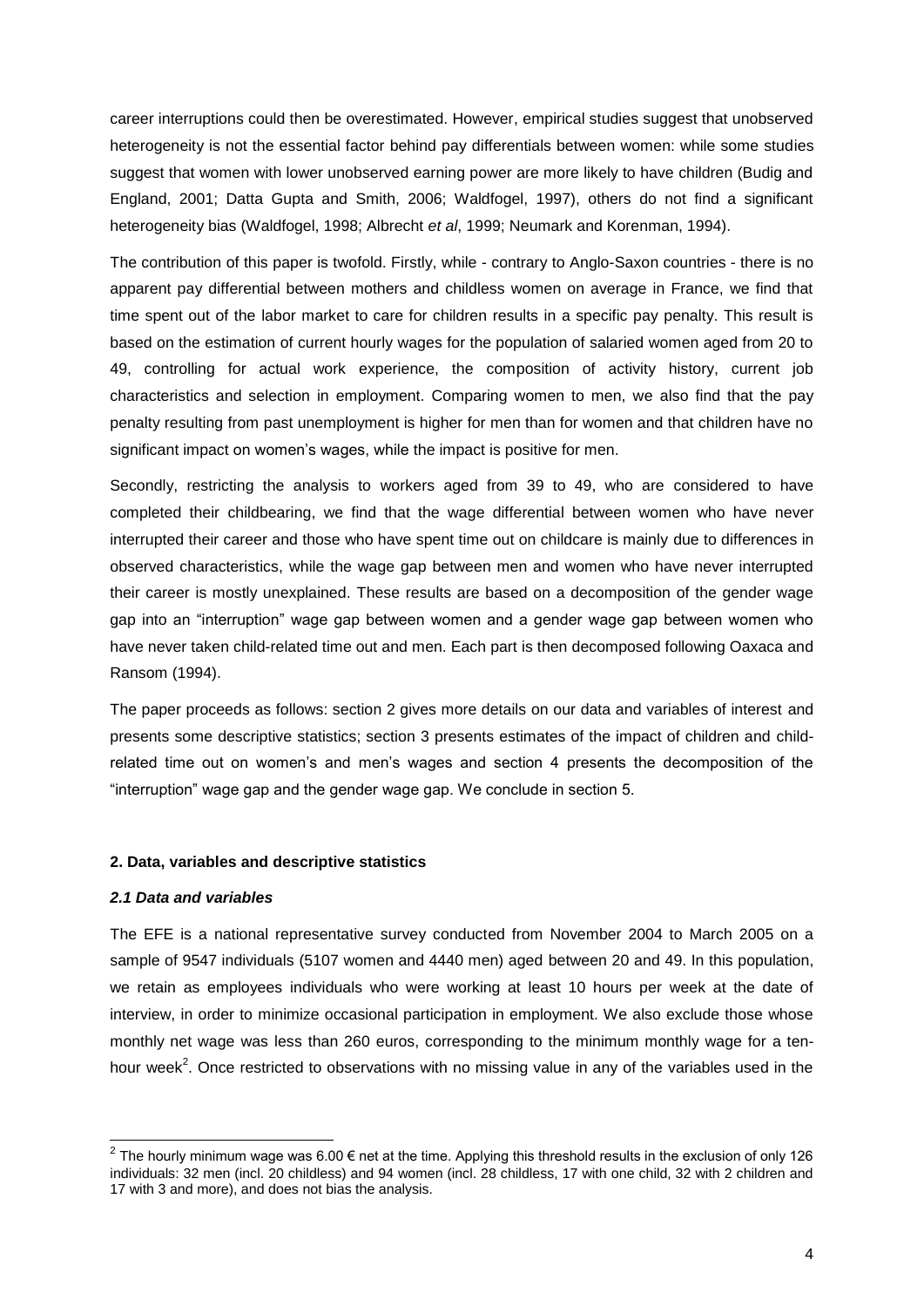career interruptions could then be overestimated. However, empirical studies suggest that unobserved heterogeneity is not the essential factor behind pay differentials between women: while some studies suggest that women with lower unobserved earning power are more likely to have children (Budig and England, 2001; Datta Gupta and Smith, 2006; Waldfogel, 1997), others do not find a significant heterogeneity bias (Waldfogel, 1998; Albrecht *et al*, 1999; Neumark and Korenman, 1994).

The contribution of this paper is twofold. Firstly, while - contrary to Anglo-Saxon countries - there is no apparent pay differential between mothers and childless women on average in France, we find that time spent out of the labor market to care for children results in a specific pay penalty. This result is based on the estimation of current hourly wages for the population of salaried women aged from 20 to 49, controlling for actual work experience, the composition of activity history, current job characteristics and selection in employment. Comparing women to men, we also find that the pay penalty resulting from past unemployment is higher for men than for women and that children have no significant impact on women's wages, while the impact is positive for men.

Secondly, restricting the analysis to workers aged from 39 to 49, who are considered to have completed their childbearing, we find that the wage differential between women who have never interrupted their career and those who have spent time out on childcare is mainly due to differences in observed characteristics, while the wage gap between men and women who have never interrupted their career is mostly unexplained. These results are based on a decomposition of the gender wage gap into an "interruption" wage gap between women and a gender wage gap between women who have never taken child-related time out and men. Each part is then decomposed following Oaxaca and Ransom (1994).

The paper proceeds as follows: section 2 gives more details on our data and variables of interest and presents some descriptive statistics; section 3 presents estimates of the impact of children and childrelated time out on women"s and men"s wages and section 4 presents the decomposition of the "interruption" wage gap and the gender wage gap. We conclude in section 5.

#### **2. Data, variables and descriptive statistics**

#### *2.1 Data and variables*

The EFE is a national representative survey conducted from November 2004 to March 2005 on a sample of 9547 individuals (5107 women and 4440 men) aged between 20 and 49. In this population, we retain as employees individuals who were working at least 10 hours per week at the date of interview, in order to minimize occasional participation in employment. We also exclude those whose monthly net wage was less than 260 euros, corresponding to the minimum monthly wage for a tenhour week<sup>2</sup>. Once restricted to observations with no missing value in any of the variables used in the

 2 The hourly minimum wage was 6.00 € net at the time. Applying this threshold results in the exclusion of only 126 individuals: 32 men (incl. 20 childless) and 94 women (incl. 28 childless, 17 with one child, 32 with 2 children and 17 with 3 and more), and does not bias the analysis.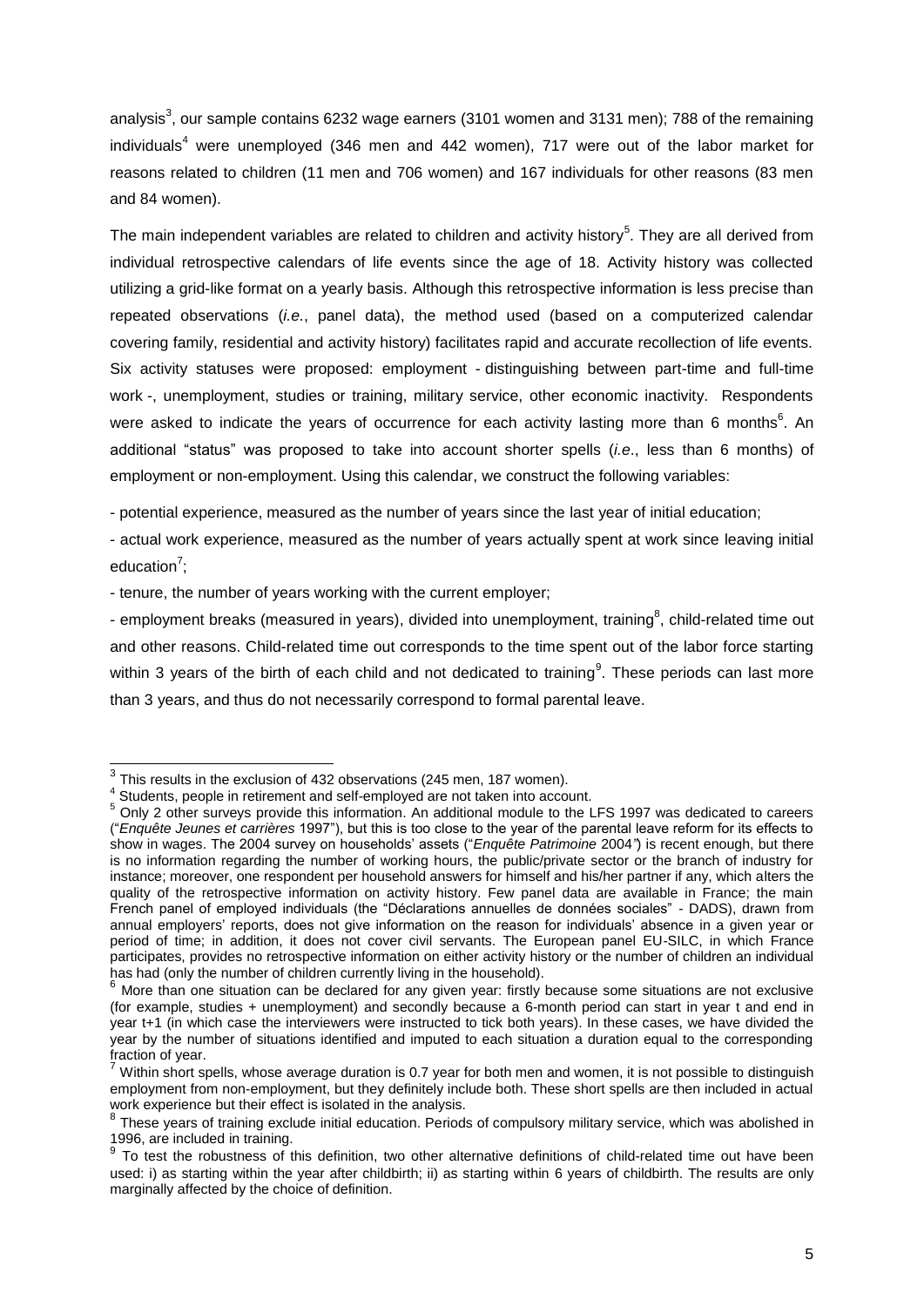analysis<sup>3</sup>, our sample contains 6232 wage earners (3101 women and 3131 men); 788 of the remaining  $individuals<sup>4</sup>$  were unemployed (346 men and 442 women), 717 were out of the labor market for reasons related to children (11 men and 706 women) and 167 individuals for other reasons (83 men and 84 women).

The main independent variables are related to children and activity history<sup>5</sup>. They are all derived from individual retrospective calendars of life events since the age of 18. Activity history was collected utilizing a grid-like format on a yearly basis. Although this retrospective information is less precise than repeated observations (*i.e.*, panel data), the method used (based on a computerized calendar covering family, residential and activity history) facilitates rapid and accurate recollection of life events. Six activity statuses were proposed: employment - distinguishing between part-time and full-time work -, unemployment, studies or training, military service, other economic inactivity. Respondents were asked to indicate the years of occurrence for each activity lasting more than 6 months<sup>6</sup>. An additional "status" was proposed to take into account shorter spells (*i.e*., less than 6 months) of employment or non-employment. Using this calendar, we construct the following variables:

- potential experience, measured as the number of years since the last year of initial education;

- actual work experience, measured as the number of years actually spent at work since leaving initial education<sup>7</sup>;

- tenure, the number of years working with the current employer;

- employment breaks (measured in years), divided into unemployment, training<sup>8</sup>, child-related time out and other reasons. Child-related time out corresponds to the time spent out of the labor force starting within 3 years of the birth of each child and not dedicated to training<sup>9</sup>. These periods can last more than 3 years, and thus do not necessarily correspond to formal parental leave.

 3 This results in the exclusion of 432 observations (245 men, 187 women).

<sup>&</sup>lt;sup>4</sup> Students, people in retirement and self-employed are not taken into account.

<sup>5</sup> Only 2 other surveys provide this information. An additional module to the LFS 1997 was dedicated to careers ("*Enquête Jeunes et carrières* 1997"), but this is too close to the year of the parental leave reform for its effects to show in wages. The 2004 survey on households" assets ("*Enquête Patrimoine* 2004*"*) is recent enough, but there is no information regarding the number of working hours, the public/private sector or the branch of industry for instance; moreover, one respondent per household answers for himself and his/her partner if any, which alters the quality of the retrospective information on activity history. Few panel data are available in France; the main French panel of employed individuals (the "Déclarations annuelles de données sociales" - DADS), drawn from annual employers' reports, does not give information on the reason for individuals' absence in a given year or period of time; in addition, it does not cover civil servants. The European panel EU-SILC, in which France participates, provides no retrospective information on either activity history or the number of children an individual has had (only the number of children currently living in the household).

 $6$  More than one situation can be declared for any given year: firstly because some situations are not exclusive (for example, studies + unemployment) and secondly because a 6-month period can start in year t and end in year t+1 (in which case the interviewers were instructed to tick both years). In these cases, we have divided the year by the number of situations identified and imputed to each situation a duration equal to the corresponding  $\frac{1}{2}$   $\frac{1}{2}$   $\frac{1}{2}$   $\frac{1}{2}$   $\frac{1}{2}$   $\frac{1}{2}$   $\frac{1}{2}$   $\frac{1}{2}$   $\frac{1}{2}$   $\frac{1}{2}$   $\frac{1}{2}$   $\frac{1}{2}$   $\frac{1}{2}$   $\frac{1}{2}$   $\frac{1}{2}$   $\frac{1}{2}$   $\frac{1}{2}$   $\frac{1}{2}$   $\frac{1}{2}$   $\frac{1}{2}$   $\frac{1}{2}$   $\frac{1}{2}$ 

<sup>7</sup> Within short spells, whose average duration is 0.7 year for both men and women, it is not possible to distinguish employment from non-employment, but they definitely include both. These short spells are then included in actual work experience but their effect is isolated in the analysis.

<sup>&</sup>lt;sup>8</sup> These years of training exclude initial education. Periods of compulsory military service, which was abolished in 1996, are included in training.

<sup>&</sup>lt;sup>9</sup> To test the robustness of this definition, two other alternative definitions of child-related time out have been used: i) as starting within the year after childbirth; ii) as starting within 6 years of childbirth. The results are only marginally affected by the choice of definition.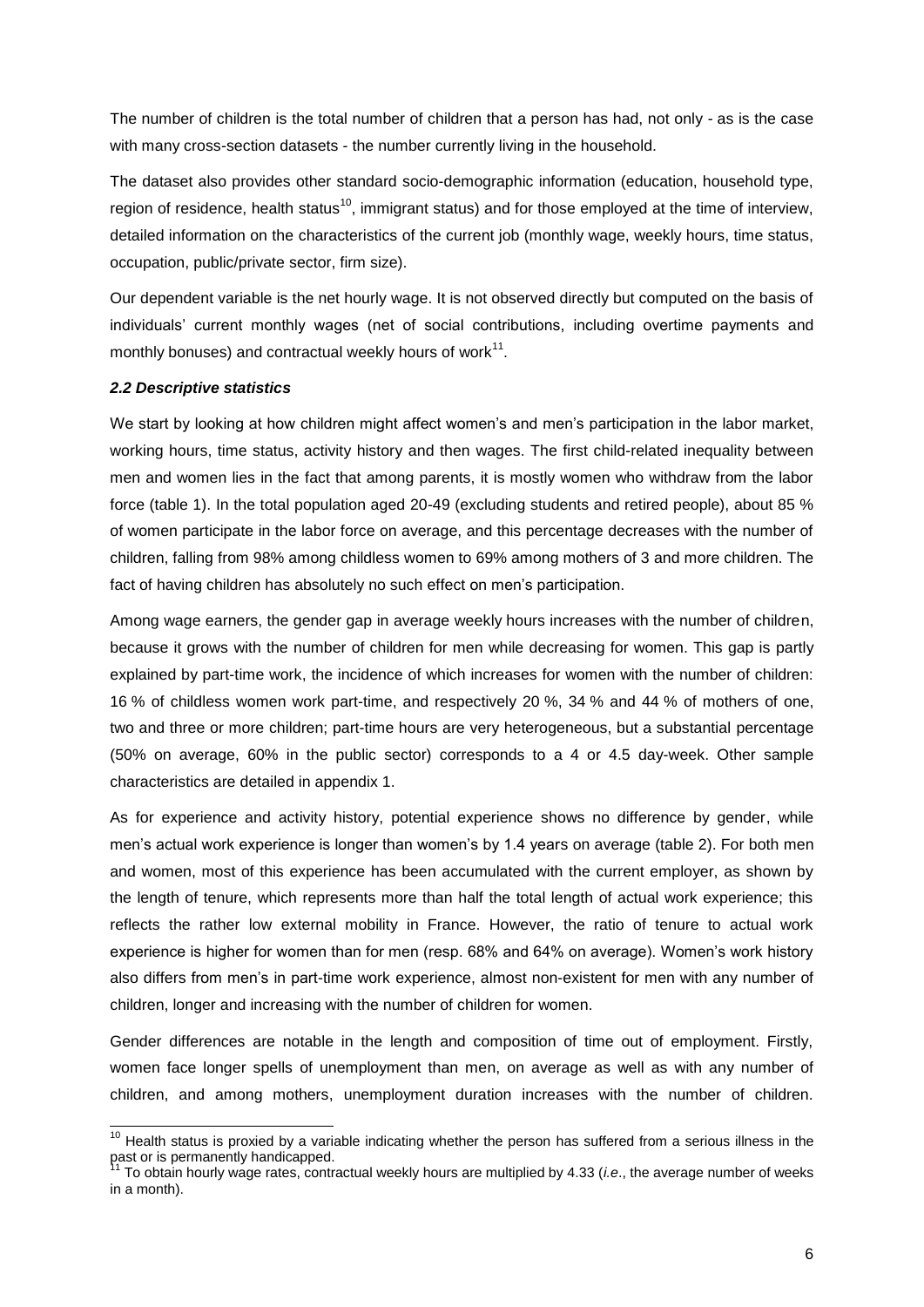The number of children is the total number of children that a person has had, not only - as is the case with many cross-section datasets - the number currently living in the household.

The dataset also provides other standard socio-demographic information (education, household type, region of residence, health status<sup>10</sup>, immigrant status) and for those employed at the time of interview, detailed information on the characteristics of the current job (monthly wage, weekly hours, time status, occupation, public/private sector, firm size).

Our dependent variable is the net hourly wage. It is not observed directly but computed on the basis of individuals" current monthly wages (net of social contributions, including overtime payments and monthly bonuses) and contractual weekly hours of work $^{11}$ .

#### *2.2 Descriptive statistics*

l

We start by looking at how children might affect women's and men's participation in the labor market, working hours, time status, activity history and then wages. The first child-related inequality between men and women lies in the fact that among parents, it is mostly women who withdraw from the labor force (table 1). In the total population aged 20-49 (excluding students and retired people), about 85 % of women participate in the labor force on average, and this percentage decreases with the number of children, falling from 98% among childless women to 69% among mothers of 3 and more children. The fact of having children has absolutely no such effect on men"s participation.

Among wage earners, the gender gap in average weekly hours increases with the number of children, because it grows with the number of children for men while decreasing for women. This gap is partly explained by part-time work, the incidence of which increases for women with the number of children: 16 % of childless women work part-time, and respectively 20 %, 34 % and 44 % of mothers of one, two and three or more children; part-time hours are very heterogeneous, but a substantial percentage (50% on average, 60% in the public sector) corresponds to a 4 or 4.5 day-week. Other sample characteristics are detailed in appendix 1.

As for experience and activity history, potential experience shows no difference by gender, while men"s actual work experience is longer than women"s by 1.4 years on average (table 2). For both men and women, most of this experience has been accumulated with the current employer, as shown by the length of tenure, which represents more than half the total length of actual work experience; this reflects the rather low external mobility in France. However, the ratio of tenure to actual work experience is higher for women than for men (resp. 68% and 64% on average). Women"s work history also differs from men's in part-time work experience, almost non-existent for men with any number of children, longer and increasing with the number of children for women.

Gender differences are notable in the length and composition of time out of employment. Firstly, women face longer spells of unemployment than men, on average as well as with any number of children, and among mothers, unemployment duration increases with the number of children.

 $10$  Health status is proxied by a variable indicating whether the person has suffered from a serious illness in the past or is permanently handicapped.

<sup>&</sup>lt;sup>11</sup> To obtain hourly wage rates, contractual weekly hours are multiplied by 4.33 (*i.e.*, the average number of weeks in a month).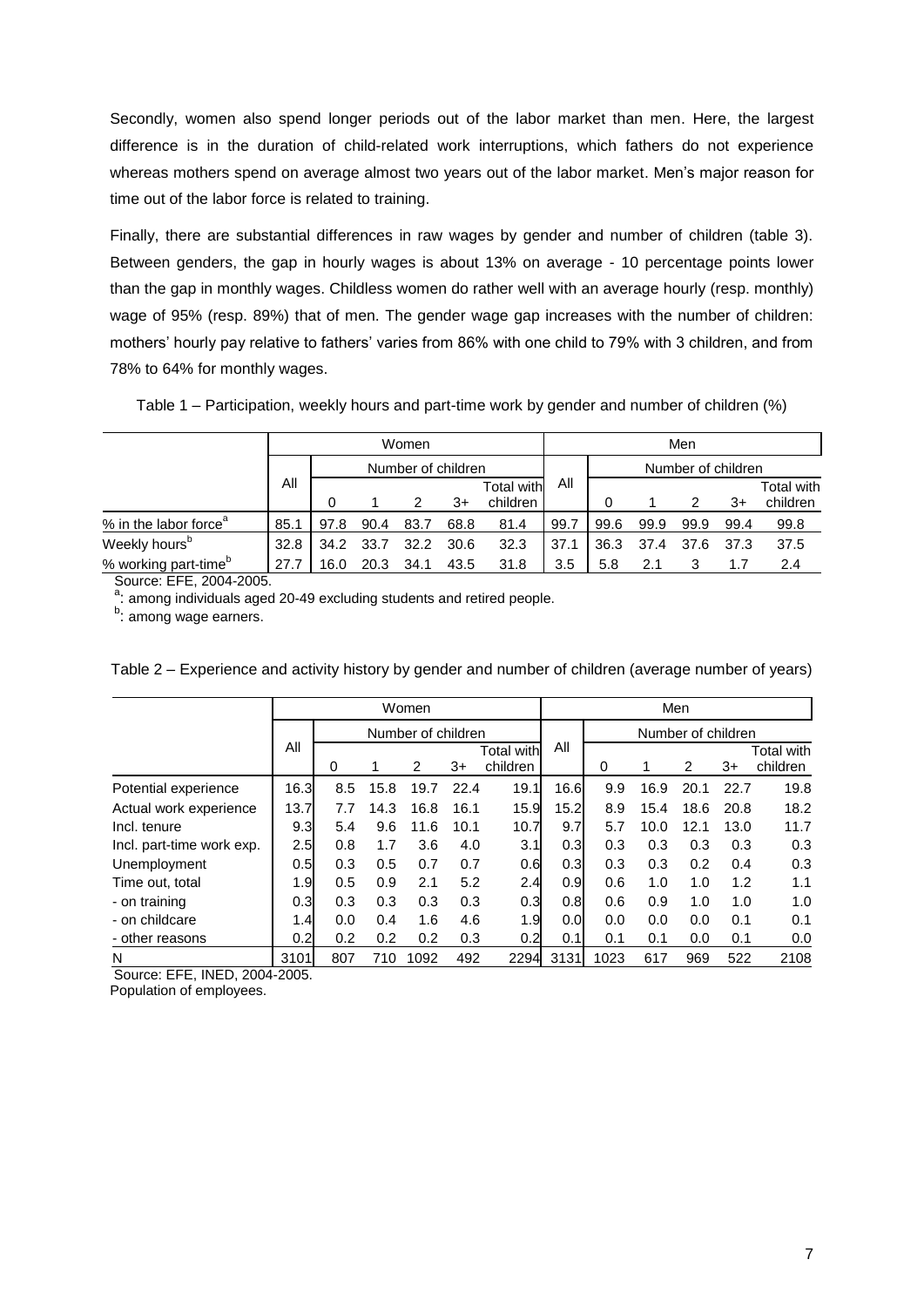Secondly, women also spend longer periods out of the labor market than men. Here, the largest difference is in the duration of child-related work interruptions, which fathers do not experience whereas mothers spend on average almost two years out of the labor market. Men"s major reason for time out of the labor force is related to training.

Finally, there are substantial differences in raw wages by gender and number of children (table 3). Between genders, the gap in hourly wages is about 13% on average - 10 percentage points lower than the gap in monthly wages. Childless women do rather well with an average hourly (resp. monthly) wage of 95% (resp. 89%) that of men. The gender wage gap increases with the number of children: mothers" hourly pay relative to fathers" varies from 86% with one child to 79% with 3 children, and from 78% to 64% for monthly wages.

Table 1 – Participation, weekly hours and part-time work by gender and number of children (%)

|                                   |      | Women |      |                    |      |            |      | Men                |      |      |      |            |  |
|-----------------------------------|------|-------|------|--------------------|------|------------|------|--------------------|------|------|------|------------|--|
|                                   |      |       |      | Number of children |      |            |      | Number of children |      |      |      |            |  |
|                                   | Αll  |       |      |                    |      | Total with | All  |                    |      |      |      | Total with |  |
|                                   |      |       |      |                    | $3+$ | children   |      |                    |      |      | 3+   | children   |  |
| % in the labor force <sup>a</sup> | 85.1 | 97.8  | 90.4 | 83.7               | 68.8 | 81.4       | 99.7 | 99.6               | 99.9 | 99.9 | 99.4 | 99.8       |  |
| Weekly hours <sup>b</sup>         | 32.8 | 34.2  | 33.7 | 32.2               | 30.6 | 32.3       | 37.1 | 36.3               | 37.4 | 37.6 | 37.3 | 37.5       |  |
| % working part-time <sup>b</sup>  | 27.7 | 16.0  | 20.3 | 34.1               | 43.5 | 31.8       | 3.5  | 5.8                |      |      | 1.7  | 2.4        |  |

Source: EFE, 2004-2005.

a: among individuals aged 20-49 excluding students and retired people.

b: among wage earners.

|                           |      | Women    |      |                    |      |                               |      | Men                |      |      |      |                        |  |
|---------------------------|------|----------|------|--------------------|------|-------------------------------|------|--------------------|------|------|------|------------------------|--|
|                           |      |          |      | Number of children |      |                               |      | Number of children |      |      |      |                        |  |
|                           | All  | $\Omega$ |      | 2                  | 3+   | <b>Total with</b><br>children | All  | 0                  |      | 2    | $3+$ | Total with<br>children |  |
| Potential experience      | 16.3 | 8.5      | 15.8 | 19.7               | 22.4 | 19.1                          | 16.6 | 9.9                | 16.9 | 20.1 | 22.7 | 19.8                   |  |
| Actual work experience    | 13.7 | 7.7      | 14.3 | 16.8               | 16.1 | 15.9                          | 15.2 | 8.9                | 15.4 | 18.6 | 20.8 | 18.2                   |  |
| Incl. tenure              | 9.3  | 5.4      | 9.6  | 11.6               | 10.1 | 10.7                          | 9.7  | 5.7                | 10.0 | 12.1 | 13.0 | 11.7                   |  |
| Incl. part-time work exp. | 2.5  | 0.8      | 1.7  | 3.6                | 4.0  | 3.1                           | 0.3  | 0.3                | 0.3  | 0.3  | 0.3  | 0.3                    |  |
| Unemployment              | 0.5  | 0.3      | 0.5  | 0.7                | 0.7  | 0.6                           | 0.3  | 0.3                | 0.3  | 0.2  | 0.4  | 0.3                    |  |
| Time out, total           | 1.9  | 0.5      | 0.9  | 2.1                | 5.2  | 2.4                           | 0.9  | 0.6                | 1.0  | 1.0  | 1.2  | 1.1                    |  |
| - on training             | 0.3  | 0.3      | 0.3  | 0.3                | 0.3  | 0.3                           | 0.8  | 0.6                | 0.9  | 1.0  | 1.0  | 1.0                    |  |
| - on childcare            | 1.4  | 0.0      | 0.4  | 1.6                | 4.6  | 1.9                           | 0.0  | 0.0                | 0.0  | 0.0  | 0.1  | 0.1                    |  |
| - other reasons           | 0.2  | 0.2      | 0.2  | 0.2                | 0.3  | 0.2                           | 0.1  | 0.1                | 0.1  | 0.0  | 0.1  | 0.0                    |  |
| N                         | 3101 | 807      | 710  | 1092               | 492  | 2294                          | 3131 | 1023               | 617  | 969  | 522  | 2108                   |  |

Table 2 – Experience and activity history by gender and number of children (average number of years)

Source: EFE, INED, 2004-2005.

Population of employees.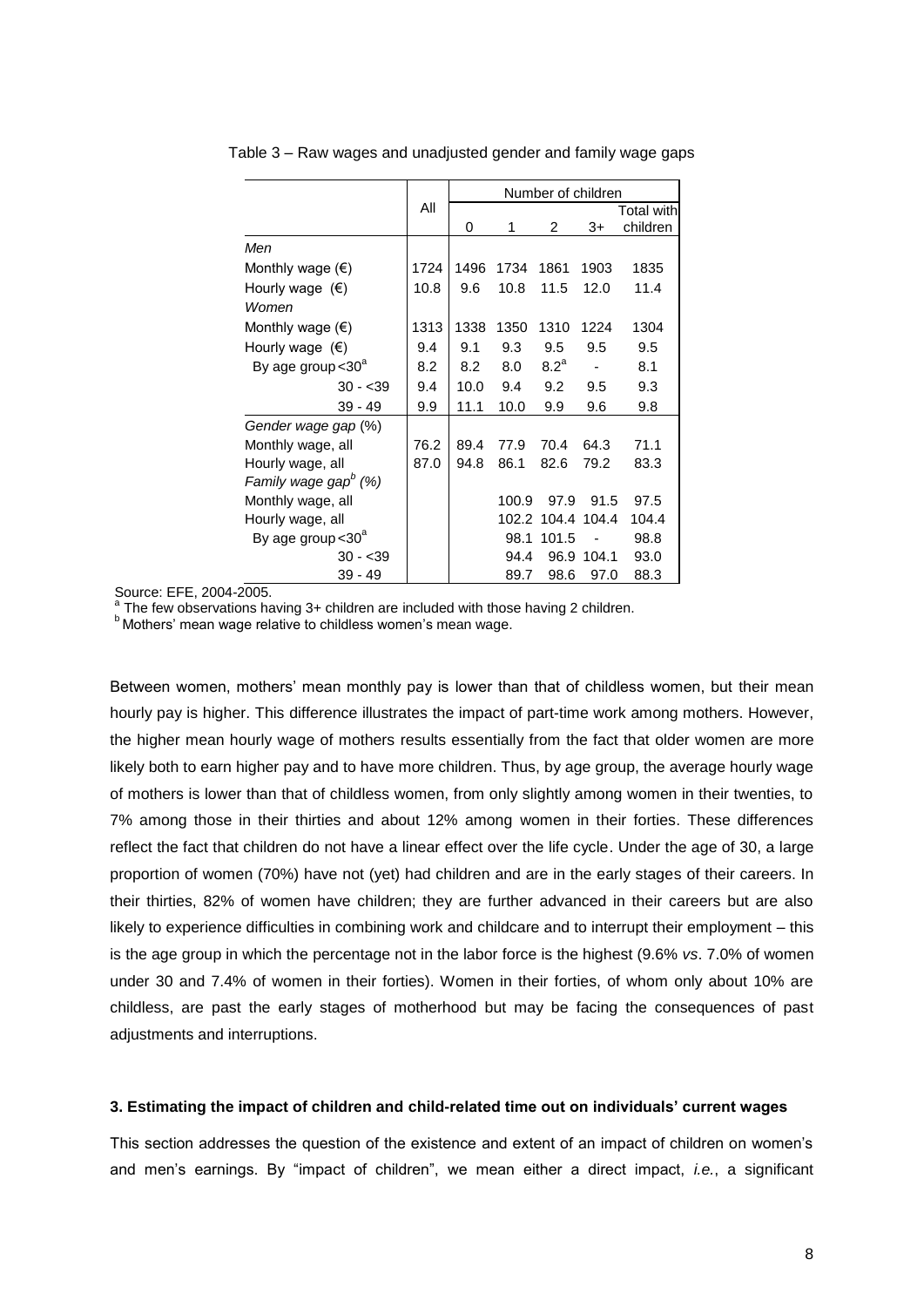|                                  |      |      |       | Number of children |       |                               |
|----------------------------------|------|------|-------|--------------------|-------|-------------------------------|
|                                  | All  | 0    | 1     | 2                  | 3+    | <b>Total with</b><br>children |
| Men                              |      |      |       |                    |       |                               |
| Monthly wage $(\epsilon)$        | 1724 | 1496 | 1734  | 1861               | 1903  | 1835                          |
| Hourly wage $(\epsilon)$         | 10.8 | 9.6  | 10.8  | 11.5               | 12.0  | 11.4                          |
| Women                            |      |      |       |                    |       |                               |
| Monthly wage $(\epsilon)$        | 1313 | 1338 | 1350  | 1310               | 1224  | 1304                          |
| Hourly wage $(\epsilon)$         | 9.4  | 9.1  | 9.3   | 9.5                | 9.5   | 9.5                           |
| By age group $<$ 30 $^{\circ}$   | 8.2  | 8.2  | 8.0   | 8.2 <sup>a</sup>   |       | 8.1                           |
| $30 - 39$                        | 9.4  | 10.0 | 9.4   | 9.2                | 9.5   | 9.3                           |
| $39 - 49$                        | 9.9  | 11.1 | 10.0  | 9.9                | 9.6   | 9.8                           |
| Gender wage gap (%)              |      |      |       |                    |       |                               |
| Monthly wage, all                | 76.2 | 89.4 | 77.9  | 70.4               | 64.3  | 71.1                          |
| Hourly wage, all                 | 87.0 | 94.8 | 86.1  | 82.6               | 79.2  | 83.3                          |
| Family wage gap <sup>b</sup> (%) |      |      |       |                    |       |                               |
| Monthly wage, all                |      |      | 100.9 | 97.9               | 91.5  | 97.5                          |
| Hourly wage, all                 |      |      | 102.2 | 104.4              | 104.4 | 104.4                         |
| By age group < 30 <sup>a</sup>   |      |      | 98.1  | 101.5              |       | 98.8                          |
| $30 - 39$                        |      |      | 94.4  | 96.9               | 104.1 | 93.0                          |
| $39 - 49$                        |      |      | 89.7  | 98.6               | 97.0  | 88.3                          |

Table 3 – Raw wages and unadjusted gender and family wage gaps

Source: EFE, 2004-2005.

 $a$ <sup>a</sup> The few observations having 3+ children are included with those having 2 children.

**b Mothers' mean wage relative to childless women's mean wage.** 

Between women, mothers' mean monthly pay is lower than that of childless women, but their mean hourly pay is higher. This difference illustrates the impact of part-time work among mothers. However, the higher mean hourly wage of mothers results essentially from the fact that older women are more likely both to earn higher pay and to have more children. Thus, by age group, the average hourly wage of mothers is lower than that of childless women, from only slightly among women in their twenties, to 7% among those in their thirties and about 12% among women in their forties. These differences reflect the fact that children do not have a linear effect over the life cycle. Under the age of 30, a large proportion of women (70%) have not (yet) had children and are in the early stages of their careers. In their thirties, 82% of women have children; they are further advanced in their careers but are also likely to experience difficulties in combining work and childcare and to interrupt their employment – this is the age group in which the percentage not in the labor force is the highest (9.6% *vs*. 7.0% of women under 30 and 7.4% of women in their forties). Women in their forties, of whom only about 10% are childless, are past the early stages of motherhood but may be facing the consequences of past adjustments and interruptions.

#### **3. Estimating the impact of children and child-related time out on individuals' current wages**

This section addresses the question of the existence and extent of an impact of children on women"s and men"s earnings. By "impact of children", we mean either a direct impact, *i.e.*, a significant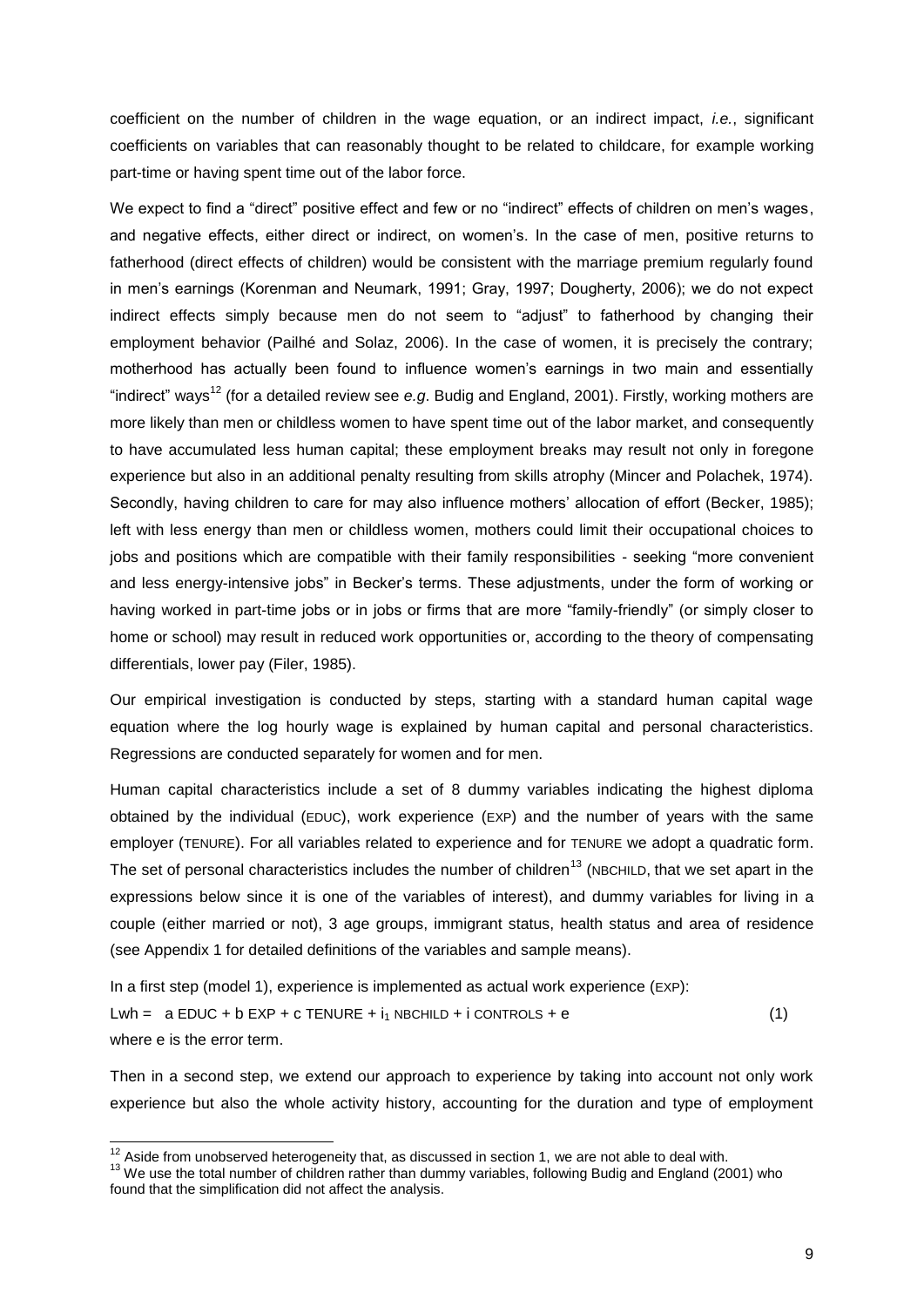coefficient on the number of children in the wage equation, or an indirect impact, *i.e.*, significant coefficients on variables that can reasonably thought to be related to childcare, for example working part-time or having spent time out of the labor force.

We expect to find a "direct" positive effect and few or no "indirect" effects of children on men's wages, and negative effects, either direct or indirect, on women"s. In the case of men, positive returns to fatherhood (direct effects of children) would be consistent with the marriage premium regularly found in men"s earnings (Korenman and Neumark, 1991; Gray, 1997; Dougherty, 2006); we do not expect indirect effects simply because men do not seem to "adjust" to fatherhood by changing their employment behavior (Pailhé and Solaz, 2006). In the case of women, it is precisely the contrary; motherhood has actually been found to influence women"s earnings in two main and essentially "indirect" ways<sup>12</sup> (for a detailed review see e.g. Budig and England, 2001). Firstly, working mothers are more likely than men or childless women to have spent time out of the labor market, and consequently to have accumulated less human capital; these employment breaks may result not only in foregone experience but also in an additional penalty resulting from skills atrophy (Mincer and Polachek, 1974). Secondly, having children to care for may also influence mothers' allocation of effort (Becker, 1985); left with less energy than men or childless women, mothers could limit their occupational choices to jobs and positions which are compatible with their family responsibilities - seeking "more convenient and less energy-intensive jobs" in Becker"s terms. These adjustments, under the form of working or having worked in part-time jobs or in jobs or firms that are more "family-friendly" (or simply closer to home or school) may result in reduced work opportunities or, according to the theory of compensating differentials, lower pay (Filer, 1985).

Our empirical investigation is conducted by steps, starting with a standard human capital wage equation where the log hourly wage is explained by human capital and personal characteristics. Regressions are conducted separately for women and for men.

Human capital characteristics include a set of 8 dummy variables indicating the highest diploma obtained by the individual (EDUC), work experience (EXP) and the number of years with the same employer (TENURE). For all variables related to experience and for TENURE we adopt a quadratic form. The set of personal characteristics includes the number of children<sup>13</sup> (NBCHILD, that we set apart in the expressions below since it is one of the variables of interest), and dummy variables for living in a couple (either married or not), 3 age groups, immigrant status, health status and area of residence (see Appendix 1 for detailed definitions of the variables and sample means).

In a first step (model 1), experience is implemented as actual work experience (EXP): Lwh =  $a$  EDUC + b EXP + c TENURE +  $i_1$  NBCHILD + i CONTROLS + e (1) where e is the error term.

Then in a second step, we extend our approach to experience by taking into account not only work experience but also the whole activity history, accounting for the duration and type of employment

 $\overline{\phantom{a}}$ 

 $12$  Aside from unobserved heterogeneity that, as discussed in section 1, we are not able to deal with.

<sup>&</sup>lt;sup>13</sup> We use the total number of children rather than dummy variables, following Budig and England (2001) who found that the simplification did not affect the analysis.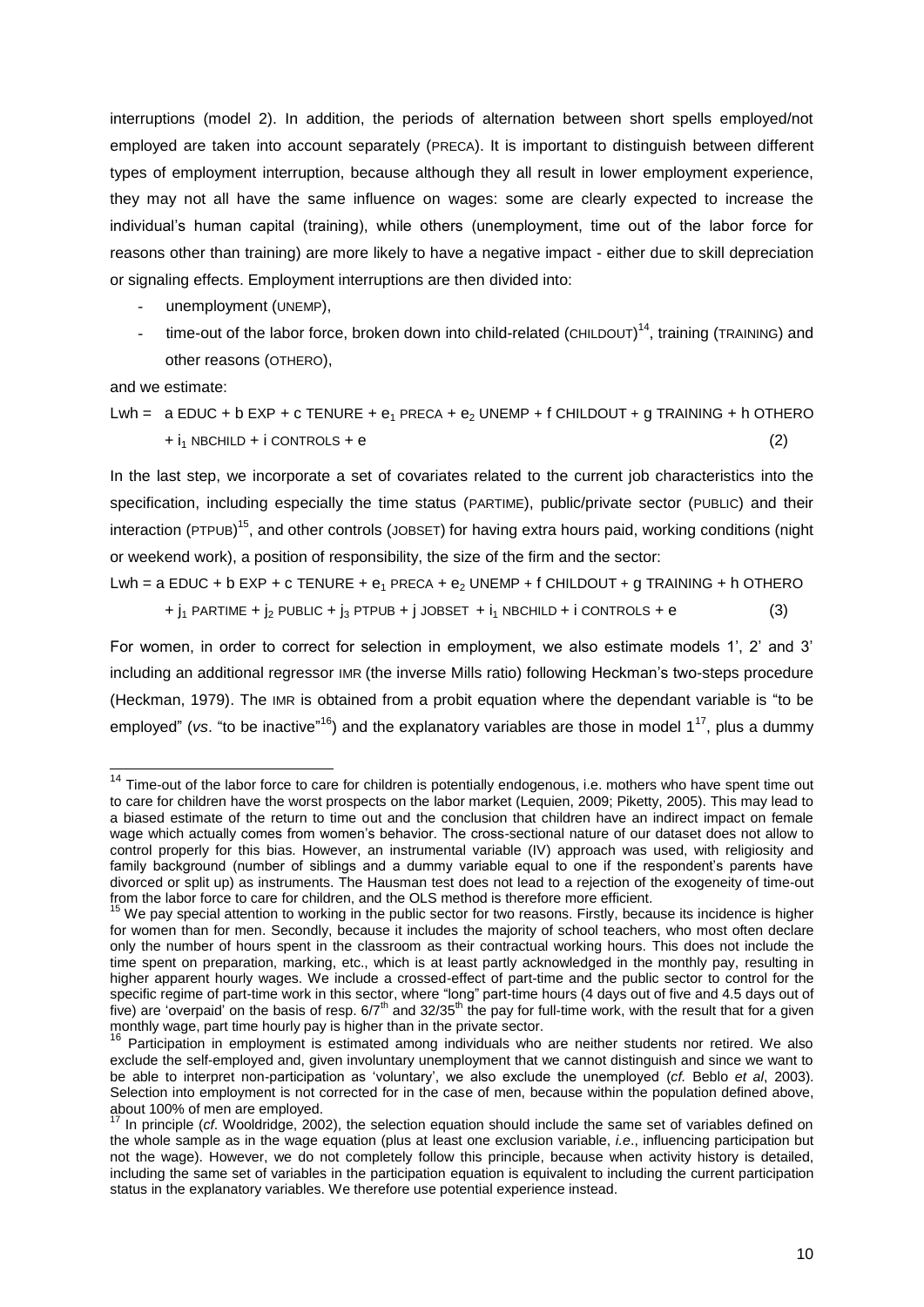interruptions (model 2). In addition, the periods of alternation between short spells employed/not employed are taken into account separately (PRECA). It is important to distinguish between different types of employment interruption, because although they all result in lower employment experience, they may not all have the same influence on wages: some are clearly expected to increase the individual"s human capital (training), while others (unemployment, time out of the labor force for reasons other than training) are more likely to have a negative impact - either due to skill depreciation or signaling effects. Employment interruptions are then divided into:

- unemployment (UNEMP),
- time-out of the labor force, broken down into child-related (CHILDOUT)<sup>14</sup>, training (TRAINING) and other reasons (OTHERO),

and we estimate:

 $\overline{\phantom{a}}$ 

Lwh =  $a$  EDUC + b EXP + c TENURE +  $e_1$  PRECA +  $e_2$  UNEMP + f CHILDOUT + g TRAINING + h OTHERO  $+i<sub>1</sub>$  NBCHILD + i CONTROLS + e (2)

In the last step, we incorporate a set of covariates related to the current job characteristics into the specification, including especially the time status (PARTIME), public/private sector (PUBLIC) and their interaction (PTPUB)<sup>15</sup>, and other controls (JOBSET) for having extra hours paid, working conditions (night or weekend work), a position of responsibility, the size of the firm and the sector:

Lwh = a EDUC + b EXP + c TENURE +  $e_1$  PRECA +  $e_2$  UNEMP + f CHILDOUT + g TRAINING + h OTHERO

 $+ j_1$  PARTIME +  $j_2$  PUBLIC +  $j_3$  PTPUB + j JOBSET +  $i_1$  NBCHILD + i CONTROLS + e (3)

For women, in order to correct for selection in employment, we also estimate models 1', 2' and 3' including an additional regressor IMR (the inverse Mills ratio) following Heckman"s two-steps procedure (Heckman, 1979). The IMR is obtained from a probit equation where the dependant variable is "to be employed" (vs. "to be inactive"<sup>16</sup>) and the explanatory variables are those in model 1<sup>17</sup>, plus a dummy

 $14$  Time-out of the labor force to care for children is potentially endogenous, i.e. mothers who have spent time out to care for children have the worst prospects on the labor market (Lequien, 2009; Piketty, 2005). This may lead to a biased estimate of the return to time out and the conclusion that children have an indirect impact on female wage which actually comes from women"s behavior. The cross-sectional nature of our dataset does not allow to control properly for this bias. However, an instrumental variable (IV) approach was used, with religiosity and family background (number of siblings and a dummy variable equal to one if the respondent's parents have divorced or split up) as instruments. The Hausman test does not lead to a rejection of the exogeneity of time-out from the labor force to care for children, and the OLS method is therefore more efficient.

<sup>&</sup>lt;sup>15</sup> We pay special attention to working in the public sector for two reasons. Firstly, because its incidence is higher for women than for men. Secondly, because it includes the majority of school teachers, who most often declare only the number of hours spent in the classroom as their contractual working hours. This does not include the time spent on preparation, marking, etc., which is at least partly acknowledged in the monthly pay, resulting in higher apparent hourly wages. We include a crossed-effect of part-time and the public sector to control for the specific regime of part-time work in this sector, where "long" part-time hours (4 days out of five and 4.5 days out of five) are 'overpaid' on the basis of resp. 6/7<sup>th</sup> and 32/35<sup>th</sup> the pay for full-time work, with the result that for a given monthly wage, part time hourly pay is higher than in the private sector.

<sup>&</sup>lt;sup>16</sup> Participation in employment is estimated among individuals who are neither students nor retired. We also exclude the self-employed and, given involuntary unemployment that we cannot distinguish and since we want to be able to interpret non-participation as "voluntary", we also exclude the unemployed (*cf.* Beblo *et al*, 2003). Selection into employment is not corrected for in the case of men, because within the population defined above, about 100% of men are employed.

<sup>17</sup> In principle (*cf*. Wooldridge, 2002), the selection equation should include the same set of variables defined on the whole sample as in the wage equation (plus at least one exclusion variable, *i.e*., influencing participation but not the wage). However, we do not completely follow this principle, because when activity history is detailed, including the same set of variables in the participation equation is equivalent to including the current participation status in the explanatory variables. We therefore use potential experience instead.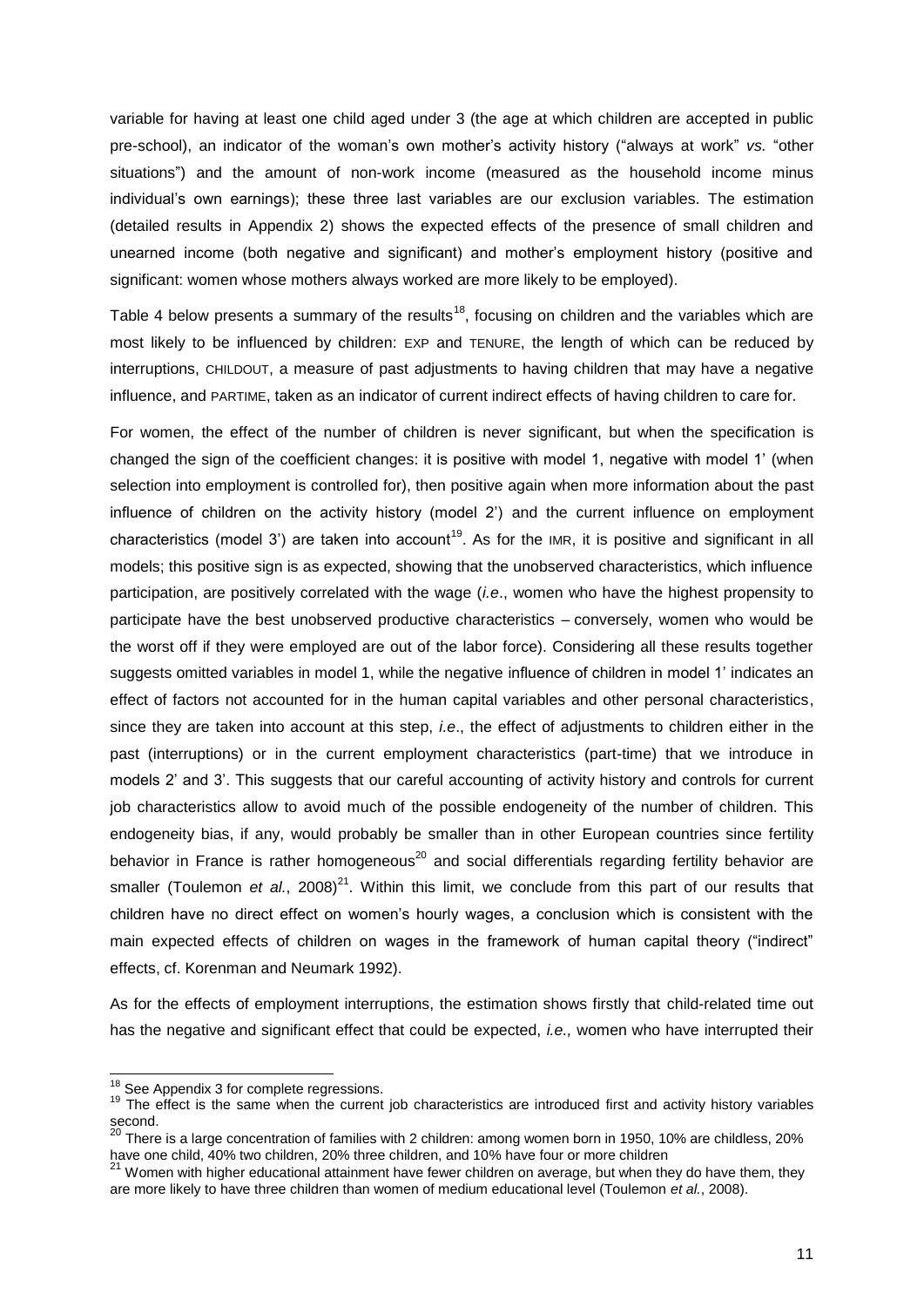variable for having at least one child aged under 3 (the age at which children are accepted in public pre-school), an indicator of the woman's own mother's activity history ("always at work" *vs.* "other situations") and the amount of non-work income (measured as the household income minus individual's own earnings); these three last variables are our exclusion variables. The estimation (detailed results in Appendix 2) shows the expected effects of the presence of small children and unearned income (both negative and significant) and mother"s employment history (positive and significant: women whose mothers always worked are more likely to be employed).

Table 4 below presents a summary of the results<sup>18</sup>, focusing on children and the variables which are most likely to be influenced by children: EXP and TENURE, the length of which can be reduced by interruptions, CHILDOUT, a measure of past adjustments to having children that may have a negative influence, and PARTIME, taken as an indicator of current indirect effects of having children to care for.

For women, the effect of the number of children is never significant, but when the specification is changed the sign of the coefficient changes: it is positive with model 1, negative with model 1" (when selection into employment is controlled for), then positive again when more information about the past influence of children on the activity history (model 2') and the current influence on employment characteristics (model 3') are taken into account<sup>19</sup>. As for the IMR, it is positive and significant in all models; this positive sign is as expected, showing that the unobserved characteristics, which influence participation, are positively correlated with the wage (*i.e*., women who have the highest propensity to participate have the best unobserved productive characteristics – conversely, women who would be the worst off if they were employed are out of the labor force). Considering all these results together suggests omitted variables in model 1, while the negative influence of children in model 1" indicates an effect of factors not accounted for in the human capital variables and other personal characteristics, since they are taken into account at this step, *i.e*., the effect of adjustments to children either in the past (interruptions) or in the current employment characteristics (part-time) that we introduce in models 2" and 3". This suggests that our careful accounting of activity history and controls for current job characteristics allow to avoid much of the possible endogeneity of the number of children. This endogeneity bias, if any, would probably be smaller than in other European countries since fertility behavior in France is rather homogeneous<sup>20</sup> and social differentials regarding fertility behavior are smaller (Toulemon et al., 2008)<sup>21</sup>. Within this limit, we conclude from this part of our results that children have no direct effect on women"s hourly wages, a conclusion which is consistent with the main expected effects of children on wages in the framework of human capital theory ("indirect" effects, cf. Korenman and Neumark 1992).

As for the effects of employment interruptions, the estimation shows firstly that child-related time out has the negative and significant effect that could be expected, *i.e.,* women who have interrupted their

l

 $18$  See Appendix 3 for complete regressions.

<sup>&</sup>lt;sup>19</sup> The effect is the same when the current job characteristics are introduced first and activity history variables second.

 $^{20}$  There is a large concentration of families with 2 children: among women born in 1950, 10% are childless, 20% have one child, 40% two children, 20% three children, and 10% have four or more children

 $^{21}$  Women with higher educational attainment have fewer children on average, but when they do have them, they are more likely to have three children than women of medium educational level (Toulemon *et al.*, 2008).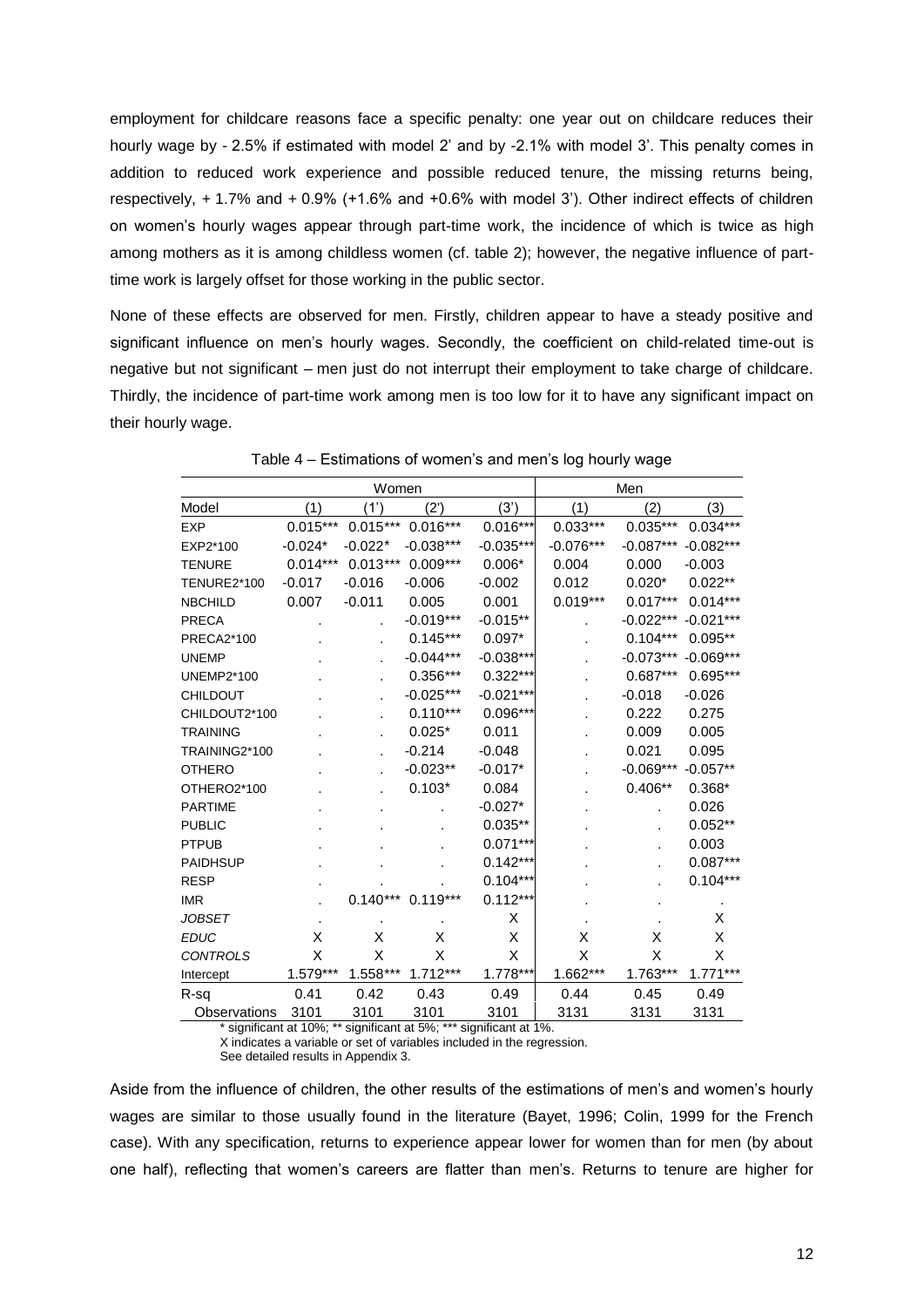employment for childcare reasons face a specific penalty: one year out on childcare reduces their hourly wage by - 2.5% if estimated with model 2' and by -2.1% with model 3'. This penalty comes in addition to reduced work experience and possible reduced tenure, the missing returns being, respectively, + 1.7% and + 0.9% (+1.6% and +0.6% with model 3"). Other indirect effects of children on women"s hourly wages appear through part-time work, the incidence of which is twice as high among mothers as it is among childless women (cf. table 2); however, the negative influence of parttime work is largely offset for those working in the public sector.

None of these effects are observed for men. Firstly, children appear to have a steady positive and significant influence on men's hourly wages. Secondly, the coefficient on child-related time-out is negative but not significant – men just do not interrupt their employment to take charge of childcare. Thirdly, the incidence of part-time work among men is too low for it to have any significant impact on their hourly wage.

|                    |            | Women      |             |             |             | Men         |             |
|--------------------|------------|------------|-------------|-------------|-------------|-------------|-------------|
| Model              | (1)        | (1')       | (2')        | (3')        | (1)         | (2)         | (3)         |
| <b>EXP</b>         | $0.015***$ | $0.015***$ | $0.016***$  | $0.016***$  | $0.033***$  | $0.035***$  | $0.034***$  |
| EXP2*100           | $-0.024*$  | $-0.022*$  | $-0.038***$ | $-0.035***$ | $-0.076***$ | $-0.087***$ | $-0.082***$ |
| <b>TENURE</b>      | $0.014***$ | $0.013***$ | $0.009***$  | $0.006*$    | 0.004       | 0.000       | $-0.003$    |
| <b>TENURE2*100</b> | $-0.017$   | $-0.016$   | $-0.006$    | $-0.002$    | 0.012       | $0.020*$    | $0.022**$   |
| <b>NBCHILD</b>     | 0.007      | $-0.011$   | 0.005       | 0.001       | $0.019***$  | $0.017***$  | $0.014***$  |
| <b>PRECA</b>       |            |            | $-0.019***$ | $-0.015**$  |             | $-0.022***$ | $-0.021***$ |
| PRECA2*100         |            |            | $0.145***$  | $0.097*$    |             | $0.104***$  | $0.095**$   |
| <b>UNEMP</b>       |            |            | $-0.044***$ | $-0.038***$ |             | $-0.073***$ | $-0.069***$ |
| <b>UNEMP2*100</b>  |            |            | $0.356***$  | $0.322***$  |             | $0.687***$  | $0.695***$  |
| <b>CHILDOUT</b>    |            |            | $-0.025***$ | $-0.021***$ |             | $-0.018$    | $-0.026$    |
| CHILDOUT2*100      |            |            | $0.110***$  | 0.096***    |             | 0.222       | 0.275       |
| <b>TRAINING</b>    |            |            | $0.025*$    | 0.011       |             | 0.009       | 0.005       |
| TRAINING2*100      |            |            | $-0.214$    | $-0.048$    |             | 0.021       | 0.095       |
| <b>OTHERO</b>      |            |            | $-0.023**$  | $-0.017*$   |             | $-0.069***$ | $-0.057**$  |
| OTHERO2*100        |            |            | $0.103*$    | 0.084       |             | $0.406**$   | $0.368*$    |
| <b>PARTIME</b>     |            |            |             | $-0.027*$   |             |             | 0.026       |
| <b>PUBLIC</b>      |            |            |             | $0.035**$   |             |             | $0.052**$   |
| <b>PTPUB</b>       |            |            |             | $0.071***$  |             |             | 0.003       |
| <b>PAIDHSUP</b>    |            |            |             | $0.142***$  |             |             | $0.087***$  |
| <b>RESP</b>        |            |            |             | $0.104***$  |             |             | $0.104***$  |
| <b>IMR</b>         |            | $0.140***$ | $0.119***$  | $0.112***$  |             |             |             |
| <b>JOBSET</b>      |            |            |             | X           |             |             | X           |
| <b>EDUC</b>        | х          | х          | х           | X           | X           | х           | X           |
| <b>CONTROLS</b>    | X          | X          | X           | Χ           | X           | X           | X           |
| Intercept          | 1.579***   | $1.558***$ | $1.712***$  | 1.778***    | 1.662***    | 1.763***    | $1.771***$  |
| R-sq               | 0.41       | 0.42       | 0.43        | 0.49        | 0.44        | 0.45        | 0.49        |
| Observations       | 3101       | 3101       | 3101        | 3101        | 3131        | 3131        | 3131        |

Table 4 – Estimations of women"s and men"s log hourly wage

\* significant at 10%; \*\* significant at 5%; \*\*\* significant at 1%. X indicates a variable or set of variables included in the regression.

See detailed results in Appendix 3.

Aside from the influence of children, the other results of the estimations of men"s and women"s hourly wages are similar to those usually found in the literature (Bayet, 1996; Colin, 1999 for the French case). With any specification, returns to experience appear lower for women than for men (by about one half), reflecting that women"s careers are flatter than men"s. Returns to tenure are higher for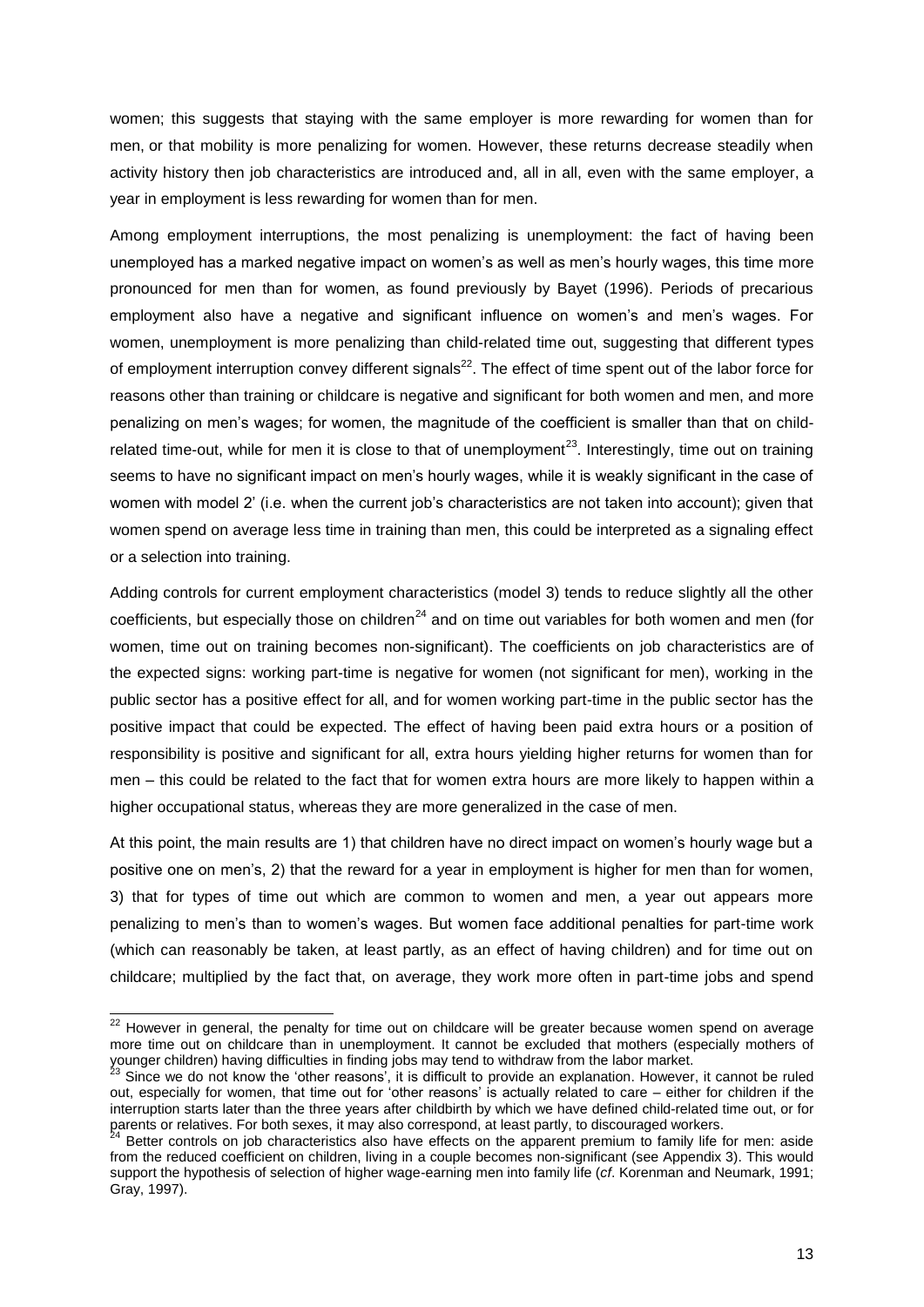women; this suggests that staying with the same employer is more rewarding for women than for men, or that mobility is more penalizing for women. However, these returns decrease steadily when activity history then job characteristics are introduced and, all in all, even with the same employer, a year in employment is less rewarding for women than for men.

Among employment interruptions, the most penalizing is unemployment: the fact of having been unemployed has a marked negative impact on women's as well as men's hourly wages, this time more pronounced for men than for women, as found previously by Bayet (1996). Periods of precarious employment also have a negative and significant influence on women"s and men"s wages. For women, unemployment is more penalizing than child-related time out, suggesting that different types of employment interruption convey different signals<sup>22</sup>. The effect of time spent out of the labor force for reasons other than training or childcare is negative and significant for both women and men, and more penalizing on men"s wages; for women, the magnitude of the coefficient is smaller than that on childrelated time-out, while for men it is close to that of unemployment<sup>23</sup>. Interestingly, time out on training seems to have no significant impact on men's hourly wages, while it is weakly significant in the case of women with model 2' (i.e. when the current job's characteristics are not taken into account); given that women spend on average less time in training than men, this could be interpreted as a signaling effect or a selection into training.

Adding controls for current employment characteristics (model 3) tends to reduce slightly all the other coefficients, but especially those on children<sup>24</sup> and on time out variables for both women and men (for women, time out on training becomes non-significant). The coefficients on job characteristics are of the expected signs: working part-time is negative for women (not significant for men), working in the public sector has a positive effect for all, and for women working part-time in the public sector has the positive impact that could be expected. The effect of having been paid extra hours or a position of responsibility is positive and significant for all, extra hours yielding higher returns for women than for men – this could be related to the fact that for women extra hours are more likely to happen within a higher occupational status, whereas they are more generalized in the case of men.

At this point, the main results are 1) that children have no direct impact on women"s hourly wage but a positive one on men"s, 2) that the reward for a year in employment is higher for men than for women, 3) that for types of time out which are common to women and men, a year out appears more penalizing to men"s than to women"s wages. But women face additional penalties for part-time work (which can reasonably be taken, at least partly, as an effect of having children) and for time out on childcare; multiplied by the fact that, on average, they work more often in part-time jobs and spend

l

 $22$  However in general, the penalty for time out on childcare will be greater because women spend on average more time out on childcare than in unemployment. It cannot be excluded that mothers (especially mothers of younger children) having difficulties in finding jobs may tend to withdraw from the labor market.

 $3$  Since we do not know the 'other reasons', it is difficult to provide an explanation. However, it cannot be ruled out, especially for women, that time out for "other reasons" is actually related to care – either for children if the interruption starts later than the three years after childbirth by which we have defined child-related time out, or for parents or relatives. For both sexes, it may also correspond, at least partly, to discouraged workers.

Better controls on job characteristics also have effects on the apparent premium to family life for men: aside from the reduced coefficient on children, living in a couple becomes non-significant (see Appendix 3). This would support the hypothesis of selection of higher wage-earning men into family life (*cf*. Korenman and Neumark, 1991; Gray, 1997).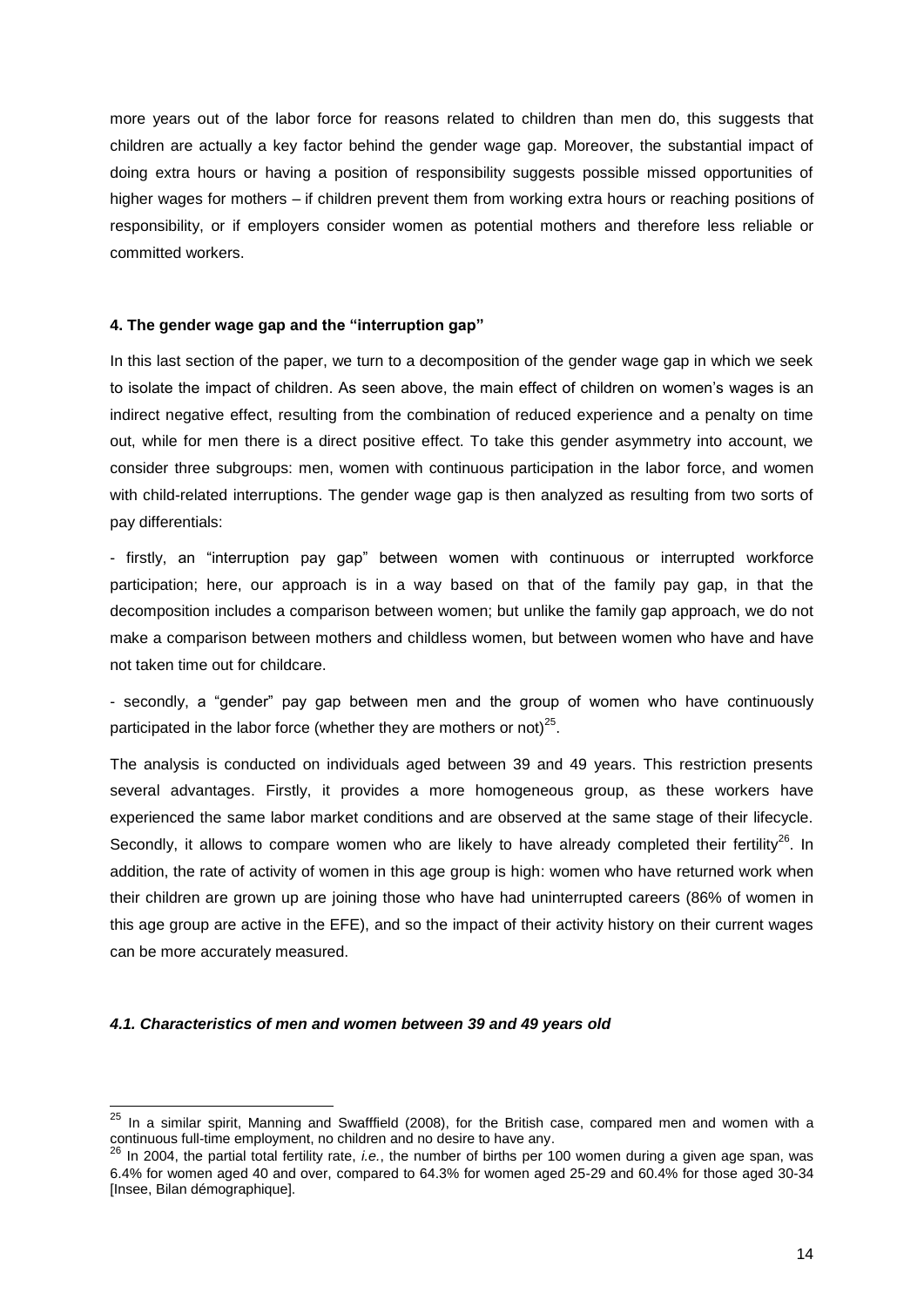more years out of the labor force for reasons related to children than men do, this suggests that children are actually a key factor behind the gender wage gap. Moreover, the substantial impact of doing extra hours or having a position of responsibility suggests possible missed opportunities of higher wages for mothers – if children prevent them from working extra hours or reaching positions of responsibility, or if employers consider women as potential mothers and therefore less reliable or committed workers.

#### **4. The gender wage gap and the "interruption gap"**

In this last section of the paper, we turn to a decomposition of the gender wage gap in which we seek to isolate the impact of children. As seen above, the main effect of children on women"s wages is an indirect negative effect, resulting from the combination of reduced experience and a penalty on time out, while for men there is a direct positive effect. To take this gender asymmetry into account, we consider three subgroups: men, women with continuous participation in the labor force, and women with child-related interruptions. The gender wage gap is then analyzed as resulting from two sorts of pay differentials:

- firstly, an "interruption pay gap" between women with continuous or interrupted workforce participation; here, our approach is in a way based on that of the family pay gap, in that the decomposition includes a comparison between women; but unlike the family gap approach, we do not make a comparison between mothers and childless women, but between women who have and have not taken time out for childcare.

- secondly, a "gender" pay gap between men and the group of women who have continuously participated in the labor force (whether they are mothers or not) $^{25}$ .

The analysis is conducted on individuals aged between 39 and 49 years. This restriction presents several advantages. Firstly, it provides a more homogeneous group, as these workers have experienced the same labor market conditions and are observed at the same stage of their lifecycle. Secondly, it allows to compare women who are likely to have already completed their fertility<sup>26</sup>. In addition, the rate of activity of women in this age group is high: women who have returned work when their children are grown up are joining those who have had uninterrupted careers (86% of women in this age group are active in the EFE), and so the impact of their activity history on their current wages can be more accurately measured.

#### *4.1. Characteristics of men and women between 39 and 49 years old*

l

 $^{25}$  In a similar spirit, Manning and Swafffield (2008), for the British case, compared men and women with a continuous full-time employment, no children and no desire to have any.

<sup>26</sup> In 2004, the partial total fertility rate, *i.e.*, the number of births per 100 women during a given age span, was 6.4% for women aged 40 and over, compared to 64.3% for women aged 25-29 and 60.4% for those aged 30-34 [Insee, Bilan démographique].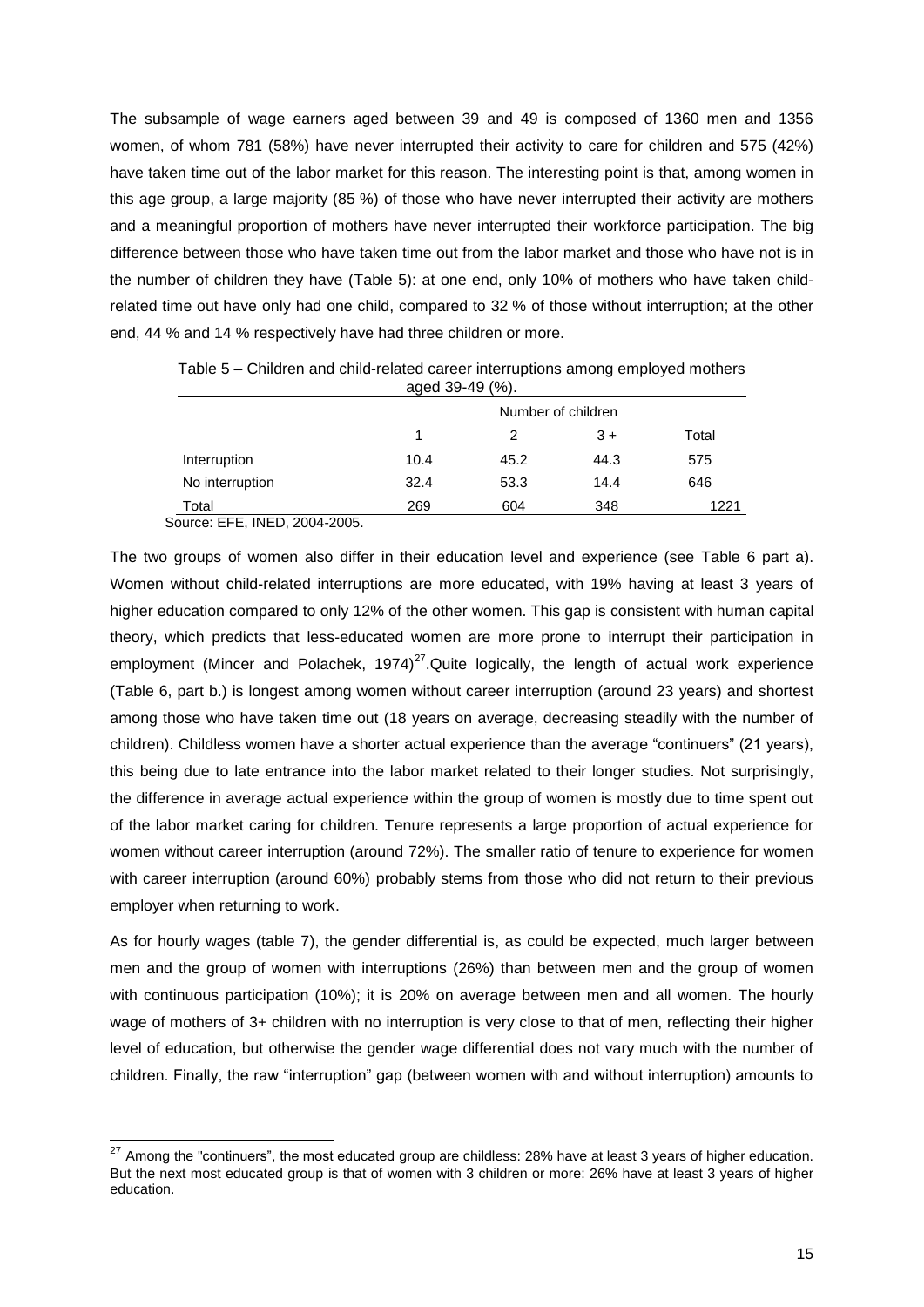The subsample of wage earners aged between 39 and 49 is composed of 1360 men and 1356 women, of whom 781 (58%) have never interrupted their activity to care for children and 575 (42%) have taken time out of the labor market for this reason. The interesting point is that, among women in this age group, a large majority (85 %) of those who have never interrupted their activity are mothers and a meaningful proportion of mothers have never interrupted their workforce participation. The big difference between those who have taken time out from the labor market and those who have not is in the number of children they have (Table 5): at one end, only 10% of mothers who have taken childrelated time out have only had one child, compared to 32 % of those without interruption; at the other end, 44 % and 14 % respectively have had three children or more.

|                 | $0.400$ $0.701$ $0.701$ |      |      |       |  |  |  |  |  |
|-----------------|-------------------------|------|------|-------|--|--|--|--|--|
|                 | Number of children      |      |      |       |  |  |  |  |  |
|                 |                         | 2    | $3+$ | Total |  |  |  |  |  |
| Interruption    | 10.4                    | 45.2 | 44.3 | 575   |  |  |  |  |  |
| No interruption | 32.4                    | 53.3 | 14.4 | 646   |  |  |  |  |  |
| Total           | 269                     | 604  | 348  | 1221  |  |  |  |  |  |

Table 5 – Children and child-related career interruptions among employed mothers  $(29 - 49 - 49)$ 

Source: EFE, INED, 2004-2005.

 $\overline{a}$ 

The two groups of women also differ in their education level and experience (see Table 6 part a). Women without child-related interruptions are more educated, with 19% having at least 3 years of higher education compared to only 12% of the other women. This gap is consistent with human capital theory, which predicts that less-educated women are more prone to interrupt their participation in employment (Mincer and Polachek, 1974) $^{27}$ . Quite logically, the length of actual work experience (Table 6, part b.) is longest among women without career interruption (around 23 years) and shortest among those who have taken time out (18 years on average, decreasing steadily with the number of children). Childless women have a shorter actual experience than the average "continuers" (21 years), this being due to late entrance into the labor market related to their longer studies. Not surprisingly, the difference in average actual experience within the group of women is mostly due to time spent out of the labor market caring for children. Tenure represents a large proportion of actual experience for women without career interruption (around 72%). The smaller ratio of tenure to experience for women with career interruption (around 60%) probably stems from those who did not return to their previous employer when returning to work.

As for hourly wages (table 7), the gender differential is, as could be expected, much larger between men and the group of women with interruptions (26%) than between men and the group of women with continuous participation (10%); it is 20% on average between men and all women. The hourly wage of mothers of 3+ children with no interruption is very close to that of men, reflecting their higher level of education, but otherwise the gender wage differential does not vary much with the number of children. Finally, the raw "interruption" gap (between women with and without interruption) amounts to

 $^{27}$  Among the "continuers", the most educated group are childless: 28% have at least 3 years of higher education. But the next most educated group is that of women with 3 children or more: 26% have at least 3 years of higher education.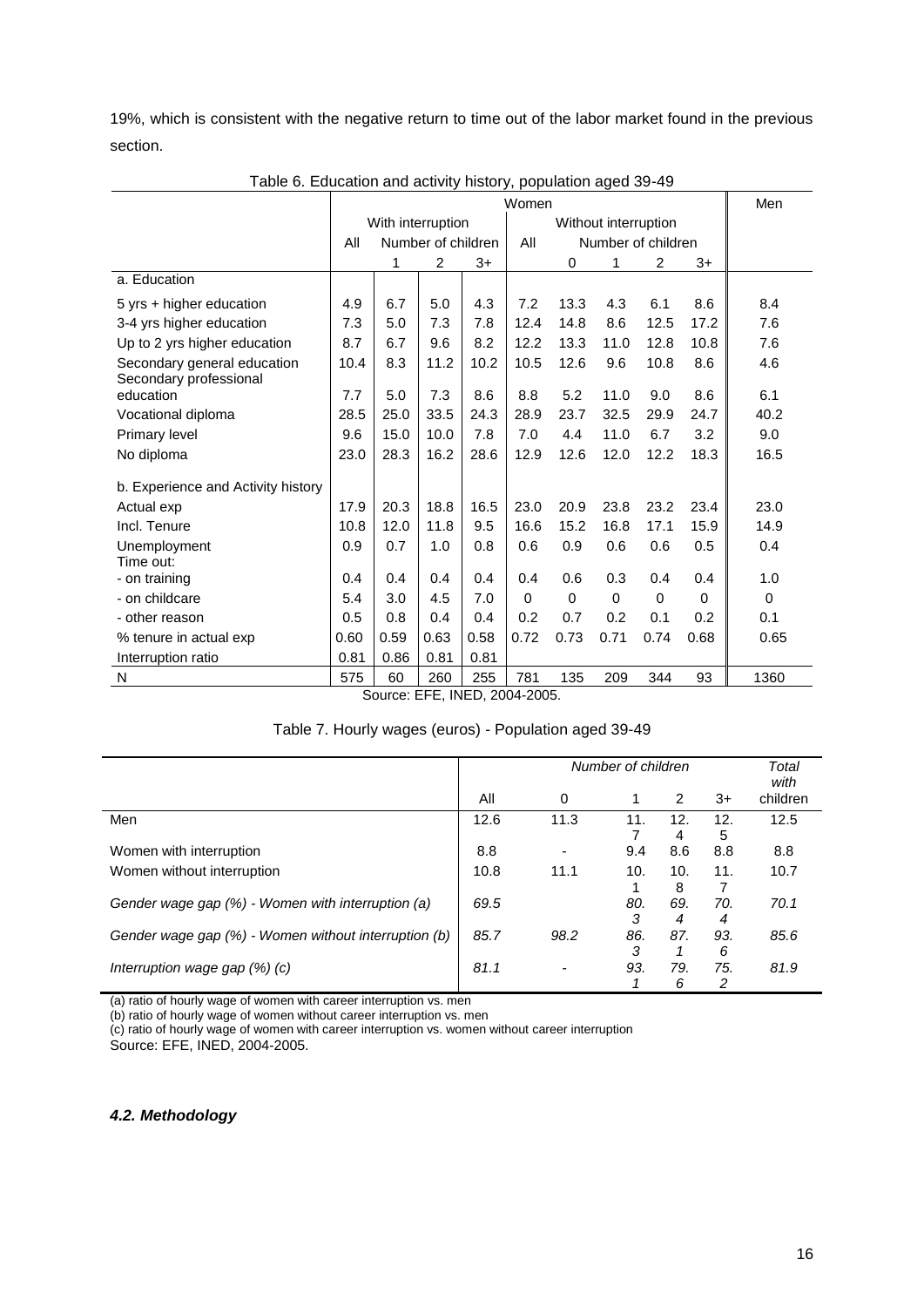19%, which is consistent with the negative return to time out of the labor market found in the previous section.

|                                                       |      |                   |                    |      | Women    |                    |                      |                |          | Men      |
|-------------------------------------------------------|------|-------------------|--------------------|------|----------|--------------------|----------------------|----------------|----------|----------|
|                                                       |      | With interruption |                    |      |          |                    | Without interruption |                |          |          |
|                                                       | All  |                   | Number of children |      | All      | Number of children |                      |                |          |          |
|                                                       |      | 1                 | $\overline{2}$     | $3+$ |          | $\Omega$           | 1                    | $\overline{2}$ | $3+$     |          |
| a. Education                                          |      |                   |                    |      |          |                    |                      |                |          |          |
| 5 yrs + higher education                              | 4.9  | 6.7               | 5.0                | 4.3  | 7.2      | 13.3               | 4.3                  | 6.1            | 8.6      | 8.4      |
| 3-4 yrs higher education                              | 7.3  | 5.0               | 7.3                | 7.8  | 12.4     | 14.8               | 8.6                  | 12.5           | 17.2     | 7.6      |
| Up to 2 yrs higher education                          | 8.7  | 6.7               | 9.6                | 8.2  | 12.2     | 13.3               | 11.0                 | 12.8           | 10.8     | 7.6      |
| Secondary general education<br>Secondary professional | 10.4 | 8.3               | 11.2               | 10.2 | 10.5     | 12.6               | 9.6                  | 10.8           | 8.6      | 4.6      |
| education                                             | 7.7  | 5.0               | 7.3                | 8.6  | 8.8      | 5.2                | 11.0                 | 9.0            | 8.6      | 6.1      |
| Vocational diploma                                    | 28.5 | 25.0              | 33.5               | 24.3 | 28.9     | 23.7               | 32.5                 | 29.9           | 24.7     | 40.2     |
| <b>Primary level</b>                                  | 9.6  | 15.0              | 10.0               | 7.8  | 7.0      | 4.4                | 11.0                 | 6.7            | 3.2      | 9.0      |
| No diploma                                            | 23.0 | 28.3              | 16.2               | 28.6 | 12.9     | 12.6               | 12.0                 | 12.2           | 18.3     | 16.5     |
| b. Experience and Activity history                    |      |                   |                    |      |          |                    |                      |                |          |          |
| Actual exp                                            | 17.9 | 20.3              | 18.8               | 16.5 | 23.0     | 20.9               | 23.8                 | 23.2           | 23.4     | 23.0     |
| Incl. Tenure                                          | 10.8 | 12.0              | 11.8               | 9.5  | 16.6     | 15.2               | 16.8                 | 17.1           | 15.9     | 14.9     |
| Unemployment<br>Time out:                             | 0.9  | 0.7               | 1.0                | 0.8  | 0.6      | 0.9                | 0.6                  | 0.6            | 0.5      | 0.4      |
| - on training                                         | 0.4  | 0.4               | 0.4                | 0.4  | 0.4      | 0.6                | 0.3                  | 0.4            | 0.4      | 1.0      |
| - on childcare                                        | 5.4  | 3.0               | 4.5                | 7.0  | $\Omega$ | $\Omega$           | $\Omega$             | 0              | $\Omega$ | $\Omega$ |
| - other reason                                        | 0.5  | 0.8               | 0.4                | 0.4  | 0.2      | 0.7                | 0.2                  | 0.1            | 0.2      | 0.1      |
| % tenure in actual exp                                | 0.60 | 0.59              | 0.63               | 0.58 | 0.72     | 0.73               | 0.71                 | 0.74           | 0.68     | 0.65     |
| Interruption ratio                                    | 0.81 | 0.86              | 0.81               | 0.81 |          |                    |                      |                |          |          |
| N                                                     | 575  | 60                | 260                | 255  | 781      | 135                | 209                  | 344            | 93       | 1360     |

Table 6. Education and activity history, population aged 39-49

Source: EFE, INED, 2004-2005.

| Table 7. Hourly wages (euros) - Population aged 39-49 |  |
|-------------------------------------------------------|--|
|                                                       |  |

|                                                      |      |                          | Number of children |                |          | Total<br>with |
|------------------------------------------------------|------|--------------------------|--------------------|----------------|----------|---------------|
|                                                      | All  | 0                        |                    | $\overline{2}$ | $3+$     | children      |
| Men                                                  | 12.6 | 11.3                     | 11.                | 12.<br>4       | 12.<br>5 | 12.5          |
| Women with interruption                              | 8.8  | $\blacksquare$           | 9.4                | 8.6            | 8.8      | 8.8           |
| Women without interruption                           | 10.8 | 11.1                     | 10.                | 10.<br>8       | 11.      | 10.7          |
| Gender wage gap (%) - Women with interruption (a)    | 69.5 |                          | 80.<br>3           | 69.<br>4       | 70.<br>4 | 70.1          |
| Gender wage gap (%) - Women without interruption (b) | 85.7 | 98.2                     | 86.<br>3           | 87.            | 93.<br>6 | 85.6          |
| Interruption wage gap $(\%)$ (c)                     | 81.1 | $\overline{\phantom{a}}$ | 93.                | 79.<br>6       | 75.<br>2 | 81.9          |

(a) ratio of hourly wage of women with career interruption vs. men

(b) ratio of hourly wage of women without career interruption vs. men

(c) ratio of hourly wage of women with career interruption vs. women without career interruption Source: EFE, INED, 2004-2005.

*4.2. Methodology*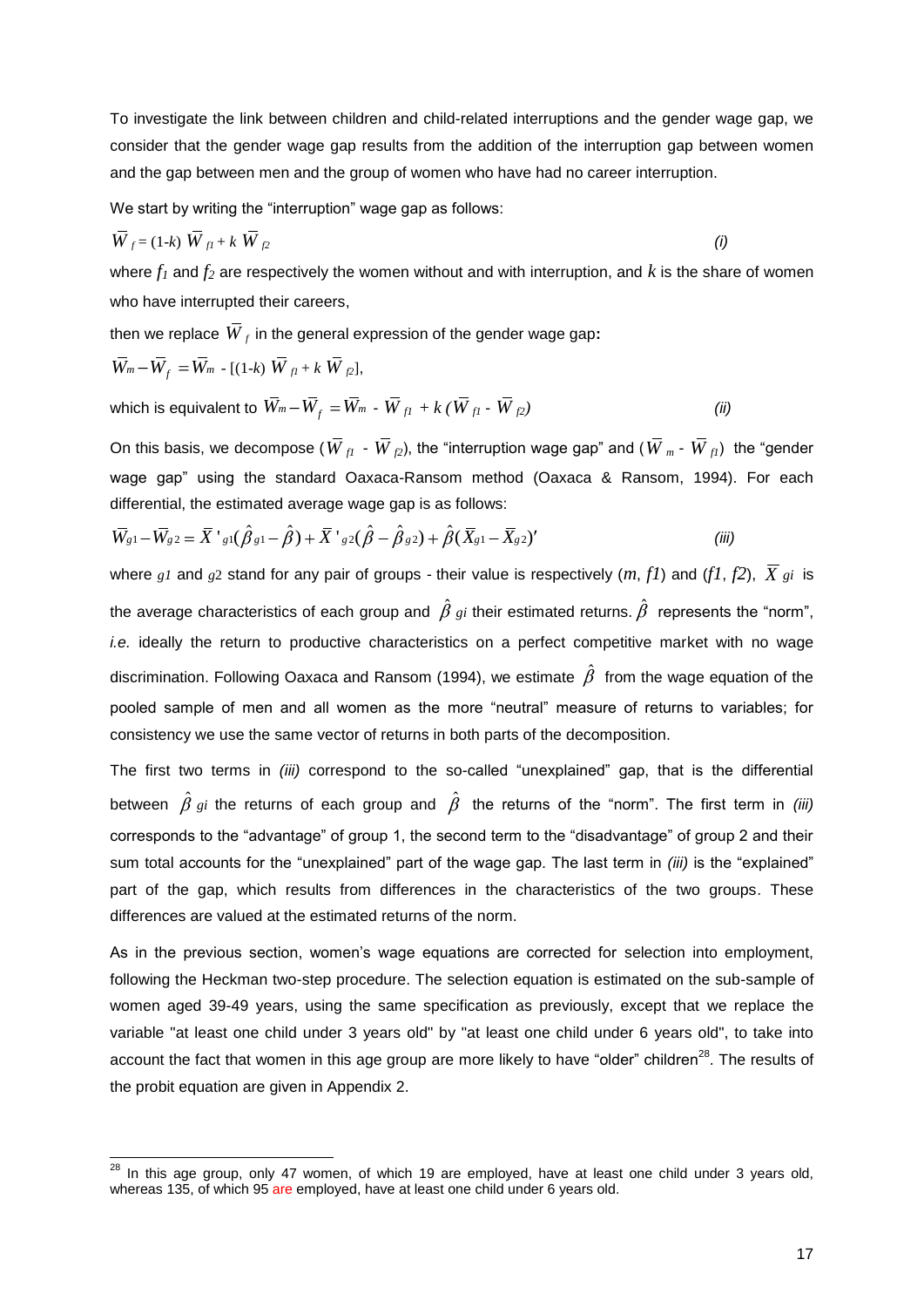To investigate the link between children and child-related interruptions and the gender wage gap, we consider that the gender wage gap results from the addition of the interruption gap between women and the gap between men and the group of women who have had no career interruption.

We start by writing the "interruption" wage gap as follows:

$$
\overline{W}_{f} = (1-k)\ \overline{W}_{f1} + k\ \overline{W}_{f2} \tag{i}
$$

where  $f_1$  and  $f_2$  are respectively the women without and with interruption, and  $k$  is the share of women who have interrupted their careers,

then we replace  $\overline{W}_f$  in the general expression of the gender wage gap**:** 

$$
\overline{W}_m - \overline{W}_f = \overline{W}_m - [(1-k) \overline{W}_{fl} + k \overline{W}_{fl}],
$$

l

which is equivalent to  $\,\overline{W}_m\!-\!\overline{W}_f = \overline{W}_m$  -  $\,\overline{W}_{f1}$  +  $k$  (  $\overline{W}_{f1}$  -  $\,\overline{W}$ *f2) (ii)*

On this basis, we decompose ( $W_{fl}$  -  $W_{f2}$ ), the "interruption wage gap" and ( $W_{m}$  -  $\overline{W}_{fl}$ ) the "gender wage gap" using the standard Oaxaca-Ransom method (Oaxaca & Ransom, 1994). For each differential, the estimated average wage gap is as follows: differential, the estimated average wage gap is as follows:<br> $\bar{W}_{g1} - \bar{W}_{g2} = \bar{X}^{\dagger}{}_{g1}(\hat{\beta}{}_{g1} - \hat{\beta}) + \bar{X}^{\dagger}{}_{g2}(\hat{\beta} - \hat{\beta}{}_{g2}) + \hat{\beta}(\bar{X}_{g1} - \bar{X}_{g2})$ 

$$
\overline{W}_{g1} - \overline{W}_{g2} = \overline{X}^{\dagger}{}_{g1}(\hat{\beta}_{g1} - \hat{\beta}) + \overline{X}^{\dagger}{}_{g2}(\hat{\beta} - \hat{\beta}_{g2}) + \hat{\beta}(\overline{X}_{g1} - \overline{X}_{g2})'
$$
\n(*iii*)

where  $gI$  and  $g2$  stand for any pair of groups - their value is respectively  $(m, fI)$  and  $(fI, f2)$ ,  $X$   $gI$  is the average characteristics of each group and  $\hat{\beta}$  *gi* their estimated returns.  $\hat{\beta}$  represents the "norm", *i.e.* ideally the return to productive characteristics on a perfect competitive market with no wage discrimination. Following Oaxaca and Ransom (1994), we estimate  $\,\hat{\beta}\,$  from the wage equation of the pooled sample of men and all women as the more "neutral" measure of returns to variables; for consistency we use the same vector of returns in both parts of the decomposition.

The first two terms in *(iii)* correspond to the so-called "unexplained" gap, that is the differential between  $\hat{\beta}$   $_{gi}$  the returns of each group and  $\hat{\beta}$  the returns of the "norm". The first term in *(iii)* corresponds to the "advantage" of group 1, the second term to the "disadvantage" of group 2 and their sum total accounts for the "unexplained" part of the wage gap. The last term in *(iii)* is the "explained" part of the gap, which results from differences in the characteristics of the two groups. These differences are valued at the estimated returns of the norm.

As in the previous section, women"s wage equations are corrected for selection into employment, following the Heckman two-step procedure. The selection equation is estimated on the sub-sample of women aged 39-49 years, using the same specification as previously, except that we replace the variable "at least one child under 3 years old" by "at least one child under 6 years old", to take into account the fact that women in this age group are more likely to have "older" children<sup>28</sup>. The results of the probit equation are given in Appendix 2.

 $^{28}$  In this age group, only 47 women, of which 19 are employed, have at least one child under 3 years old, whereas 135, of which 95 are employed, have at least one child under 6 years old.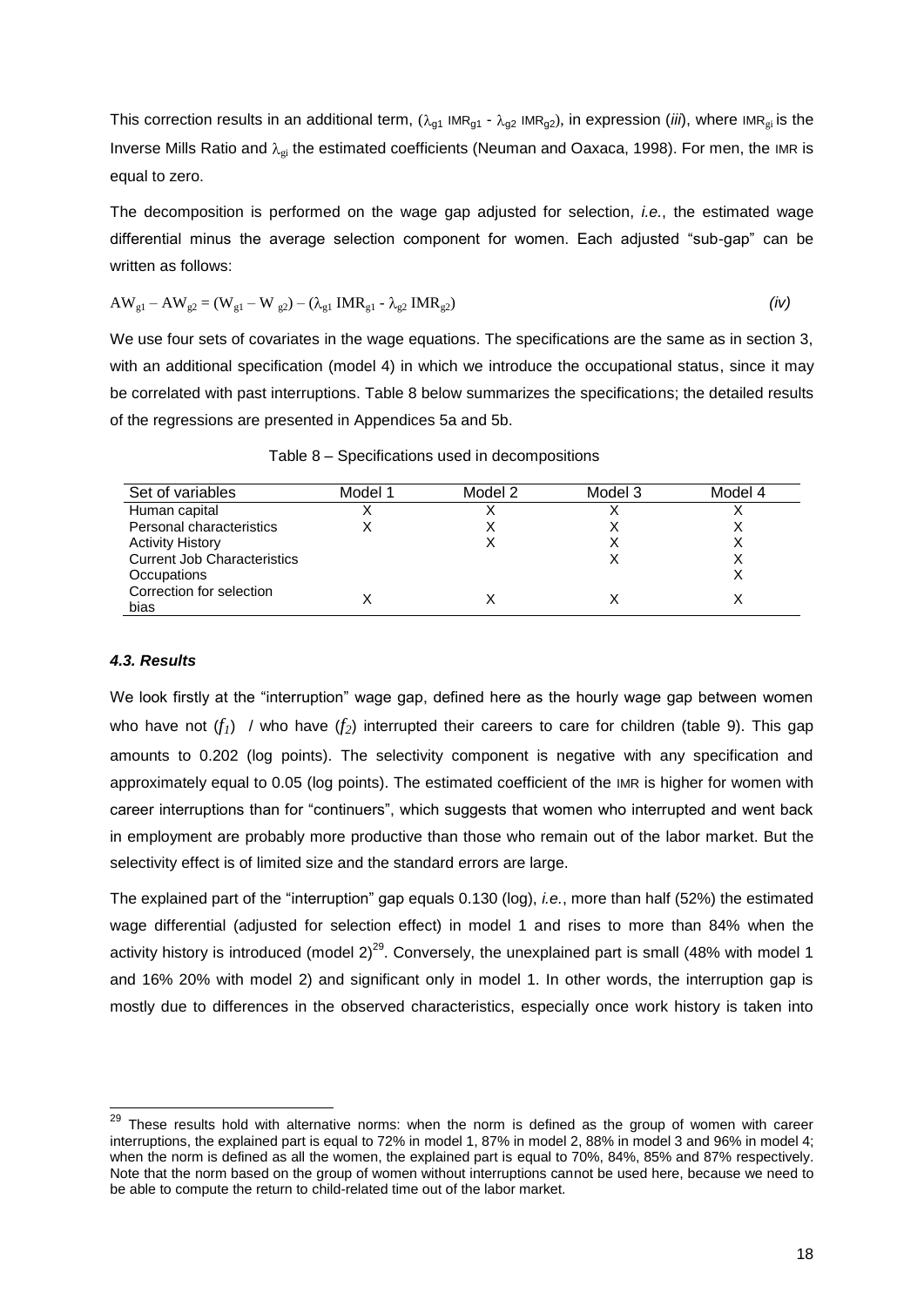This correction results in an additional term,  $(\lambda_{g1}$  IMR<sub>g1</sub> -  $\lambda_{g2}$  IMR<sub>g2</sub>), in expression (*iii*), where IMR<sub>gi</sub> is the Inverse Mills Ratio and  $\lambda_{gi}$  the estimated coefficients (Neuman and Oaxaca, 1998). For men, the IMR is equal to zero.

The decomposition is performed on the wage gap adjusted for selection, *i.e.*, the estimated wage differential minus the average selection component for women. Each adjusted "sub-gap" can be written as follows:

$$
AW_{g1} - AW_{g2} = (W_{g1} - W_{g2}) - (\lambda_{g1} \, IMR_{g1} - \lambda_{g2} \, IMR_{g2})
$$
 (iv)

We use four sets of covariates in the wage equations. The specifications are the same as in section 3, with an additional specification (model 4) in which we introduce the occupational status, since it may be correlated with past interruptions. Table 8 below summarizes the specifications; the detailed results of the regressions are presented in Appendices 5a and 5b.

| Set of variables                   | Model 1 | Model 2 | Model 3 | Model 4 |
|------------------------------------|---------|---------|---------|---------|
| Human capital                      |         |         |         |         |
| Personal characteristics           |         |         |         |         |
| <b>Activity History</b>            |         |         |         |         |
| <b>Current Job Characteristics</b> |         |         |         |         |
| Occupations                        |         |         |         |         |
| Correction for selection<br>bias   |         |         |         |         |

Table 8 – Specifications used in decompositions

#### *4.3. Results*

l

We look firstly at the "interruption" wage gap, defined here as the hourly wage gap between women who have not  $(f_i)$  / who have  $(f_2)$  interrupted their careers to care for children (table 9). This gap amounts to 0.202 (log points). The selectivity component is negative with any specification and approximately equal to 0.05 (log points). The estimated coefficient of the IMR is higher for women with career interruptions than for "continuers", which suggests that women who interrupted and went back in employment are probably more productive than those who remain out of the labor market. But the selectivity effect is of limited size and the standard errors are large.

The explained part of the "interruption" gap equals 0.130 (log), *i.e.*, more than half (52%) the estimated wage differential (adjusted for selection effect) in model 1 and rises to more than 84% when the activity history is introduced (model  $2)^{29}$ . Conversely, the unexplained part is small (48% with model 1 and 16% 20% with model 2) and significant only in model 1. In other words, the interruption gap is mostly due to differences in the observed characteristics, especially once work history is taken into

 $^{29}$  These results hold with alternative norms: when the norm is defined as the group of women with career interruptions, the explained part is equal to 72% in model 1, 87% in model 2, 88% in model 3 and 96% in model 4; when the norm is defined as all the women, the explained part is equal to 70%, 84%, 85% and 87% respectively. Note that the norm based on the group of women without interruptions cannot be used here, because we need to be able to compute the return to child-related time out of the labor market.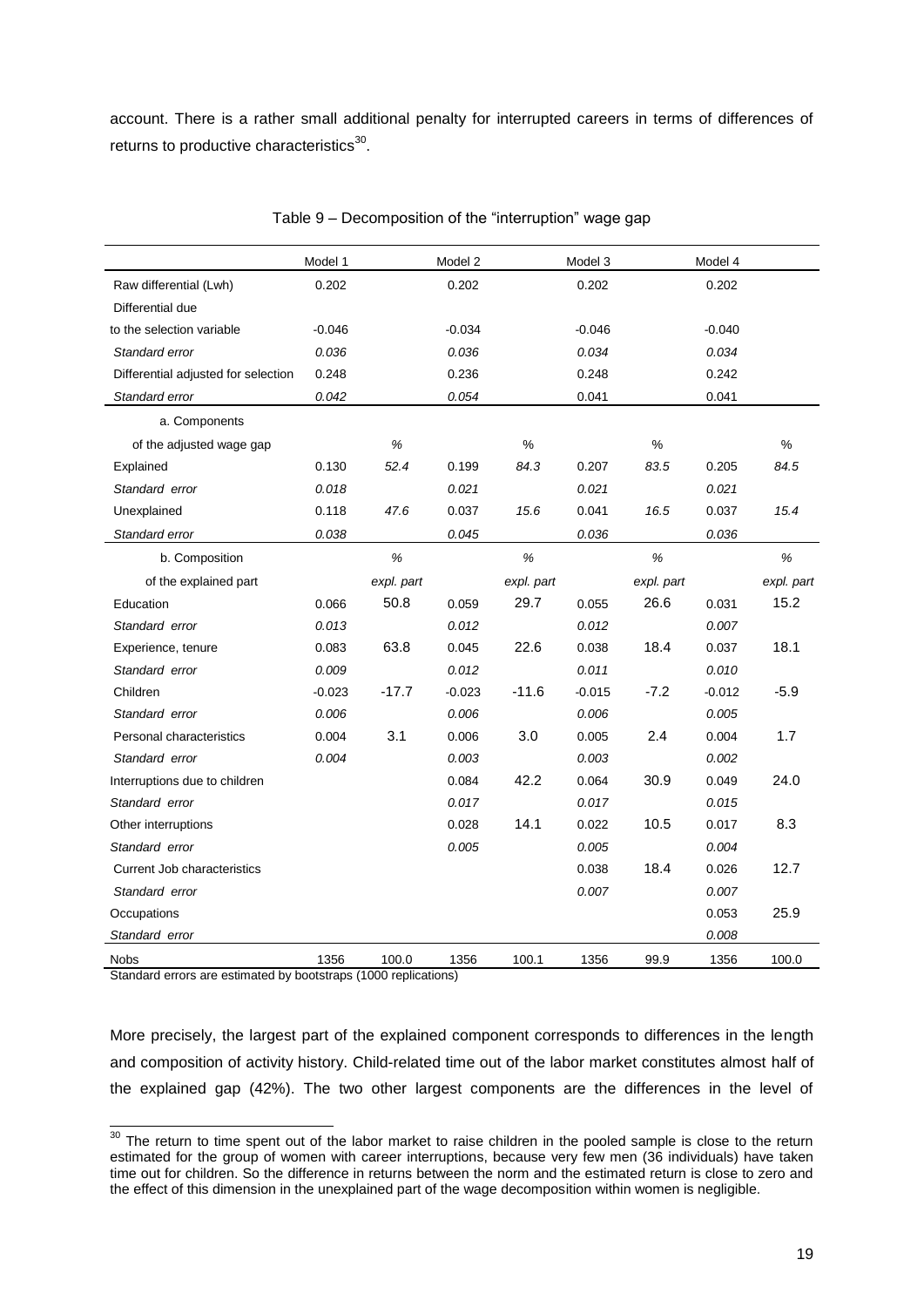account. There is a rather small additional penalty for interrupted careers in terms of differences of returns to productive characteristics $^{30}$ .

|                                     | Model 1  |            | Model 2  |            | Model 3  |            | Model 4  |            |
|-------------------------------------|----------|------------|----------|------------|----------|------------|----------|------------|
| Raw differential (Lwh)              | 0.202    |            | 0.202    |            | 0.202    |            | 0.202    |            |
| Differential due                    |          |            |          |            |          |            |          |            |
| to the selection variable           | $-0.046$ |            | $-0.034$ |            | $-0.046$ |            | $-0.040$ |            |
| Standard error                      | 0.036    |            | 0.036    |            | 0.034    |            | 0.034    |            |
| Differential adjusted for selection | 0.248    |            | 0.236    |            | 0.248    |            | 0.242    |            |
| Standard error                      | 0.042    |            | 0.054    |            | 0.041    |            | 0.041    |            |
| a. Components                       |          |            |          |            |          |            |          |            |
| of the adjusted wage gap            |          | $\%$       |          | $\%$       |          | $\%$       |          | $\%$       |
| Explained                           | 0.130    | 52.4       | 0.199    | 84.3       | 0.207    | 83.5       | 0.205    | 84.5       |
| Standard error                      | 0.018    |            | 0.021    |            | 0.021    |            | 0.021    |            |
| Unexplained                         | 0.118    | 47.6       | 0.037    | 15.6       | 0.041    | 16.5       | 0.037    | 15.4       |
| Standard error                      | 0.038    |            | 0.045    |            | 0.036    |            | 0.036    |            |
| b. Composition                      |          | $\%$       |          | $\%$       |          | $\%$       |          | $\%$       |
| of the explained part               |          | expl. part |          | expl. part |          | expl. part |          | expl. part |
| Education                           | 0.066    | 50.8       | 0.059    | 29.7       | 0.055    | 26.6       | 0.031    | 15.2       |
| Standard error                      | 0.013    |            | 0.012    |            | 0.012    |            | 0.007    |            |
| Experience, tenure                  | 0.083    | 63.8       | 0.045    | 22.6       | 0.038    | 18.4       | 0.037    | 18.1       |
| Standard error                      | 0.009    |            | 0.012    |            | 0.011    |            | 0.010    |            |
| Children                            | $-0.023$ | $-17.7$    | $-0.023$ | $-11.6$    | $-0.015$ | $-7.2$     | $-0.012$ | $-5.9$     |
| Standard error                      | 0.006    |            | 0.006    |            | 0.006    |            | 0.005    |            |
| Personal characteristics            | 0.004    | 3.1        | 0.006    | 3.0        | 0.005    | 2.4        | 0.004    | 1.7        |
| Standard error                      | 0.004    |            | 0.003    |            | 0.003    |            | 0.002    |            |
| Interruptions due to children       |          |            | 0.084    | 42.2       | 0.064    | 30.9       | 0.049    | 24.0       |
| Standard error                      |          |            | 0.017    |            | 0.017    |            | 0.015    |            |
| Other interruptions                 |          |            | 0.028    | 14.1       | 0.022    | 10.5       | 0.017    | 8.3        |
| Standard error                      |          |            | 0.005    |            | 0.005    |            | 0.004    |            |
| <b>Current Job characteristics</b>  |          |            |          |            | 0.038    | 18.4       | 0.026    | 12.7       |
| Standard error                      |          |            |          |            | 0.007    |            | 0.007    |            |
| Occupations                         |          |            |          |            |          |            | 0.053    | 25.9       |
| Standard error                      |          |            |          |            |          |            | 0.008    |            |
| Nobs                                | 1356     | 100.0      | 1356     | 100.1      | 1356     | 99.9       | 1356     | 100.0      |

Table 9 – Decomposition of the "interruption" wage gap

Standard errors are estimated by bootstraps (1000 replications)

More precisely, the largest part of the explained component corresponds to differences in the length and composition of activity history. Child-related time out of the labor market constitutes almost half of the explained gap (42%). The two other largest components are the differences in the level of

l  $30$  The return to time spent out of the labor market to raise children in the pooled sample is close to the return estimated for the group of women with career interruptions, because very few men (36 individuals) have taken time out for children. So the difference in returns between the norm and the estimated return is close to zero and the effect of this dimension in the unexplained part of the wage decomposition within women is negligible.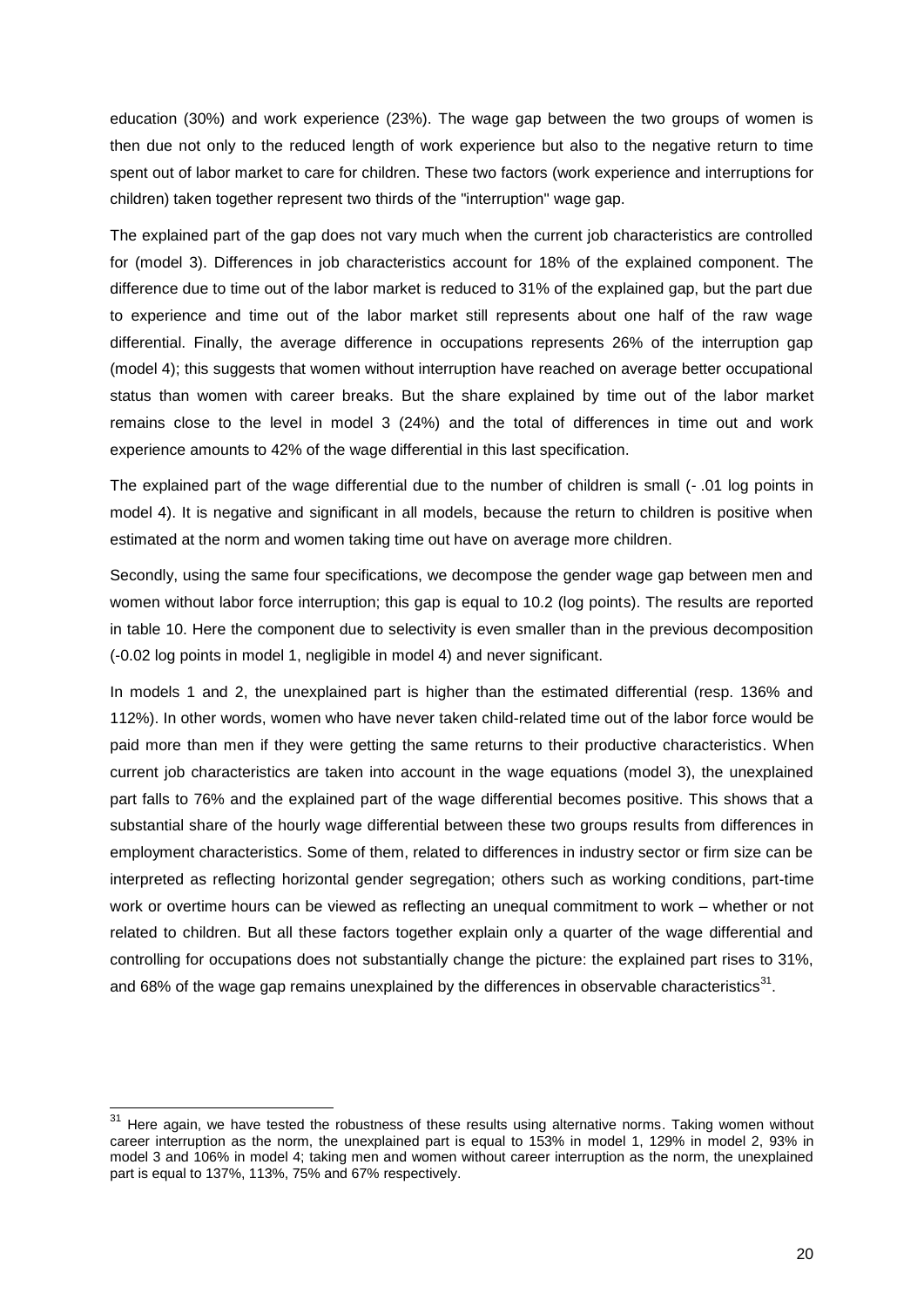education (30%) and work experience (23%). The wage gap between the two groups of women is then due not only to the reduced length of work experience but also to the negative return to time spent out of labor market to care for children. These two factors (work experience and interruptions for children) taken together represent two thirds of the "interruption" wage gap.

The explained part of the gap does not vary much when the current job characteristics are controlled for (model 3). Differences in job characteristics account for 18% of the explained component. The difference due to time out of the labor market is reduced to 31% of the explained gap, but the part due to experience and time out of the labor market still represents about one half of the raw wage differential. Finally, the average difference in occupations represents 26% of the interruption gap (model 4); this suggests that women without interruption have reached on average better occupational status than women with career breaks. But the share explained by time out of the labor market remains close to the level in model 3 (24%) and the total of differences in time out and work experience amounts to 42% of the wage differential in this last specification.

The explained part of the wage differential due to the number of children is small (- .01 log points in model 4). It is negative and significant in all models, because the return to children is positive when estimated at the norm and women taking time out have on average more children.

Secondly, using the same four specifications, we decompose the gender wage gap between men and women without labor force interruption; this gap is equal to 10.2 (log points). The results are reported in table 10. Here the component due to selectivity is even smaller than in the previous decomposition (-0.02 log points in model 1, negligible in model 4) and never significant.

In models 1 and 2, the unexplained part is higher than the estimated differential (resp. 136% and 112%). In other words, women who have never taken child-related time out of the labor force would be paid more than men if they were getting the same returns to their productive characteristics. When current job characteristics are taken into account in the wage equations (model 3), the unexplained part falls to 76% and the explained part of the wage differential becomes positive. This shows that a substantial share of the hourly wage differential between these two groups results from differences in employment characteristics. Some of them, related to differences in industry sector or firm size can be interpreted as reflecting horizontal gender segregation; others such as working conditions, part-time work or overtime hours can be viewed as reflecting an unequal commitment to work – whether or not related to children. But all these factors together explain only a quarter of the wage differential and controlling for occupations does not substantially change the picture: the explained part rises to 31%, and 68% of the wage gap remains unexplained by the differences in observable characteristics<sup>31</sup>.

l

 $31$  Here again, we have tested the robustness of these results using alternative norms. Taking women without career interruption as the norm, the unexplained part is equal to 153% in model 1, 129% in model 2, 93% in model 3 and 106% in model 4; taking men and women without career interruption as the norm, the unexplained part is equal to 137%, 113%, 75% and 67% respectively.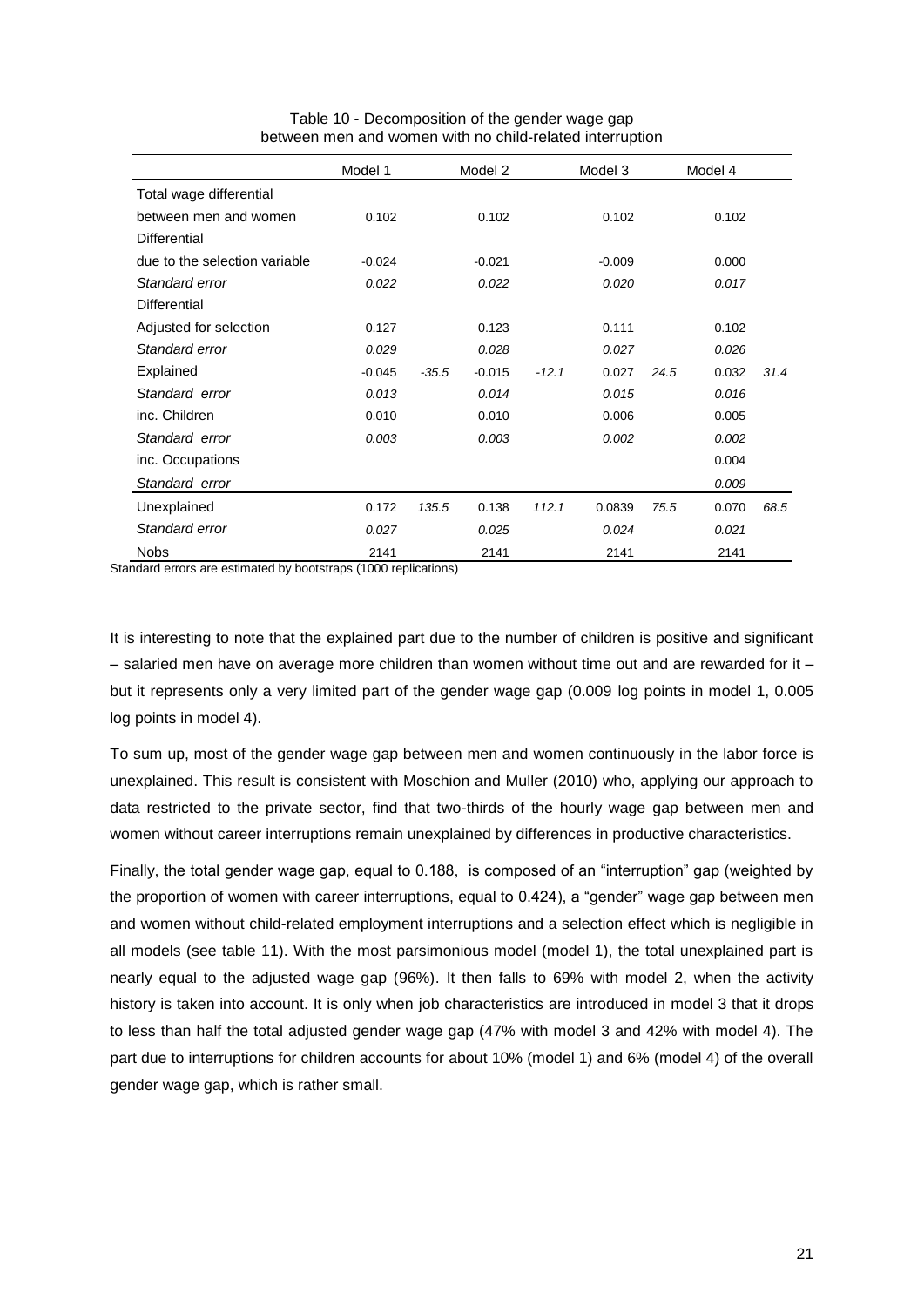|                               | Model 1  |         | Model 2  |         | Model 3  |      | Model 4 |      |
|-------------------------------|----------|---------|----------|---------|----------|------|---------|------|
| Total wage differential       |          |         |          |         |          |      |         |      |
| between men and women         | 0.102    |         | 0.102    |         | 0.102    |      | 0.102   |      |
| Differential                  |          |         |          |         |          |      |         |      |
| due to the selection variable | $-0.024$ |         | $-0.021$ |         | $-0.009$ |      | 0.000   |      |
| Standard error                | 0.022    |         | 0.022    |         | 0.020    |      | 0.017   |      |
| Differential                  |          |         |          |         |          |      |         |      |
| Adjusted for selection        | 0.127    |         | 0.123    |         | 0.111    |      | 0.102   |      |
| Standard error                | 0.029    |         | 0.028    |         | 0.027    |      | 0.026   |      |
| Explained                     | $-0.045$ | $-35.5$ | $-0.015$ | $-12.1$ | 0.027    | 24.5 | 0.032   | 31.4 |
| Standard error                | 0.013    |         | 0.014    |         | 0.015    |      | 0.016   |      |
| inc. Children                 | 0.010    |         | 0.010    |         | 0.006    |      | 0.005   |      |
| Standard error                | 0.003    |         | 0.003    |         | 0.002    |      | 0.002   |      |
| inc. Occupations              |          |         |          |         |          |      | 0.004   |      |
| Standard error                |          |         |          |         |          |      | 0.009   |      |
| Unexplained                   | 0.172    | 135.5   | 0.138    | 112.1   | 0.0839   | 75.5 | 0.070   | 68.5 |
| Standard error                | 0.027    |         | 0.025    |         | 0.024    |      | 0.021   |      |
| <b>Nobs</b>                   | 2141     |         | 2141     |         | 2141     |      | 2141    |      |

Table 10 - Decomposition of the gender wage gap between men and women with no child-related interruption

Standard errors are estimated by bootstraps (1000 replications)

It is interesting to note that the explained part due to the number of children is positive and significant – salaried men have on average more children than women without time out and are rewarded for it – but it represents only a very limited part of the gender wage gap (0.009 log points in model 1, 0.005 log points in model 4).

To sum up, most of the gender wage gap between men and women continuously in the labor force is unexplained. This result is consistent with Moschion and Muller (2010) who, applying our approach to data restricted to the private sector, find that two-thirds of the hourly wage gap between men and women without career interruptions remain unexplained by differences in productive characteristics.

Finally, the total gender wage gap, equal to 0.188, is composed of an "interruption" gap (weighted by the proportion of women with career interruptions, equal to 0.424), a "gender" wage gap between men and women without child-related employment interruptions and a selection effect which is negligible in all models (see table 11). With the most parsimonious model (model 1), the total unexplained part is nearly equal to the adjusted wage gap (96%). It then falls to 69% with model 2, when the activity history is taken into account. It is only when job characteristics are introduced in model 3 that it drops to less than half the total adjusted gender wage gap (47% with model 3 and 42% with model 4). The part due to interruptions for children accounts for about 10% (model 1) and 6% (model 4) of the overall gender wage gap, which is rather small.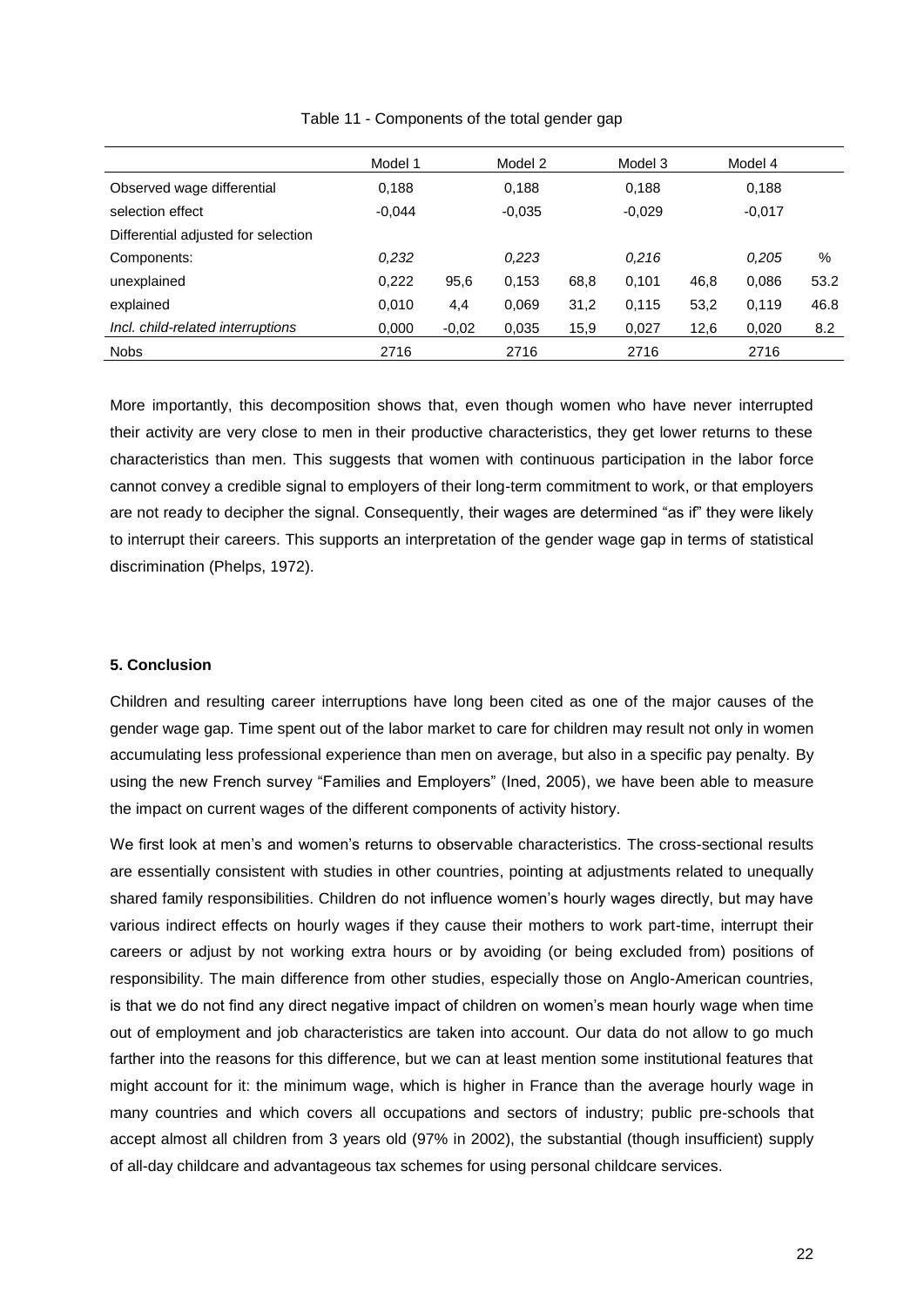|                                     | Model 1  |         | Model 2  |      | Model 3  |      | Model 4  |      |
|-------------------------------------|----------|---------|----------|------|----------|------|----------|------|
| Observed wage differential          | 0,188    |         | 0,188    |      | 0,188    |      | 0,188    |      |
| selection effect                    | $-0.044$ |         | $-0.035$ |      | $-0.029$ |      | $-0.017$ |      |
| Differential adjusted for selection |          |         |          |      |          |      |          |      |
| Components:                         | 0,232    |         | 0,223    |      | 0,216    |      | 0.205    | %    |
| unexplained                         | 0.222    | 95,6    | 0.153    | 68,8 | 0.101    | 46,8 | 0,086    | 53.2 |
| explained                           | 0,010    | 4,4     | 0,069    | 31,2 | 0,115    | 53,2 | 0.119    | 46.8 |
| Incl. child-related interruptions   | 0,000    | $-0,02$ | 0.035    | 15,9 | 0,027    | 12,6 | 0,020    | 8.2  |
| <b>Nobs</b>                         | 2716     |         | 2716     |      | 2716     |      | 2716     |      |

Table 11 - Components of the total gender gap

More importantly, this decomposition shows that, even though women who have never interrupted their activity are very close to men in their productive characteristics, they get lower returns to these characteristics than men. This suggests that women with continuous participation in the labor force cannot convey a credible signal to employers of their long-term commitment to work, or that employers are not ready to decipher the signal. Consequently, their wages are determined "as if" they were likely to interrupt their careers. This supports an interpretation of the gender wage gap in terms of statistical discrimination (Phelps, 1972).

#### **5. Conclusion**

Children and resulting career interruptions have long been cited as one of the major causes of the gender wage gap. Time spent out of the labor market to care for children may result not only in women accumulating less professional experience than men on average, but also in a specific pay penalty. By using the new French survey "Families and Employers" (Ined, 2005), we have been able to measure the impact on current wages of the different components of activity history.

We first look at men's and women's returns to observable characteristics. The cross-sectional results are essentially consistent with studies in other countries, pointing at adjustments related to unequally shared family responsibilities. Children do not influence women"s hourly wages directly, but may have various indirect effects on hourly wages if they cause their mothers to work part-time, interrupt their careers or adjust by not working extra hours or by avoiding (or being excluded from) positions of responsibility. The main difference from other studies, especially those on Anglo-American countries, is that we do not find any direct negative impact of children on women"s mean hourly wage when time out of employment and job characteristics are taken into account. Our data do not allow to go much farther into the reasons for this difference, but we can at least mention some institutional features that might account for it: the minimum wage, which is higher in France than the average hourly wage in many countries and which covers all occupations and sectors of industry; public pre-schools that accept almost all children from 3 years old (97% in 2002), the substantial (though insufficient) supply of all-day childcare and advantageous tax schemes for using personal childcare services.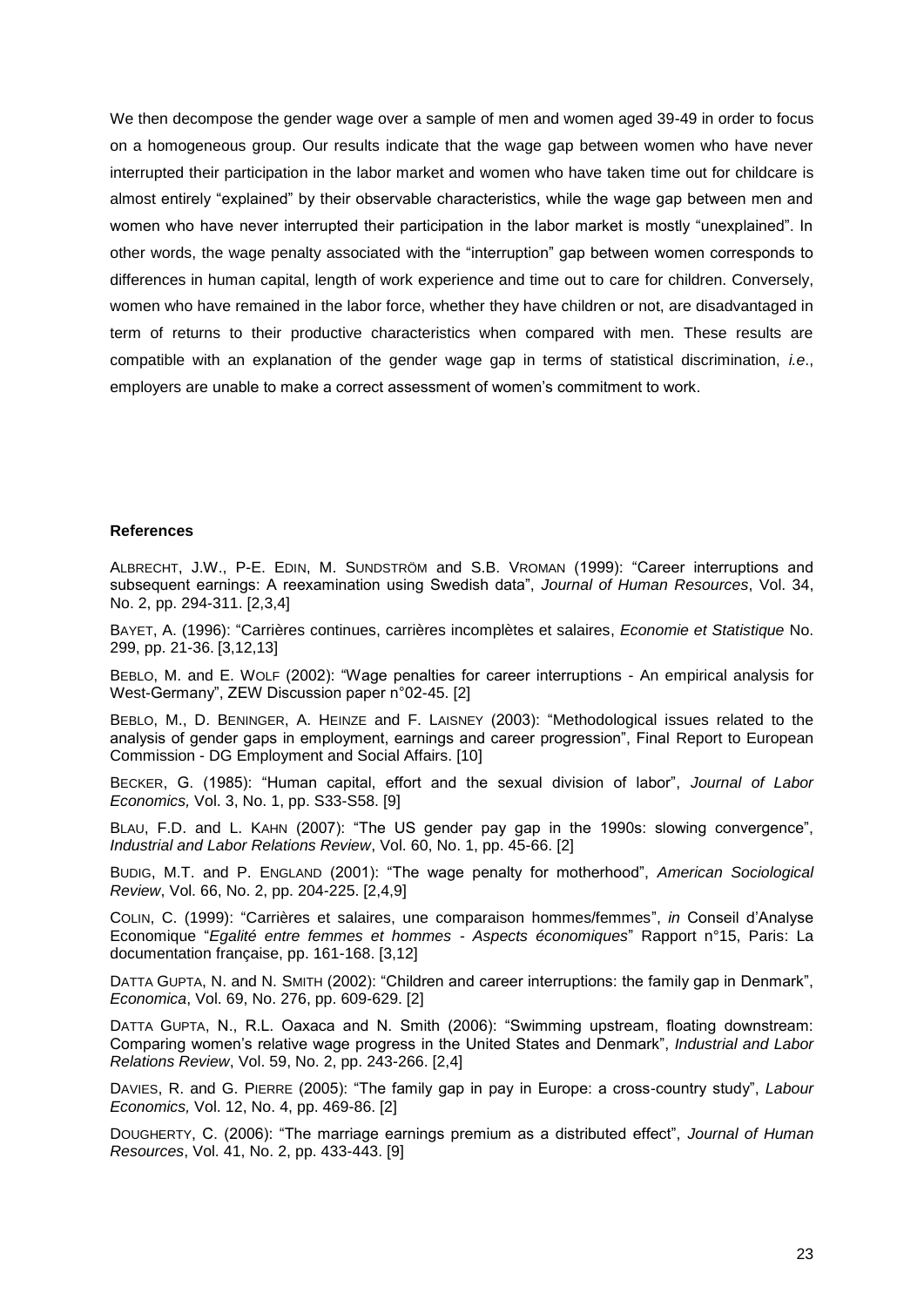We then decompose the gender wage over a sample of men and women aged 39-49 in order to focus on a homogeneous group. Our results indicate that the wage gap between women who have never interrupted their participation in the labor market and women who have taken time out for childcare is almost entirely "explained" by their observable characteristics, while the wage gap between men and women who have never interrupted their participation in the labor market is mostly "unexplained". In other words, the wage penalty associated with the "interruption" gap between women corresponds to differences in human capital, length of work experience and time out to care for children. Conversely, women who have remained in the labor force, whether they have children or not, are disadvantaged in term of returns to their productive characteristics when compared with men. These results are compatible with an explanation of the gender wage gap in terms of statistical discrimination, *i.e*., employers are unable to make a correct assessment of women"s commitment to work.

#### **References**

ALBRECHT, J.W., P-E. EDIN, M. SUNDSTRÖM and S.B. VROMAN (1999): "Career interruptions and subsequent earnings: A reexamination using Swedish data", *Journal of Human Resources*, Vol. 34, No. 2, pp. 294-311. [2,3,4]

BAYET, A. (1996): "Carrières continues, carrières incomplètes et salaires, *Economie et Statistique* No. 299, pp. 21-36. [3,12,13]

BEBLO, M. and E. WOLF (2002): "Wage penalties for career interruptions - An empirical analysis for West-Germany", ZEW Discussion paper n°02-45. [2]

BEBLO, M., D. BENINGER, A. HEINZE and F. LAISNEY (2003): "Methodological issues related to the analysis of gender gaps in employment, earnings and career progression", Final Report to European Commission - DG Employment and Social Affairs. [10]

BECKER, G. (1985): "Human capital, effort and the sexual division of labor", *Journal of Labor Economics,* Vol. 3, No. 1, pp. S33-S58. [9]

BLAU, F.D. and L. KAHN (2007): "The US gender pay gap in the 1990s: slowing convergence", *Industrial and Labor Relations Review*, Vol. 60, No. 1, pp. 45-66. [2]

BUDIG, M.T. and P. ENGLAND (2001): "The wage penalty for motherhood", *American Sociological Review*, Vol. 66, No. 2, pp. 204-225. [2,4,9]

COLIN, C. (1999): "Carrières et salaires, une comparaison hommes/femmes", *in* Conseil d"Analyse Economique "*Egalité entre femmes et hommes - Aspects économiques*" Rapport n°15, Paris: La documentation française, pp. 161-168. [3,12]

DATTA GUPTA, N. and N. SMITH (2002): "Children and career interruptions: the family gap in Denmark", *Economica*, Vol. 69, No. 276, pp. 609-629. [2]

DATTA GUPTA, N., R.L. Oaxaca and N. Smith (2006): "Swimming upstream, floating downstream: Comparing women"s relative wage progress in the United States and Denmark", *Industrial and Labor Relations Review*, Vol. 59, No. 2, pp. 243-266. [2,4]

DAVIES, R. and G. PIERRE (2005): "The family gap in pay in Europe: a cross-country study", *Labour Economics,* Vol. 12, No. 4, pp. 469-86. [2]

DOUGHERTY, C. (2006): "The marriage earnings premium as a distributed effect", *Journal of Human Resources*, Vol. 41, No. 2, pp. 433-443. [9]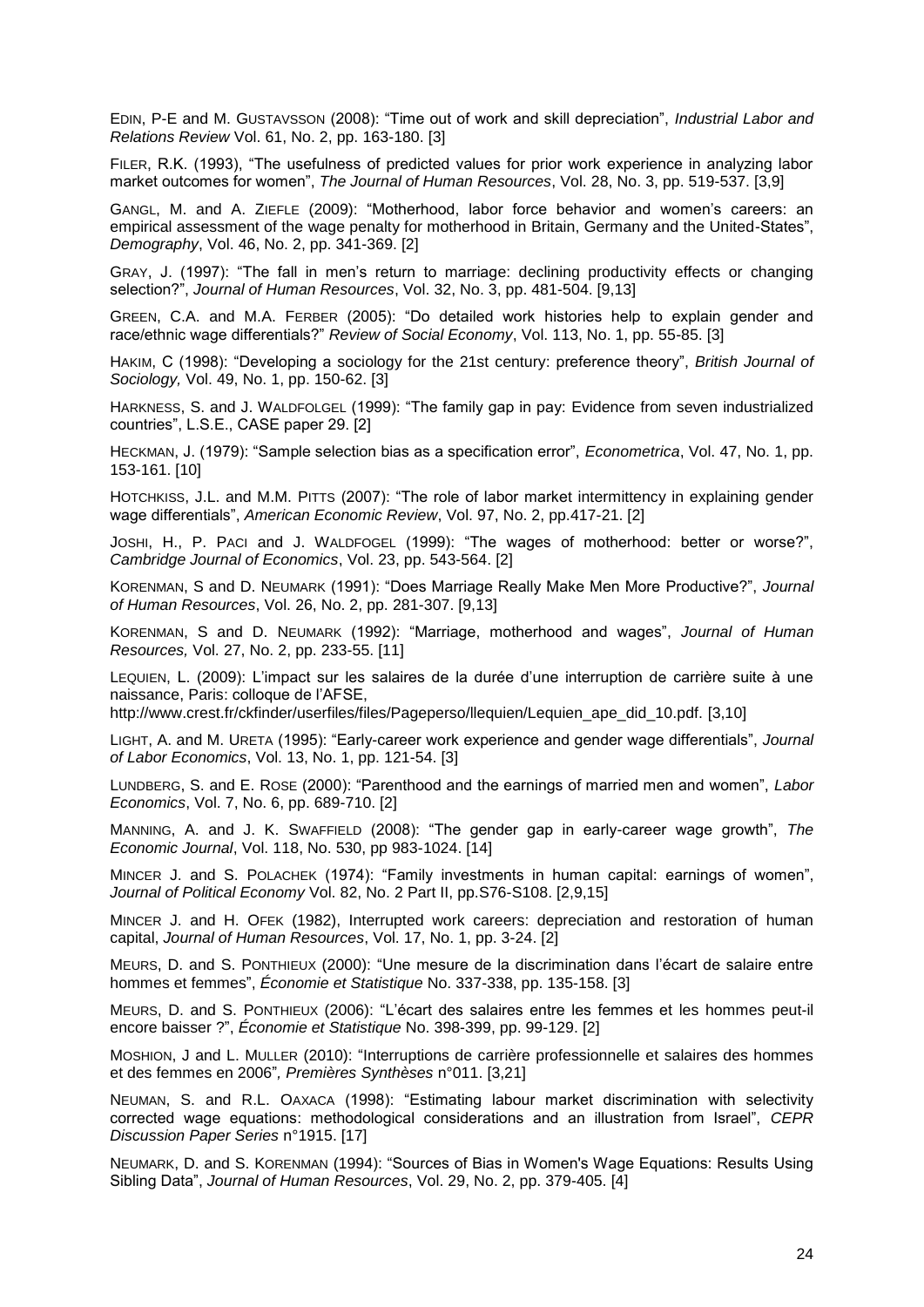EDIN, P-E and M. GUSTAVSSON (2008): "Time out of work and skill depreciation", *Industrial Labor and Relations Review* Vol. 61, No. 2, pp. 163-180. [3]

FILER, R.K. (1993), "The usefulness of predicted values for prior work experience in analyzing labor market outcomes for women", *The Journal of Human Resources*, Vol. 28, No. 3, pp. 519-537. [3,9]

GANGL, M. and A. ZIEFLE (2009): "Motherhood, labor force behavior and women"s careers: an empirical assessment of the wage penalty for motherhood in Britain, Germany and the United-States", *Demography*, Vol. 46, No. 2, pp. 341-369. [2]

GRAY, J. (1997): "The fall in men"s return to marriage: declining productivity effects or changing selection?", *Journal of Human Resources*, Vol. 32, No. 3, pp. 481-504. [9,13]

GREEN, C.A. and M.A. FERBER (2005): "Do detailed work histories help to explain gender and race/ethnic wage differentials?" *Review of Social Economy*, Vol. 113, No. 1, pp. 55-85. [3]

HAKIM, C (1998): "Developing a sociology for the 21st century: preference theory", *British Journal of Sociology,* Vol. 49, No. 1, pp. 150-62. [3]

HARKNESS, S. and J. WALDFOLGEL (1999): "The family gap in pay: Evidence from seven industrialized countries", L.S.E., CASE paper 29. [2]

HECKMAN, J. (1979): "Sample selection bias as a specification error", *Econometrica*, Vol. 47, No. 1, pp. 153-161. [10]

HOTCHKISS, J.L. and M.M. PITTS (2007): "The role of labor market intermittency in explaining gender wage differentials", *American Economic Review*, Vol. 97, No. 2, pp.417-21. [2]

JOSHI, H., P. PACI and J. WALDFOGEL (1999): "The wages of motherhood: better or worse?", *Cambridge Journal of Economics*, Vol. 23, pp. 543-564. [2]

KORENMAN, S and D. NEUMARK (1991): "Does Marriage Really Make Men More Productive?", *Journal of Human Resources*, Vol. 26, No. 2, pp. 281-307. [9,13]

KORENMAN, S and D. NEUMARK (1992): "Marriage, motherhood and wages", *Journal of Human Resources,* Vol. 27, No. 2, pp. 233-55. [11]

LEQUIEN, L. (2009): L"impact sur les salaires de la durée d"une interruption de carrière suite à une naissance, Paris: colloque de l"AFSE,

http://www.crest.fr/ckfinder/userfiles/files/Pageperso/llequien/Lequien\_ape\_did\_10.pdf. [3,10]

LIGHT, A. and M. URETA (1995): "Early-career work experience and gender wage differentials", *Journal of Labor Economics*, Vol. 13, No. 1, pp. 121-54. [3]

LUNDBERG, S. and E. ROSE (2000): "Parenthood and the earnings of married men and women", *Labor Economics*, Vol. 7, No. 6, pp. 689-710. [2]

MANNING, A. and J. K. SWAFFIELD (2008): "The gender gap in early-career wage growth", *The Economic Journal*, Vol. 118, No. 530, pp 983-1024. [14]

MINCER J. and S. POLACHEK (1974): "Family investments in human capital: earnings of women", *Journal of Political Economy* Vol. 82, No. 2 Part II, pp.S76-S108. [2,9,15]

MINCER J. and H. OFEK (1982), Interrupted work careers: depreciation and restoration of human capital, *Journal of Human Resources*, Vol. 17, No. 1, pp. 3-24. [2]

MEURS, D. and S. PONTHIEUX (2000): "Une mesure de la discrimination dans l"écart de salaire entre hommes et femmes", *Économie et Statistique* No. 337-338, pp. 135-158. [3]

MEURS, D. and S. PONTHIEUX (2006): "L"écart des salaires entre les femmes et les hommes peut-il encore baisser ?", *Économie et Statistique* No. 398-399, pp. 99-129. [2]

MOSHION, J and L. MULLER (2010): "Interruptions de carrière professionnelle et salaires des hommes et des femmes en 2006"*, Premières Synthèses* n°011. [3,21]

NEUMAN, S. and R.L. OAXACA (1998): "Estimating labour market discrimination with selectivity corrected wage equations: methodological considerations and an illustration from Israel", *CEPR Discussion Paper Series* n°1915. [17]

NEUMARK, D. and S. KORENMAN (1994): "Sources of Bias in Women's Wage Equations: Results Using Sibling Data", *Journal of Human Resources*, Vol. 29, No. 2, pp. 379-405. [4]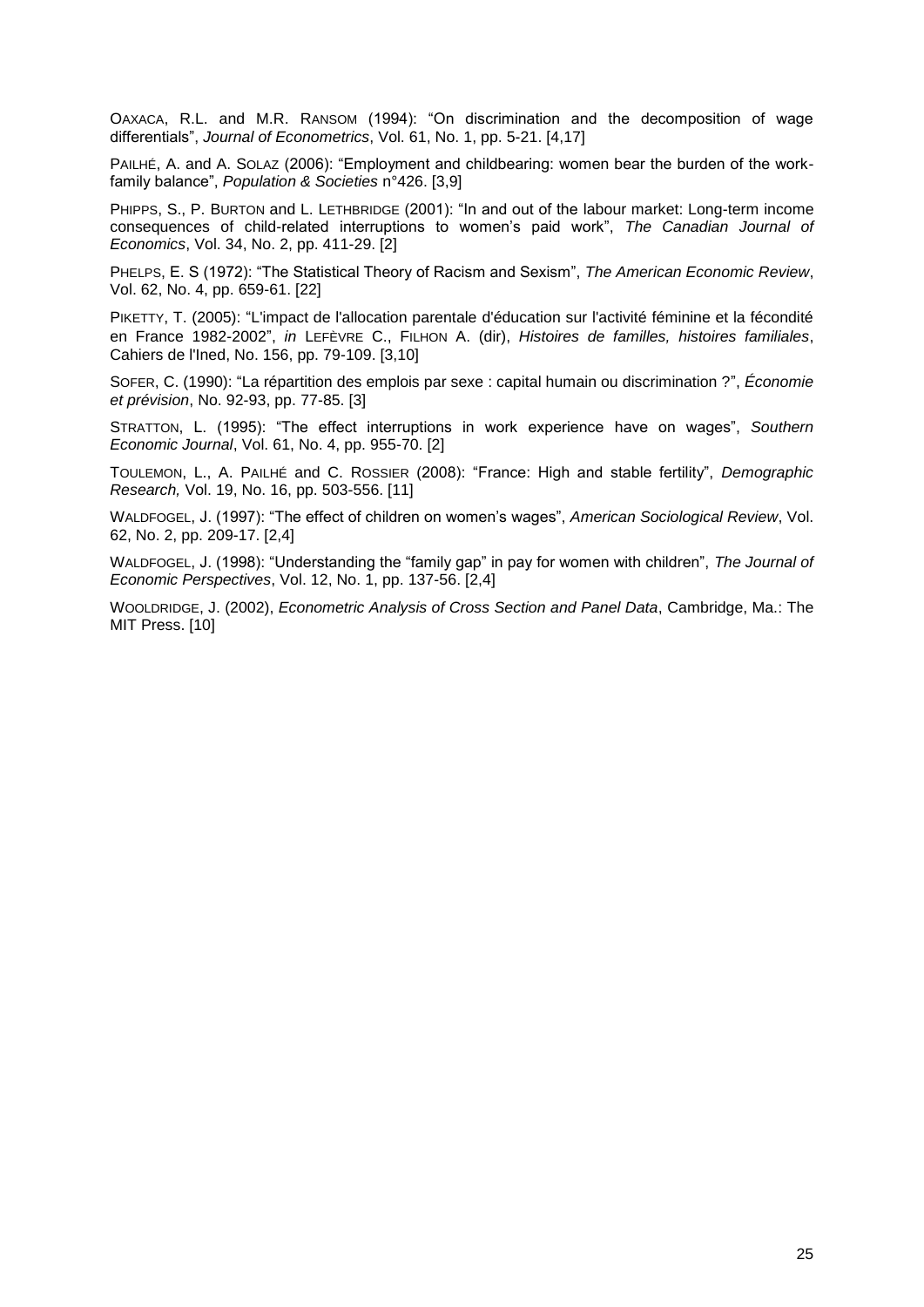OAXACA, R.L. and M.R. RANSOM (1994): "On discrimination and the decomposition of wage differentials", *Journal of Econometrics*, Vol. 61, No. 1, pp. 5-21. [4,17]

PAILHÉ, A. and A. SOLAZ (2006): "Employment and childbearing: women bear the burden of the workfamily balance", *Population & Societies* n°426. [3,9]

PHIPPS, S., P. BURTON and L. LETHBRIDGE (2001): "In and out of the labour market: Long-term income consequences of child-related interruptions to women"s paid work", *The Canadian Journal of Economics*, Vol. 34, No. 2, pp. 411-29. [2]

PHELPS, E. S (1972): "The Statistical Theory of Racism and Sexism", *The American Economic Review*, Vol. 62, No. 4, pp. 659-61. [22]

PIKETTY, T. (2005): "L'impact de l'allocation parentale d'éducation sur l'activité féminine et la fécondité en France 1982-2002", *in* LEFÈVRE C., FILHON A. (dir), *Histoires de familles, histoires familiales*, Cahiers de l'Ined, No. 156, pp. 79-109. [3,10]

SOFER, C. (1990): "La répartition des emplois par sexe : capital humain ou discrimination ?", *Économie et prévision*, No. 92-93, pp. 77-85. [3]

STRATTON, L. (1995): "The effect interruptions in work experience have on wages", *Southern Economic Journal*, Vol. 61, No. 4, pp. 955-70. [2]

TOULEMON, L., A. PAILHÉ and C. ROSSIER (2008): "France: High and stable fertility", *Demographic Research,* Vol. 19, No. 16, pp. 503-556. [11]

WALDFOGEL, J. (1997): "The effect of children on women"s wages", *American Sociological Review*, Vol. 62, No. 2, pp. 209-17. [2,4]

WALDFOGEL, J. (1998): "Understanding the "family gap" in pay for women with children", *The Journal of Economic Perspectives*, Vol. 12, No. 1, pp. 137-56. [2,4]

WOOLDRIDGE, J. (2002), *Econometric Analysis of Cross Section and Panel Data*, Cambridge, Ma.: The MIT Press. [10]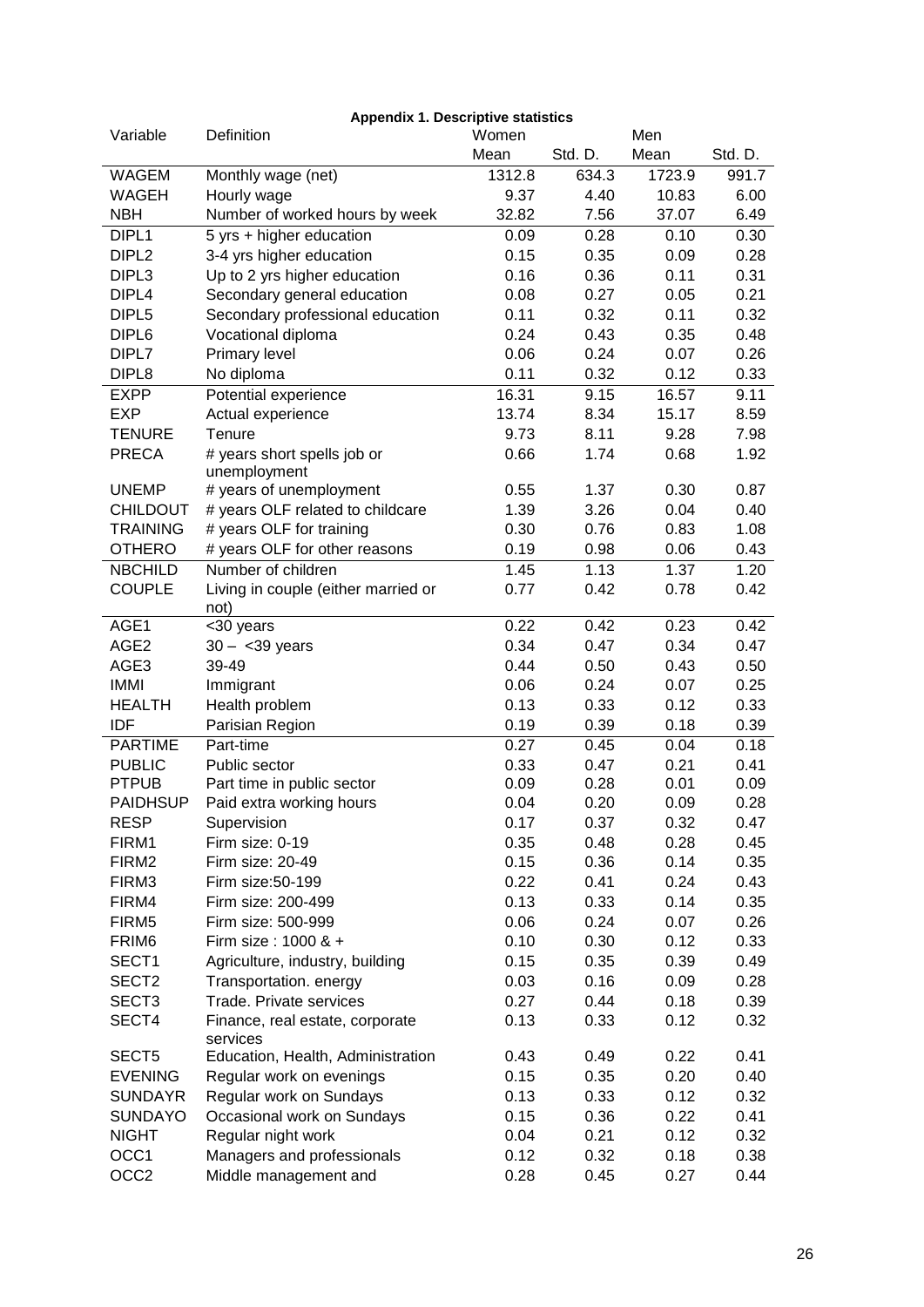| Variable          | <b>Appendix 1. Descriptive statistics</b><br>Definition | Women  |         | Men               |         |
|-------------------|---------------------------------------------------------|--------|---------|-------------------|---------|
|                   |                                                         | Mean   | Std. D. | Mean              | Std. D. |
| <b>WAGEM</b>      | Monthly wage (net)                                      | 1312.8 | 634.3   | 1723.9            | 991.7   |
| <b>WAGEH</b>      | Hourly wage                                             | 9.37   | 4.40    | 10.83             | 6.00    |
| <b>NBH</b>        | Number of worked hours by week                          | 32.82  | 7.56    | 37.07             | 6.49    |
| DIPL1             | 5 yrs + higher education                                | 0.09   | 0.28    | 0.10              | 0.30    |
| DIPL <sub>2</sub> | 3-4 yrs higher education                                | 0.15   | 0.35    | 0.09              | 0.28    |
| DIPL3             | Up to 2 yrs higher education                            | 0.16   | 0.36    | 0.11              | 0.31    |
| DIPL <sub>4</sub> | Secondary general education                             | 0.08   | 0.27    | 0.05              | 0.21    |
| DIPL <sub>5</sub> | Secondary professional education                        | 0.11   | 0.32    | 0.11              | 0.32    |
| DIPL <sub>6</sub> | Vocational diploma                                      | 0.24   | 0.43    | 0.35              | 0.48    |
| DIPL7             | Primary level                                           | 0.06   | 0.24    | 0.07              | 0.26    |
| DIPL <sub>8</sub> | No diploma                                              | 0.11   | 0.32    | 0.12              | 0.33    |
| <b>EXPP</b>       | Potential experience                                    | 16.31  | 9.15    | 16.57             | 9.11    |
| <b>EXP</b>        | Actual experience                                       | 13.74  | 8.34    | 15.17             | 8.59    |
| <b>TENURE</b>     | Tenure                                                  | 9.73   | 8.11    | 9.28              | 7.98    |
| <b>PRECA</b>      | # years short spells job or                             | 0.66   | 1.74    | 0.68              | 1.92    |
|                   | unemployment                                            |        |         |                   |         |
| <b>UNEMP</b>      | # years of unemployment                                 | 0.55   | 1.37    | 0.30              | 0.87    |
| <b>CHILDOUT</b>   | # years OLF related to childcare                        | 1.39   | 3.26    | 0.04              | 0.40    |
| <b>TRAINING</b>   | # years OLF for training                                | 0.30   | 0.76    | 0.83              | 1.08    |
| <b>OTHERO</b>     | # years OLF for other reasons                           | 0.19   | 0.98    | 0.06              | 0.43    |
| <b>NBCHILD</b>    | Number of children                                      | 1.45   | 1.13    | $\overline{1}.37$ | 1.20    |
| <b>COUPLE</b>     | Living in couple (either married or<br>not)             | 0.77   | 0.42    | 0.78              | 0.42    |
| AGE1              | <30 years                                               | 0.22   | 0.42    | 0.23              | 0.42    |
| AGE <sub>2</sub>  | $30 - 39 years$                                         | 0.34   | 0.47    | 0.34              | 0.47    |
| AGE3              | 39-49                                                   | 0.44   | 0.50    | 0.43              | 0.50    |
| <b>IMMI</b>       | Immigrant                                               | 0.06   | 0.24    | 0.07              | 0.25    |
| <b>HEALTH</b>     | Health problem                                          | 0.13   | 0.33    | 0.12              | 0.33    |
| <b>IDF</b>        | Parisian Region                                         | 0.19   | 0.39    | 0.18              | 0.39    |
| <b>PARTIME</b>    | Part-time                                               | 0.27   | 0.45    | 0.04              | 0.18    |
| <b>PUBLIC</b>     | Public sector                                           | 0.33   | 0.47    | 0.21              | 0.41    |
| <b>PTPUB</b>      | Part time in public sector                              | 0.09   | 0.28    | 0.01              | 0.09    |
| <b>PAIDHSUP</b>   | Paid extra working hours                                | 0.04   | 0.20    | 0.09              | 0.28    |
| <b>RESP</b>       | Supervision                                             | 0.17   | 0.37    | 0.32              | 0.47    |
| FIRM1             | Firm size: 0-19                                         | 0.35   | 0.48    | 0.28              | 0.45    |
| FIRM <sub>2</sub> | Firm size: 20-49                                        | 0.15   | 0.36    | 0.14              | 0.35    |
| FIRM3             | Firm size:50-199                                        | 0.22   | 0.41    | 0.24              | 0.43    |
| FIRM4             | Firm size: 200-499                                      | 0.13   | 0.33    | 0.14              | 0.35    |
| FIRM <sub>5</sub> | Firm size: 500-999                                      | 0.06   | 0.24    | 0.07              | 0.26    |
| FRIM <sub>6</sub> | Firm size: 1000 & +                                     | 0.10   | 0.30    | 0.12              | 0.33    |
| SECT1             | Agriculture, industry, building                         | 0.15   | 0.35    | 0.39              | 0.49    |
| SECT <sub>2</sub> | Transportation. energy                                  | 0.03   | 0.16    | 0.09              | 0.28    |
| SECT <sub>3</sub> | Trade. Private services                                 | 0.27   | 0.44    | 0.18              | 0.39    |
| SECT4             | Finance, real estate, corporate<br>services             | 0.13   | 0.33    | 0.12              | 0.32    |
| SECT5             | Education, Health, Administration                       | 0.43   | 0.49    | 0.22              | 0.41    |
| <b>EVENING</b>    | Regular work on evenings                                | 0.15   | 0.35    | 0.20              | 0.40    |
| <b>SUNDAYR</b>    | Regular work on Sundays                                 | 0.13   | 0.33    | 0.12              | 0.32    |
| <b>SUNDAYO</b>    | Occasional work on Sundays                              | 0.15   | 0.36    | 0.22              | 0.41    |
| <b>NIGHT</b>      | Regular night work                                      | 0.04   | 0.21    | 0.12              | 0.32    |
| OCC1              | Managers and professionals                              | 0.12   | 0.32    | 0.18              | 0.38    |
| OCC <sub>2</sub>  | Middle management and                                   | 0.28   | 0.45    | 0.27              | 0.44    |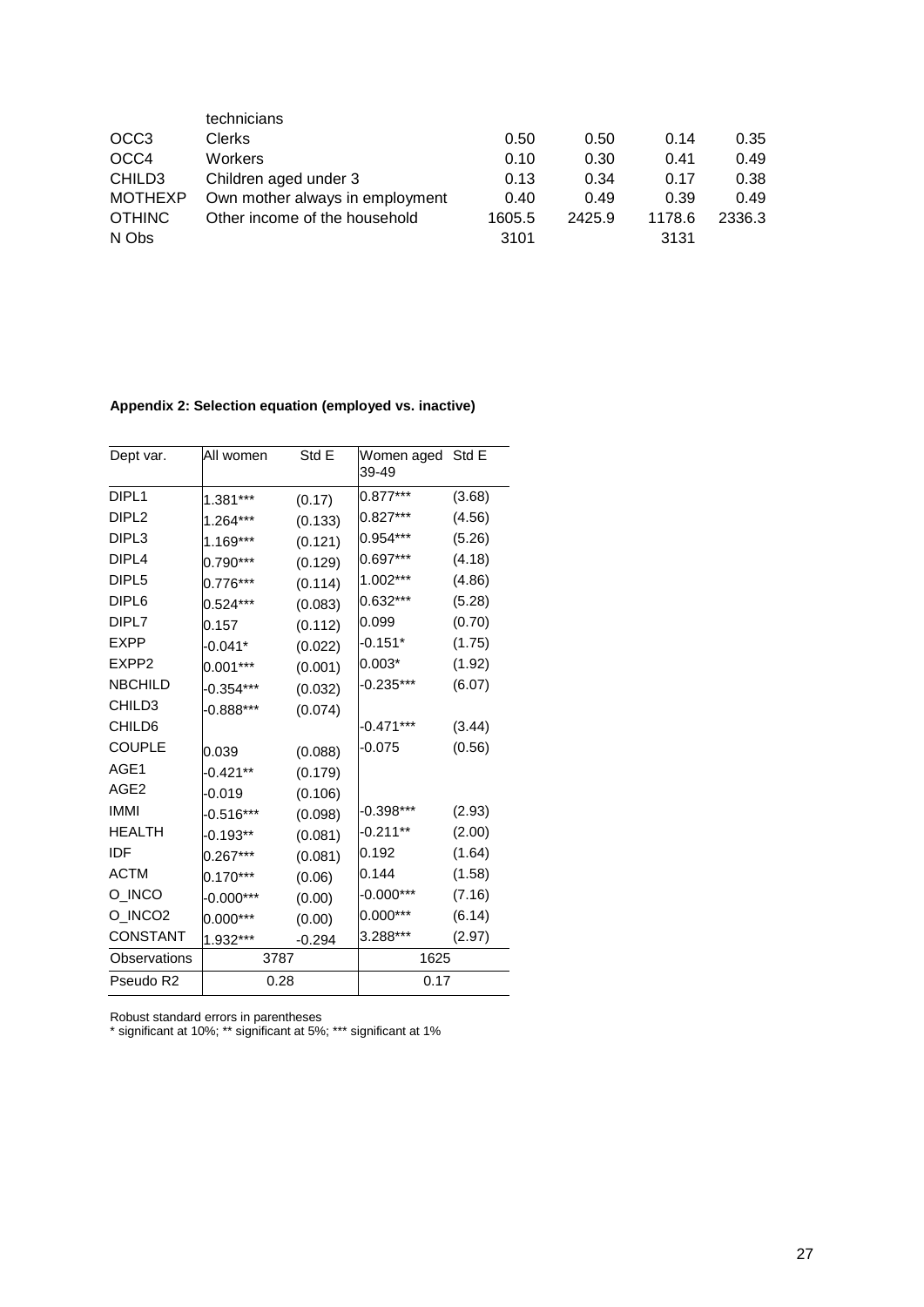|                    | technicians                     |        |        |        |        |
|--------------------|---------------------------------|--------|--------|--------|--------|
| OCC <sub>3</sub>   | <b>Clerks</b>                   | 0.50   | 0.50   | 0.14   | 0.35   |
| OCC4               | <b>Workers</b>                  | 0.10   | 0.30   | 0.41   | 0.49   |
| CHILD <sub>3</sub> | Children aged under 3           | 0.13   | 0.34   | 0.17   | 0.38   |
| <b>MOTHEXP</b>     | Own mother always in employment | 0.40   | 0.49   | 0.39   | 0.49   |
| <b>OTHINC</b>      | Other income of the household   | 1605.5 | 2425.9 | 1178.6 | 2336.3 |
| N Obs              |                                 | 3101   |        | 3131   |        |

# **Appendix 2: Selection equation (employed vs. inactive)**

| Dept var.                 | All women   | Std E    | Women aged Std E<br>39-49 |        |
|---------------------------|-------------|----------|---------------------------|--------|
| DIPL <sub>1</sub>         | 1.381***    | (0.17)   | $0.877***$                | (3.68) |
| DIPL <sub>2</sub>         | 1.264***    | (0.133)  | $0.827***$                | (4.56) |
| DIPL3                     | 1.169***    | (0.121)  | $0.954***$                | (5.26) |
| DIPL4                     | $0.790***$  | (0.129)  | $0.697***$                | (4.18) |
| DIPL5                     | $0.776***$  | (0.114)  | 1.002***                  | (4.86) |
| DIPL <sub>6</sub>         | $0.524***$  | (0.083)  | $0.632***$                | (5.28) |
| DIPL7                     | 0.157       | (0.112)  | 0.099                     | (0.70) |
| <b>EXPP</b>               | -0.041*     | (0.022)  | $-0.151*$                 | (1.75) |
| EXPP2                     | $0.001***$  | (0.001)  | 0.003*                    | (1.92) |
| <b>NBCHILD</b>            | -0.354***   | (0.032)  | -0.235***                 | (6.07) |
| CHILD3                    | $-0.888***$ | (0.074)  |                           |        |
| CHILD6                    |             |          | -0.471***                 | (3.44) |
| <b>COUPLE</b>             | 0.039       | (0.088)  | -0.075                    | (0.56) |
| AGE1                      | -0.421**    | (0.179)  |                           |        |
| AGE <sub>2</sub>          | -0.019      | (0.106)  |                           |        |
| <b>IMMI</b>               | $-0.516***$ | (0.098)  | -0.398***                 | (2.93) |
| <b>HEALTH</b>             | -0.193**    | (0.081)  | -0.211**                  | (2.00) |
| IDF                       | $0.267***$  | (0.081)  | 0.192                     | (1.64) |
| <b>ACTM</b>               | 0.170***    | (0.06)   | 0.144                     | (1.58) |
| O_INCO                    | -0.000***   | (0.00)   | $-0.000***$               | (7.16) |
| O_INCO2                   | $0.000***$  | (0.00)   | $0.000***$                | (6.14) |
| CONSTANT                  | 1.932***    | $-0.294$ | $3.288***$                | (2.97) |
| Observations              |             |          | 1625                      |        |
| 3787<br>Pseudo R2<br>0.28 |             |          | 0.17                      |        |

Robust standard errors in parentheses

\* significant at 10%; \*\* significant at 5%; \*\*\* significant at 1%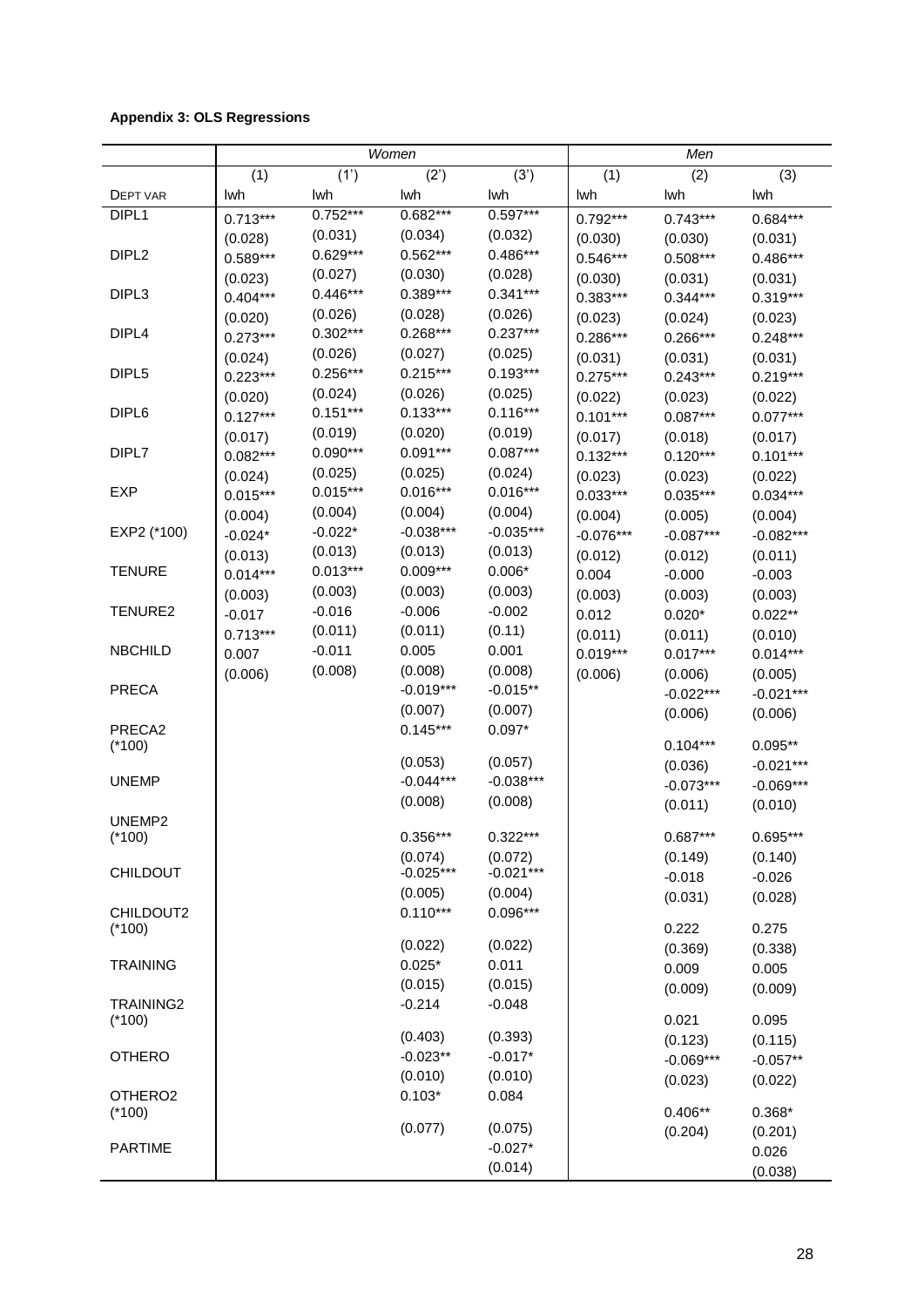### **Appendix 3: OLS Regressions**

|                     |            |            | Women       |             | Men         |             |             |
|---------------------|------------|------------|-------------|-------------|-------------|-------------|-------------|
|                     | (1)        | (1')       | (2')        | (3')        | (1)         | (2)         | (3)         |
| <b>DEPT VAR</b>     | lwh        | lwh        | lwh         | lwh         | lwh         | lwh         | lwh         |
| DIPL <sub>1</sub>   | $0.713***$ | $0.752***$ | $0.682***$  | $0.597***$  | $0.792***$  | $0.743***$  | $0.684***$  |
|                     | (0.028)    | (0.031)    | (0.034)     | (0.032)     | (0.030)     | (0.030)     | (0.031)     |
| DIPL <sub>2</sub>   | $0.589***$ | $0.629***$ | $0.562***$  | $0.486***$  | $0.546***$  | $0.508***$  | $0.486***$  |
|                     | (0.023)    | (0.027)    | (0.030)     | (0.028)     | (0.030)     | (0.031)     | (0.031)     |
| DIPL3               | $0.404***$ | $0.446***$ | $0.389***$  | $0.341***$  | $0.383***$  | $0.344***$  | $0.319***$  |
|                     | (0.020)    | (0.026)    | (0.028)     | (0.026)     | (0.023)     | (0.024)     | (0.023)     |
| DIPL4               | $0.273***$ | $0.302***$ | $0.268***$  | $0.237***$  | $0.286***$  | $0.266***$  | $0.248***$  |
|                     | (0.024)    | (0.026)    | (0.027)     | (0.025)     | (0.031)     | (0.031)     | (0.031)     |
| DIPL <sub>5</sub>   | $0.223***$ | $0.256***$ | $0.215***$  | $0.193***$  | $0.275***$  | $0.243***$  | $0.219***$  |
|                     | (0.020)    | (0.024)    | (0.026)     | (0.025)     | (0.022)     | (0.023)     | (0.022)     |
| DIPL <sub>6</sub>   | $0.127***$ | $0.151***$ | $0.133***$  | $0.116***$  | $0.101***$  | $0.087***$  | $0.077***$  |
|                     | (0.017)    | (0.019)    | (0.020)     | (0.019)     | (0.017)     | (0.018)     | (0.017)     |
| DIPL7               | $0.082***$ | $0.090***$ | $0.091***$  | $0.087***$  | $0.132***$  | $0.120***$  | $0.101***$  |
|                     | (0.024)    | (0.025)    | (0.025)     | (0.024)     | (0.023)     | (0.023)     | (0.022)     |
| <b>EXP</b>          | $0.015***$ | $0.015***$ | $0.016***$  | $0.016***$  | $0.033***$  | $0.035***$  | $0.034***$  |
|                     | (0.004)    | (0.004)    | (0.004)     | (0.004)     | (0.004)     | (0.005)     | (0.004)     |
| EXP2 (*100)         | $-0.024*$  | $-0.022*$  | $-0.038***$ | $-0.035***$ | $-0.076***$ | $-0.087***$ | $-0.082***$ |
|                     | (0.013)    | (0.013)    | (0.013)     | (0.013)     | (0.012)     | (0.012)     | (0.011)     |
| <b>TENURE</b>       | $0.014***$ | $0.013***$ | $0.009***$  | $0.006*$    | 0.004       | $-0.000$    | $-0.003$    |
|                     | (0.003)    | (0.003)    | (0.003)     | (0.003)     | (0.003)     | (0.003)     | (0.003)     |
| TENURE2             | $-0.017$   | $-0.016$   | $-0.006$    | $-0.002$    | 0.012       | $0.020*$    | $0.022**$   |
|                     | $0.713***$ | (0.011)    | (0.011)     | (0.11)      | (0.011)     | (0.011)     | (0.010)     |
| <b>NBCHILD</b>      | 0.007      | $-0.011$   | 0.005       | 0.001       | $0.019***$  | $0.017***$  | $0.014***$  |
|                     | (0.006)    | (0.008)    | (0.008)     | (0.008)     | (0.006)     | (0.006)     | (0.005)     |
| <b>PRECA</b>        |            |            | $-0.019***$ | $-0.015**$  |             | $-0.022***$ | $-0.021***$ |
|                     |            |            | (0.007)     | (0.007)     |             | (0.006)     | (0.006)     |
| PRECA2              |            |            | $0.145***$  | $0.097*$    |             |             |             |
| $(*100)$            |            |            |             |             |             | $0.104***$  | $0.095**$   |
|                     |            |            | (0.053)     | (0.057)     |             | (0.036)     | $-0.021***$ |
| <b>UNEMP</b>        |            |            | $-0.044***$ | $-0.038***$ |             | $-0.073***$ | $-0.069***$ |
|                     |            |            | (0.008)     | (0.008)     |             | (0.011)     | (0.010)     |
| UNEMP2<br>$(*100)$  |            |            | $0.356*$    | 0.322***    |             | $0.687***$  | $0.695***$  |
|                     |            |            | (0.074)     | (0.072)     |             | (0.149)     | (0.140)     |
| <b>CHILDOUT</b>     |            |            | $-0.025***$ | $-0.021***$ |             | $-0.018$    | $-0.026$    |
|                     |            |            | (0.005)     | (0.004)     |             | (0.031)     | (0.028)     |
| CHILDOUT2           |            |            | $0.110***$  | 0.096***    |             |             |             |
| $(*100)$            |            |            |             |             |             | 0.222       | 0.275       |
|                     |            |            | (0.022)     | (0.022)     |             | (0.369)     | (0.338)     |
| <b>TRAINING</b>     |            |            | $0.025*$    | 0.011       |             | 0.009       | 0.005       |
|                     |            |            | (0.015)     | (0.015)     |             | (0.009)     | (0.009)     |
| <b>TRAINING2</b>    |            |            | $-0.214$    | $-0.048$    |             |             |             |
| $(*100)$            |            |            | (0.403)     | (0.393)     |             | 0.021       | 0.095       |
| <b>OTHERO</b>       |            |            | $-0.023**$  | $-0.017*$   |             | (0.123)     | (0.115)     |
|                     |            |            | (0.010)     | (0.010)     |             | $-0.069***$ | $-0.057**$  |
| OTHERO <sub>2</sub> |            |            | $0.103*$    | 0.084       |             | (0.023)     | (0.022)     |
| $(*100)$            |            |            |             |             |             | $0.406**$   | $0.368*$    |
|                     |            |            | (0.077)     | (0.075)     |             | (0.204)     | (0.201)     |
| <b>PARTIME</b>      |            |            |             | $-0.027*$   |             |             | 0.026       |
|                     |            |            |             | (0.014)     |             |             | (0.038)     |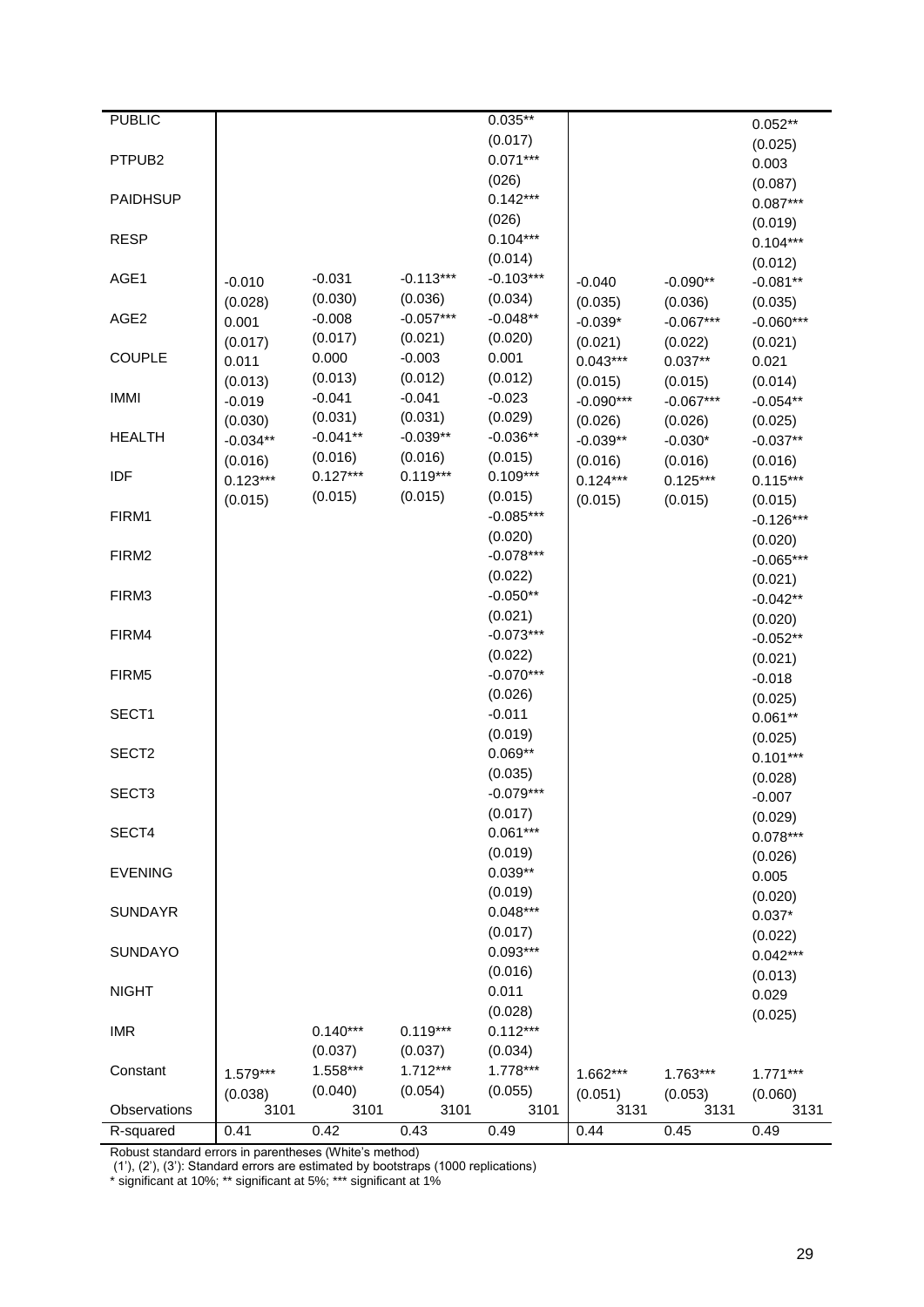| <b>PUBLIC</b>      |            |                  |                     | $0.035**$           |             |             | $0.052**$   |
|--------------------|------------|------------------|---------------------|---------------------|-------------|-------------|-------------|
|                    |            |                  |                     | (0.017)             |             |             | (0.025)     |
| PTPUB <sub>2</sub> |            |                  |                     | $0.071***$          |             |             | 0.003       |
| <b>PAIDHSUP</b>    |            |                  |                     | (026)<br>$0.142***$ |             |             | (0.087)     |
|                    |            |                  |                     |                     |             |             | $0.087***$  |
| <b>RESP</b>        |            |                  |                     | (026)<br>$0.104***$ |             |             | (0.019)     |
|                    |            |                  |                     | (0.014)             |             |             | $0.104***$  |
| AGE1               |            | $-0.031$         | $-0.113***$         | $-0.103***$         |             |             | (0.012)     |
|                    | $-0.010$   | (0.030)          | (0.036)             | (0.034)             | $-0.040$    | $-0.090**$  | $-0.081**$  |
| AGE <sub>2</sub>   | (0.028)    | $-0.008$         | $-0.057***$         | $-0.048**$          | (0.035)     | (0.036)     | (0.035)     |
|                    | 0.001      |                  |                     |                     | $-0.039*$   | $-0.067***$ | $-0.060***$ |
| <b>COUPLE</b>      | (0.017)    | (0.017)<br>0.000 | (0.021)<br>$-0.003$ | (0.020)<br>0.001    | (0.021)     | (0.022)     | (0.021)     |
|                    | 0.011      |                  |                     |                     | $0.043***$  | $0.037**$   | 0.021       |
| <b>IMMI</b>        | (0.013)    | (0.013)          | (0.012)             | (0.012)             | (0.015)     | (0.015)     | (0.014)     |
|                    | $-0.019$   | $-0.041$         | $-0.041$            | $-0.023$            | $-0.090***$ | $-0.067***$ | $-0.054**$  |
|                    | (0.030)    | (0.031)          | (0.031)             | (0.029)             | (0.026)     | (0.026)     | (0.025)     |
| <b>HEALTH</b>      | $-0.034**$ | $-0.041**$       | $-0.039**$          | $-0.036**$          | $-0.039**$  | $-0.030*$   | $-0.037**$  |
|                    | (0.016)    | (0.016)          | (0.016)             | (0.015)             | (0.016)     | (0.016)     | (0.016)     |
| IDF                | $0.123***$ | $0.127***$       | $0.119***$          | $0.109***$          | $0.124***$  | $0.125***$  | $0.115***$  |
|                    | (0.015)    | (0.015)          | (0.015)             | (0.015)             | (0.015)     | (0.015)     | (0.015)     |
| FIRM1              |            |                  |                     | $-0.085***$         |             |             | $-0.126***$ |
|                    |            |                  |                     | (0.020)             |             |             | (0.020)     |
| FIRM <sub>2</sub>  |            |                  |                     | $-0.078***$         |             |             | $-0.065***$ |
|                    |            |                  |                     | (0.022)             |             |             | (0.021)     |
| FIRM3              |            |                  |                     | $-0.050**$          |             |             | $-0.042**$  |
|                    |            |                  |                     | (0.021)             |             |             | (0.020)     |
| FIRM4              |            |                  |                     | $-0.073***$         |             |             | $-0.052**$  |
|                    |            |                  |                     | (0.022)             |             |             | (0.021)     |
| FIRM5              |            |                  |                     | $-0.070***$         |             |             | $-0.018$    |
|                    |            |                  |                     | (0.026)             |             |             | (0.025)     |
| SECT1              |            |                  |                     | $-0.011$            |             |             | $0.061**$   |
|                    |            |                  |                     | (0.019)             |             |             | (0.025)     |
| SECT <sub>2</sub>  |            |                  |                     | $0.069**$           |             |             | $0.101***$  |
|                    |            |                  |                     | (0.035)             |             |             | (0.028)     |
| SECT <sub>3</sub>  |            |                  |                     | $-0.079***$         |             |             | $-0.007$    |
|                    |            |                  |                     | (0.017)             |             |             | (0.029)     |
| SECT4              |            |                  |                     | $0.061***$          |             |             | $0.078***$  |
|                    |            |                  |                     | (0.019)             |             |             | (0.026)     |
| <b>EVENING</b>     |            |                  |                     | $0.039**$           |             |             | 0.005       |
|                    |            |                  |                     | (0.019)             |             |             | (0.020)     |
| <b>SUNDAYR</b>     |            |                  |                     | $0.048***$          |             |             | $0.037*$    |
|                    |            |                  |                     | (0.017)             |             |             | (0.022)     |
| <b>SUNDAYO</b>     |            |                  |                     | $0.093***$          |             |             | $0.042***$  |
|                    |            |                  |                     | (0.016)             |             |             | (0.013)     |
| <b>NIGHT</b>       |            |                  |                     | 0.011               |             |             | 0.029       |
|                    |            |                  |                     | (0.028)             |             |             | (0.025)     |
| <b>IMR</b>         |            | $0.140***$       | $0.119***$          | $0.112***$          |             |             |             |
|                    |            | (0.037)          | (0.037)             | (0.034)             |             |             |             |
| Constant           | $1.579***$ | 1.558***         | $1.712***$          | 1.778***            | 1.662***    | 1.763***    | $1.771***$  |
|                    | (0.038)    | (0.040)          | (0.054)             | (0.055)             | (0.051)     | (0.053)     | (0.060)     |
| Observations       | 3101       | 3101             | 3101                | 3101                | 3131        | 3131        | 3131        |
| R-squared          | 0.41       | 0.42             | 0.43                | 0.49                | 0.44        | 0.45        | 0.49        |

Robust standard errors in parentheses (White"s method)

(1"), (2"), (3"): Standard errors are estimated by bootstraps (1000 replications)

\* significant at 10%; \*\* significant at 5%; \*\*\* significant at 1%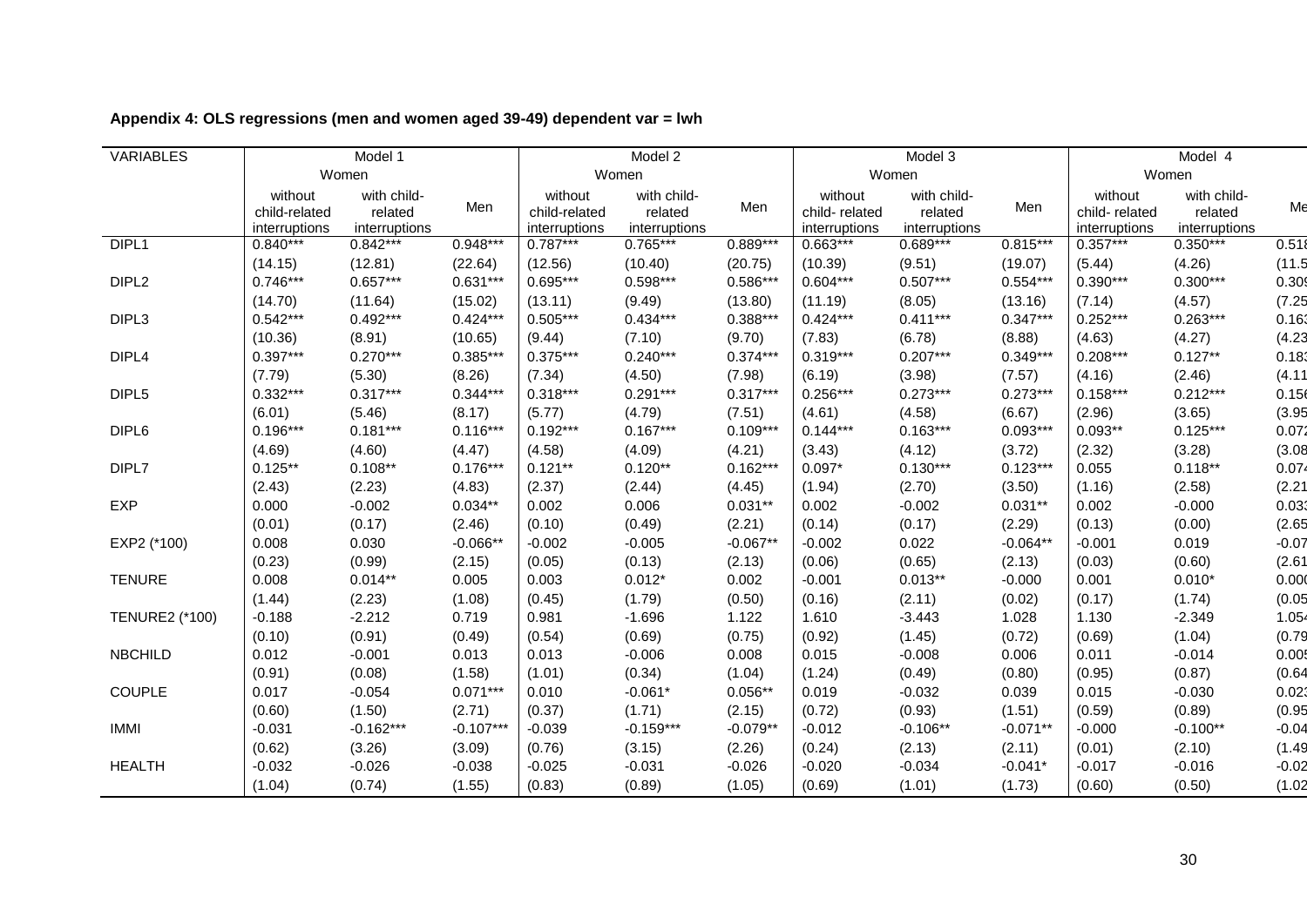| VARIABLES             |                                           | Model 1                                 |             |                                           | Model 2                                 |            |                                           | Model 3                                 |            | Model 4                                   |                                         |         |
|-----------------------|-------------------------------------------|-----------------------------------------|-------------|-------------------------------------------|-----------------------------------------|------------|-------------------------------------------|-----------------------------------------|------------|-------------------------------------------|-----------------------------------------|---------|
|                       |                                           | Women                                   |             |                                           | Women                                   |            |                                           | Women                                   | Women      |                                           |                                         |         |
|                       | without<br>child-related<br>interruptions | with child-<br>related<br>interruptions | Men         | without<br>child-related<br>interruptions | with child-<br>related<br>interruptions | Men        | without<br>child-related<br>interruptions | with child-<br>related<br>interruptions | Men        | without<br>child-related<br>interruptions | with child-<br>related<br>interruptions | Me      |
| DIPL <sub>1</sub>     | $0.840***$                                | $0.842***$                              | $0.948***$  | $0.787***$                                | $0.765***$                              | $0.889***$ | $0.663***$                                | $0.689***$                              | $0.815***$ | $0.357***$                                | $0.350***$                              | 0.518   |
|                       | (14.15)                                   | (12.81)                                 | (22.64)     | (12.56)                                   | (10.40)                                 | (20.75)    | (10.39)                                   | (9.51)                                  | (19.07)    | (5.44)                                    | (4.26)                                  | (11.5)  |
| DIPL <sub>2</sub>     | $0.746***$                                | $0.657***$                              | $0.631***$  | $0.695***$                                | $0.598***$                              | $0.586***$ | $0.604***$                                | $0.507***$                              | $0.554***$ | $0.390***$                                | $0.300***$                              | 0.309   |
|                       | (14.70)                                   | (11.64)                                 | (15.02)     | (13.11)                                   | (9.49)                                  | (13.80)    | (11.19)                                   | (8.05)                                  | (13.16)    | (7.14)                                    | (4.57)                                  | (7.25)  |
| DIPL3                 | $0.542***$                                | $0.492***$                              | $0.424***$  | $0.505***$                                | $0.434***$                              | $0.388***$ | $0.424***$                                | $0.411***$                              | $0.347***$ | $0.252***$                                | $0.263***$                              | 0.163   |
|                       | (10.36)                                   | (8.91)                                  | (10.65)     | (9.44)                                    | (7.10)                                  | (9.70)     | (7.83)                                    | (6.78)                                  | (8.88)     | (4.63)                                    | (4.27)                                  | (4.23)  |
| DIPL <sub>4</sub>     | $0.397***$                                | $0.270***$                              | $0.385***$  | $0.375***$                                | $0.240***$                              | $0.374***$ | $0.319***$                                | $0.207***$                              | $0.349***$ | $0.208***$                                | $0.127**$                               | 0.183   |
|                       | (7.79)                                    | (5.30)                                  | (8.26)      | (7.34)                                    | (4.50)                                  | (7.98)     | (6.19)                                    | (3.98)                                  | (7.57)     | (4.16)                                    | (2.46)                                  | (4.11)  |
| DIPL5                 | $0.332***$                                | $0.317***$                              | $0.344***$  | $0.318***$                                | $0.291***$                              | $0.317***$ | $0.256***$                                | $0.273***$                              | $0.273***$ | $0.158***$                                | $0.212***$                              | 0.156   |
|                       | (6.01)                                    | (5.46)                                  | (8.17)      | (5.77)                                    | (4.79)                                  | (7.51)     | (4.61)                                    | (4.58)                                  | (6.67)     | (2.96)                                    | (3.65)                                  | (3.95)  |
| DIPL <sub>6</sub>     | $0.196***$                                | $0.181***$                              | $0.116***$  | $0.192***$                                | $0.167***$                              | $0.109***$ | $0.144***$                                | $0.163***$                              | $0.093***$ | $0.093**$                                 | $0.125***$                              | 0.072   |
|                       | (4.69)                                    | (4.60)                                  | (4.47)      | (4.58)                                    | (4.09)                                  | (4.21)     | (3.43)                                    | (4.12)                                  | (3.72)     | (2.32)                                    | (3.28)                                  | (3.08)  |
| DIPL7                 | $0.125**$                                 | $0.108**$                               | $0.176***$  | $0.121**$                                 | $0.120**$                               | $0.162***$ | $0.097*$                                  | $0.130***$                              | $0.123***$ | 0.055                                     | $0.118**$                               | 0.074   |
|                       | (2.43)                                    | (2.23)                                  | (4.83)      | (2.37)                                    | (2.44)                                  | (4.45)     | (1.94)                                    | (2.70)                                  | (3.50)     | (1.16)                                    | (2.58)                                  | (2.21)  |
| <b>EXP</b>            | 0.000                                     | $-0.002$                                | $0.034**$   | 0.002                                     | 0.006                                   | $0.031**$  | 0.002                                     | $-0.002$                                | $0.031**$  | 0.002                                     | $-0.000$                                | 0.033   |
|                       | (0.01)                                    | (0.17)                                  | (2.46)      | (0.10)                                    | (0.49)                                  | (2.21)     | (0.14)                                    | (0.17)                                  | (2.29)     | (0.13)                                    | (0.00)                                  | (2.65)  |
| EXP2 (*100)           | 0.008                                     | 0.030                                   | $-0.066**$  | $-0.002$                                  | $-0.005$                                | $-0.067**$ | $-0.002$                                  | 0.022                                   | $-0.064**$ | $-0.001$                                  | 0.019                                   | $-0.07$ |
|                       | (0.23)                                    | (0.99)                                  | (2.15)      | (0.05)                                    | (0.13)                                  | (2.13)     | (0.06)                                    | (0.65)                                  | (2.13)     | (0.03)                                    | (0.60)                                  | (2.61)  |
| <b>TENURE</b>         | 0.008                                     | $0.014**$                               | 0.005       | 0.003                                     | $0.012*$                                | 0.002      | $-0.001$                                  | $0.013**$                               | $-0.000$   | 0.001                                     | $0.010*$                                | 0.000   |
|                       | (1.44)                                    | (2.23)                                  | (1.08)      | (0.45)                                    | (1.79)                                  | (0.50)     | (0.16)                                    | (2.11)                                  | (0.02)     | (0.17)                                    | (1.74)                                  | (0.05)  |
| <b>TENURE2 (*100)</b> | $-0.188$                                  | $-2.212$                                | 0.719       | 0.981                                     | $-1.696$                                | 1.122      | 1.610                                     | $-3.443$                                | 1.028      | 1.130                                     | $-2.349$                                | 1.054   |
|                       | (0.10)                                    | (0.91)                                  | (0.49)      | (0.54)                                    | (0.69)                                  | (0.75)     | (0.92)                                    | (1.45)                                  | (0.72)     | (0.69)                                    | (1.04)                                  | (0.79)  |
| <b>NBCHILD</b>        | 0.012                                     | $-0.001$                                | 0.013       | 0.013                                     | $-0.006$                                | 0.008      | 0.015                                     | $-0.008$                                | 0.006      | 0.011                                     | $-0.014$                                | 0.005   |
|                       | (0.91)                                    | (0.08)                                  | (1.58)      | (1.01)                                    | (0.34)                                  | (1.04)     | (1.24)                                    | (0.49)                                  | (0.80)     | (0.95)                                    | (0.87)                                  | (0.64)  |
| <b>COUPLE</b>         | 0.017                                     | $-0.054$                                | $0.071***$  | 0.010                                     | $-0.061*$                               | $0.056**$  | 0.019                                     | $-0.032$                                | 0.039      | 0.015                                     | $-0.030$                                | 0.023   |
|                       | (0.60)                                    | (1.50)                                  | (2.71)      | (0.37)                                    | (1.71)                                  | (2.15)     | (0.72)                                    | (0.93)                                  | (1.51)     | (0.59)                                    | (0.89)                                  | (0.95)  |
| <b>IMMI</b>           | $-0.031$                                  | $-0.162***$                             | $-0.107***$ | $-0.039$                                  | $-0.159***$                             | $-0.079**$ | $-0.012$                                  | $-0.106**$                              | $-0.071**$ | $-0.000$                                  | $-0.100**$                              | $-0.04$ |
|                       | (0.62)                                    | (3.26)                                  | (3.09)      | (0.76)                                    | (3.15)                                  | (2.26)     | (0.24)                                    | (2.13)                                  | (2.11)     | (0.01)                                    | (2.10)                                  | (1.49)  |
| <b>HEALTH</b>         | $-0.032$                                  | $-0.026$                                | $-0.038$    | $-0.025$                                  | $-0.031$                                | $-0.026$   | $-0.020$                                  | $-0.034$                                | $-0.041*$  | $-0.017$                                  | $-0.016$                                | $-0.02$ |
|                       | (1.04)                                    | (0.74)                                  | (1.55)      | (0.83)                                    | (0.89)                                  | (1.05)     | (0.69)                                    | (1.01)                                  | (1.73)     | (0.60)                                    | (0.50)                                  | (1.02)  |

# **Appendix 4: OLS regressions (men and women aged 39-49) dependent var = lwh**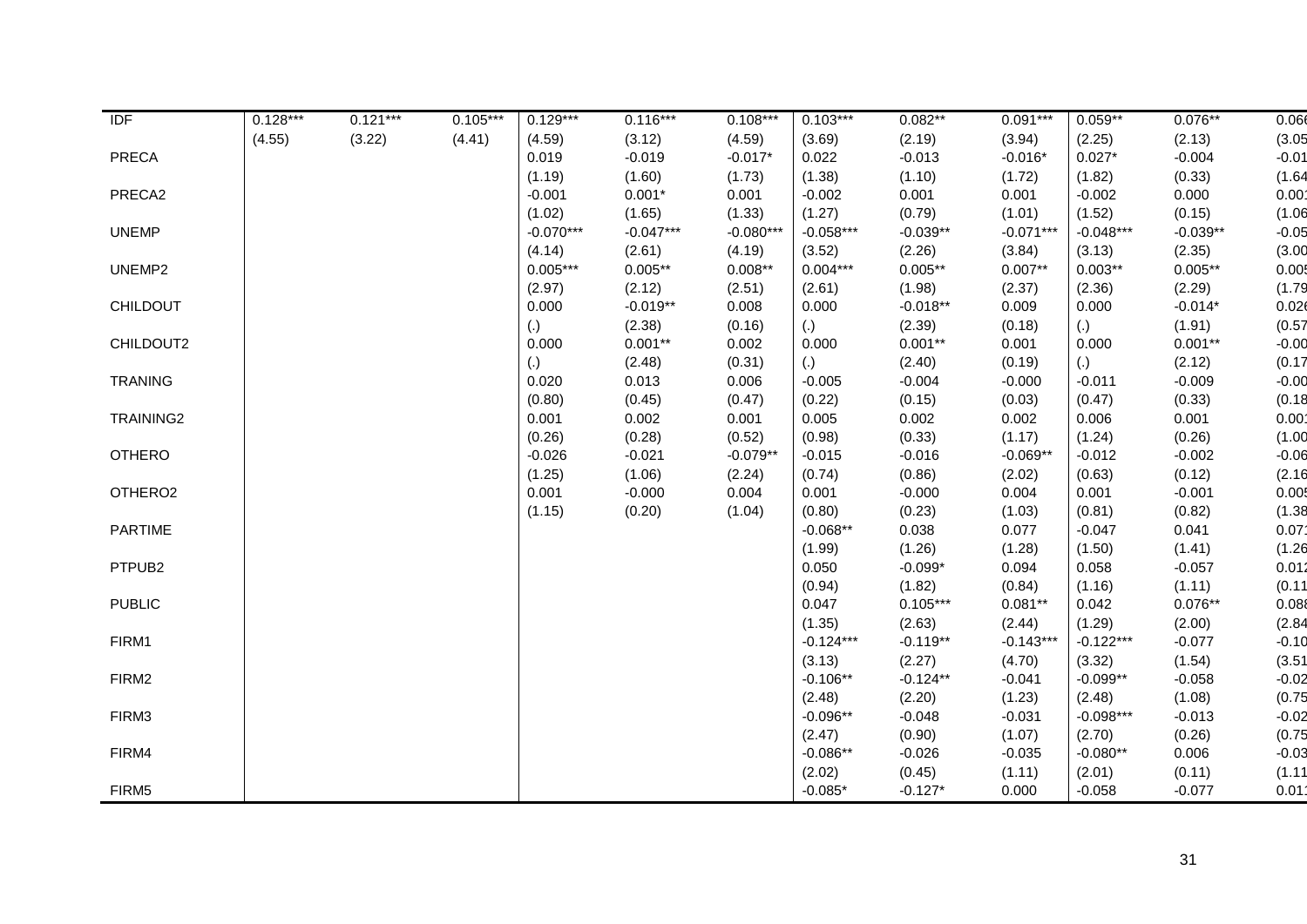| <b>IDF</b>          | $0.128***$ | $0.121***$ | $0.105***$ | $0.129***$        | $0.116***$  | $0.108***$  | $0.103***$  | $0.082**$  | $0.091***$  | $0.059**$   | $0.076**$  | 0.066             |
|---------------------|------------|------------|------------|-------------------|-------------|-------------|-------------|------------|-------------|-------------|------------|-------------------|
|                     | (4.55)     | (3.22)     | (4.41)     | (4.59)            | (3.12)      | (4.59)      | (3.69)      | (2.19)     | (3.94)      | (2.25)      | (2.13)     | (3.05)            |
| <b>PRECA</b>        |            |            |            | 0.019             | $-0.019$    | $-0.017*$   | 0.022       | $-0.013$   | $-0.016*$   | $0.027*$    | $-0.004$   | $-0.01$           |
|                     |            |            |            | (1.19)            | (1.60)      | (1.73)      | (1.38)      | (1.10)     | (1.72)      | (1.82)      | (0.33)     | (1.64)            |
| PRECA2              |            |            |            | $-0.001$          | $0.001*$    | 0.001       | $-0.002$    | 0.001      | 0.001       | $-0.002$    | 0.000      | 0.00 <sup>1</sup> |
|                     |            |            |            | (1.02)            | (1.65)      | (1.33)      | (1.27)      | (0.79)     | (1.01)      | (1.52)      | (0.15)     | (1.06)            |
| <b>UNEMP</b>        |            |            |            | $-0.070***$       | $-0.047***$ | $-0.080***$ | $-0.058***$ | $-0.039**$ | $-0.071***$ | $-0.048***$ | $-0.039**$ | $-0.05$           |
|                     |            |            |            | (4.14)            | (2.61)      | (4.19)      | (3.52)      | (2.26)     | (3.84)      | (3.13)      | (2.35)     | (3.00)            |
| UNEMP2              |            |            |            | $0.005***$        | $0.005**$   | $0.008**$   | $0.004***$  | $0.005**$  | $0.007**$   | $0.003**$   | $0.005**$  | 0.005             |
|                     |            |            |            | (2.97)            | (2.12)      | (2.51)      | (2.61)      | (1.98)     | (2.37)      | (2.36)      | (2.29)     | (1.79)            |
| <b>CHILDOUT</b>     |            |            |            | 0.000             | $-0.019**$  | 0.008       | 0.000       | $-0.018**$ | 0.009       | 0.000       | $-0.014*$  | 0.026             |
|                     |            |            |            | $\left( .\right)$ | (2.38)      | (0.16)      | (.)         | (2.39)     | (0.18)      | (.)         | (1.91)     | (0.57)            |
| CHILDOUT2           |            |            |            | 0.000             | $0.001**$   | 0.002       | 0.000       | $0.001**$  | 0.001       | 0.000       | $0.001**$  | $-0.00$           |
|                     |            |            |            | (.)               | (2.48)      | (0.31)      | (.)         | (2.40)     | (0.19)      | (.)         | (2.12)     | (0.17)            |
| <b>TRANING</b>      |            |            |            | 0.020             | 0.013       | 0.006       | $-0.005$    | $-0.004$   | $-0.000$    | $-0.011$    | $-0.009$   | $-0.00$           |
|                     |            |            |            | (0.80)            | (0.45)      | (0.47)      | (0.22)      | (0.15)     | (0.03)      | (0.47)      | (0.33)     | (0.18)            |
| TRAINING2           |            |            |            | 0.001             | 0.002       | 0.001       | 0.005       | 0.002      | 0.002       | 0.006       | 0.001      | 0.00 <sup>4</sup> |
|                     |            |            |            | (0.26)            | (0.28)      | (0.52)      | (0.98)      | (0.33)     | (1.17)      | (1.24)      | (0.26)     | (1.00)            |
| <b>OTHERO</b>       |            |            |            | $-0.026$          | $-0.021$    | $-0.079**$  | $-0.015$    | $-0.016$   | $-0.069**$  | $-0.012$    | $-0.002$   | $-0.06$           |
|                     |            |            |            | (1.25)            | (1.06)      | (2.24)      | (0.74)      | (0.86)     | (2.02)      | (0.63)      | (0.12)     | (2.16)            |
| OTHERO <sub>2</sub> |            |            |            | 0.001             | $-0.000$    | 0.004       | 0.001       | $-0.000$   | 0.004       | 0.001       | $-0.001$   | 0.005             |
|                     |            |            |            | (1.15)            | (0.20)      | (1.04)      | (0.80)      | (0.23)     | (1.03)      | (0.81)      | (0.82)     | (1.38)            |
| <b>PARTIME</b>      |            |            |            |                   |             |             | $-0.068**$  | 0.038      | 0.077       | $-0.047$    | 0.041      | 0.07 <sup>1</sup> |
|                     |            |            |            |                   |             |             | (1.99)      | (1.26)     | (1.28)      | (1.50)      | (1.41)     | (1.26)            |
| PTPUB <sub>2</sub>  |            |            |            |                   |             |             | 0.050       | $-0.099*$  | 0.094       | 0.058       | $-0.057$   | 0.012             |
|                     |            |            |            |                   |             |             | (0.94)      | (1.82)     | (0.84)      | (1.16)      | (1.11)     | (0.11)            |
| <b>PUBLIC</b>       |            |            |            |                   |             |             | 0.047       | $0.105***$ | $0.081**$   | 0.042       | $0.076**$  | 0.088             |
|                     |            |            |            |                   |             |             | (1.35)      | (2.63)     | (2.44)      | (1.29)      | (2.00)     | (2.84)            |
| FIRM1               |            |            |            |                   |             |             | $-0.124***$ | $-0.119**$ | $-0.143***$ | $-0.122***$ | $-0.077$   | $-0.10$           |
|                     |            |            |            |                   |             |             | (3.13)      | (2.27)     | (4.70)      | (3.32)      | (1.54)     | (3.51)            |
| FIRM2               |            |            |            |                   |             |             | $-0.106**$  | $-0.124**$ | $-0.041$    | $-0.099**$  | $-0.058$   | $-0.02$           |
|                     |            |            |            |                   |             |             | (2.48)      | (2.20)     | (1.23)      | (2.48)      | (1.08)     | (0.75)            |
| FIRM3               |            |            |            |                   |             |             | $-0.096**$  | $-0.048$   | $-0.031$    | $-0.098***$ | $-0.013$   | $-0.02$           |
|                     |            |            |            |                   |             |             | (2.47)      | (0.90)     | (1.07)      | (2.70)      | (0.26)     | (0.75)            |
| FIRM4               |            |            |            |                   |             |             | $-0.086**$  | $-0.026$   | $-0.035$    | $-0.080**$  | 0.006      | $-0.03$           |
|                     |            |            |            |                   |             |             | (2.02)      | (0.45)     | (1.11)      | (2.01)      | (0.11)     | (1.11)            |
| FIRM5               |            |            |            |                   |             |             | $-0.085*$   | $-0.127*$  | 0.000       | $-0.058$    | $-0.077$   | 0.011             |